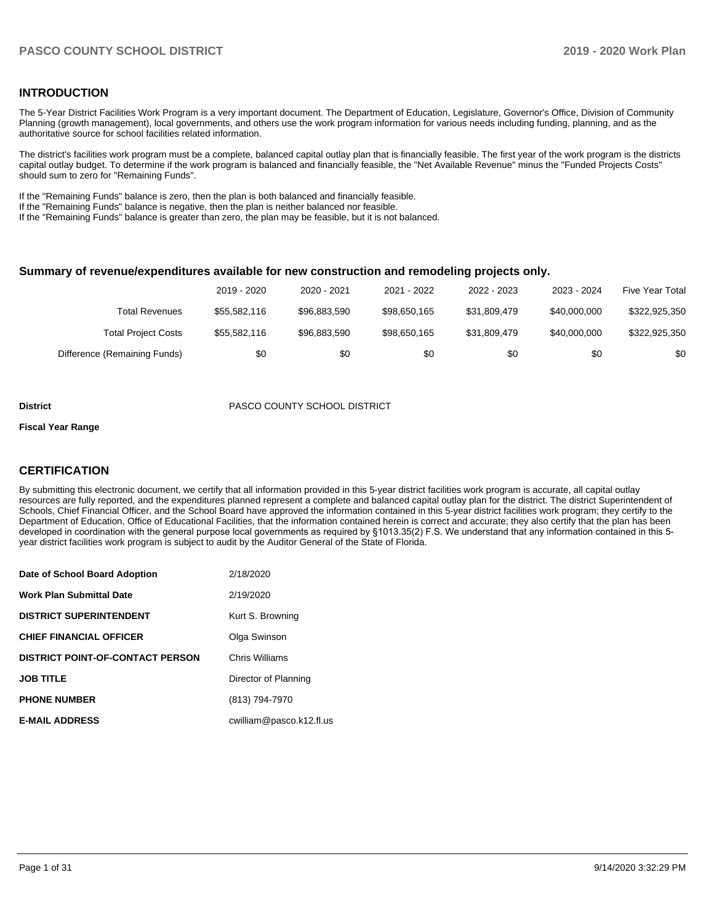### **INTRODUCTION**

The 5-Year District Facilities Work Program is a very important document. The Department of Education, Legislature, Governor's Office, Division of Community Planning (growth management), local governments, and others use the work program information for various needs including funding, planning, and as the authoritative source for school facilities related information.

The district's facilities work program must be a complete, balanced capital outlay plan that is financially feasible. The first year of the work program is the districts capital outlay budget. To determine if the work program is balanced and financially feasible, the "Net Available Revenue" minus the "Funded Projects Costs" should sum to zero for "Remaining Funds".

If the "Remaining Funds" balance is zero, then the plan is both balanced and financially feasible.

If the "Remaining Funds" balance is negative, then the plan is neither balanced nor feasible.

If the "Remaining Funds" balance is greater than zero, the plan may be feasible, but it is not balanced.

#### **Summary of revenue/expenditures available for new construction and remodeling projects only.**

|                              | 2019 - 2020  | 2020 - 2021  | 2021 - 2022  | 2022 - 2023  | 2023 - 2024  | <b>Five Year Total</b> |
|------------------------------|--------------|--------------|--------------|--------------|--------------|------------------------|
| Total Revenues               | \$55,582,116 | \$96,883,590 | \$98.650.165 | \$31.809.479 | \$40,000,000 | \$322,925,350          |
| <b>Total Project Costs</b>   | \$55,582,116 | \$96,883,590 | \$98,650,165 | \$31.809.479 | \$40,000,000 | \$322,925,350          |
| Difference (Remaining Funds) | \$0          | \$0          | \$0          | \$0          | \$0          | \$0                    |

#### **District** PASCO COUNTY SCHOOL DISTRICT

#### **Fiscal Year Range**

### **CERTIFICATION**

By submitting this electronic document, we certify that all information provided in this 5-year district facilities work program is accurate, all capital outlay resources are fully reported, and the expenditures planned represent a complete and balanced capital outlay plan for the district. The district Superintendent of Schools, Chief Financial Officer, and the School Board have approved the information contained in this 5-year district facilities work program; they certify to the Department of Education, Office of Educational Facilities, that the information contained herein is correct and accurate; they also certify that the plan has been developed in coordination with the general purpose local governments as required by §1013.35(2) F.S. We understand that any information contained in this 5 year district facilities work program is subject to audit by the Auditor General of the State of Florida.

| Date of School Board Adoption           | 2/18/2020                |
|-----------------------------------------|--------------------------|
| Work Plan Submittal Date                | 2/19/2020                |
| <b>DISTRICT SUPERINTENDENT</b>          | Kurt S. Browning         |
| <b>CHIEF FINANCIAL OFFICER</b>          | Olga Swinson             |
| <b>DISTRICT POINT-OF-CONTACT PERSON</b> | Chris Williams           |
| <b>JOB TITLE</b>                        | Director of Planning     |
| <b>PHONE NUMBER</b>                     | (813) 794-7970           |
| <b>E-MAIL ADDRESS</b>                   | cwilliam@pasco.k12.fl.us |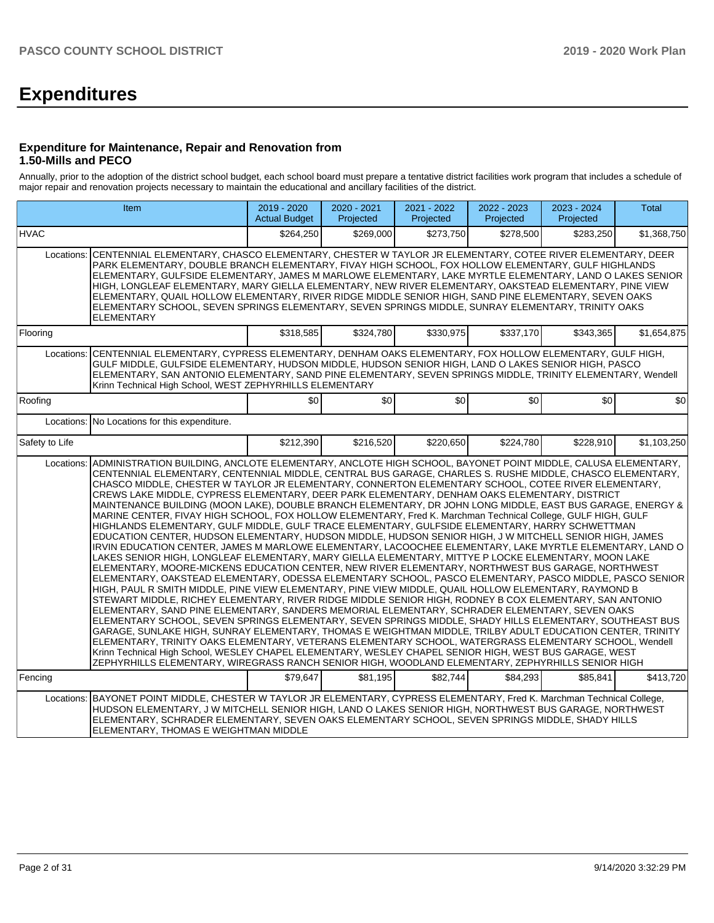# **Expenditures**

#### **Expenditure for Maintenance, Repair and Renovation from 1.50-Mills and PECO**

Annually, prior to the adoption of the district school budget, each school board must prepare a tentative district facilities work program that includes a schedule of major repair and renovation projects necessary to maintain the educational and ancillary facilities of the district.

|                                                                                                                                                                                                                                                                                                                                                                                                                                                                                                                                                                                                                                                                                        | <b>Item</b>                                                                                                                                                                                                                                                                                                                                                                                                                                                                                                                                                                                                                                                                                                                                                                                                                                                                                                                                                                                                                                                                                                                                                                                                                                                                                                                                                                                                                                                                                                                                                                                                                                                                                                                                                                                                                                                                                                                                                                                                                                                                                                                                                                               |           | 2020 - 2021<br>Projected | 2021 - 2022<br>Projected | 2022 - 2023<br>Projected | 2023 - 2024<br>Projected | <b>Total</b> |  |  |
|----------------------------------------------------------------------------------------------------------------------------------------------------------------------------------------------------------------------------------------------------------------------------------------------------------------------------------------------------------------------------------------------------------------------------------------------------------------------------------------------------------------------------------------------------------------------------------------------------------------------------------------------------------------------------------------|-------------------------------------------------------------------------------------------------------------------------------------------------------------------------------------------------------------------------------------------------------------------------------------------------------------------------------------------------------------------------------------------------------------------------------------------------------------------------------------------------------------------------------------------------------------------------------------------------------------------------------------------------------------------------------------------------------------------------------------------------------------------------------------------------------------------------------------------------------------------------------------------------------------------------------------------------------------------------------------------------------------------------------------------------------------------------------------------------------------------------------------------------------------------------------------------------------------------------------------------------------------------------------------------------------------------------------------------------------------------------------------------------------------------------------------------------------------------------------------------------------------------------------------------------------------------------------------------------------------------------------------------------------------------------------------------------------------------------------------------------------------------------------------------------------------------------------------------------------------------------------------------------------------------------------------------------------------------------------------------------------------------------------------------------------------------------------------------------------------------------------------------------------------------------------------------|-----------|--------------------------|--------------------------|--------------------------|--------------------------|--------------|--|--|
| <b>HVAC</b>                                                                                                                                                                                                                                                                                                                                                                                                                                                                                                                                                                                                                                                                            |                                                                                                                                                                                                                                                                                                                                                                                                                                                                                                                                                                                                                                                                                                                                                                                                                                                                                                                                                                                                                                                                                                                                                                                                                                                                                                                                                                                                                                                                                                                                                                                                                                                                                                                                                                                                                                                                                                                                                                                                                                                                                                                                                                                           | \$264,250 | \$269,000                | \$273,750                | \$278,500                | \$283,250                | \$1,368,750  |  |  |
| CENTENNIAL ELEMENTARY, CHASCO ELEMENTARY, CHESTER W TAYLOR JR ELEMENTARY, COTEE RIVER ELEMENTARY, DEER<br>Locations:<br>PARK ELEMENTARY, DOUBLE BRANCH ELEMENTARY, FIVAY HIGH SCHOOL, FOX HOLLOW ELEMENTARY, GULF HIGHLANDS<br>ELEMENTARY, GULFSIDE ELEMENTARY, JAMES M MARLOWE ELEMENTARY, LAKE MYRTLE ELEMENTARY, LAND O LAKES SENIOR<br>HIGH, LONGLEAF ELEMENTARY, MARY GIELLA ELEMENTARY, NEW RIVER ELEMENTARY, OAKSTEAD ELEMENTARY, PINE VIEW<br>ELEMENTARY, QUAIL HOLLOW ELEMENTARY, RIVER RIDGE MIDDLE SENIOR HIGH, SAND PINE ELEMENTARY, SEVEN OAKS<br>ELEMENTARY SCHOOL, SEVEN SPRINGS ELEMENTARY, SEVEN SPRINGS MIDDLE, SUNRAY ELEMENTARY, TRINITY OAKS<br><b>ELEMENTARY</b> |                                                                                                                                                                                                                                                                                                                                                                                                                                                                                                                                                                                                                                                                                                                                                                                                                                                                                                                                                                                                                                                                                                                                                                                                                                                                                                                                                                                                                                                                                                                                                                                                                                                                                                                                                                                                                                                                                                                                                                                                                                                                                                                                                                                           |           |                          |                          |                          |                          |              |  |  |
| Flooring                                                                                                                                                                                                                                                                                                                                                                                                                                                                                                                                                                                                                                                                               |                                                                                                                                                                                                                                                                                                                                                                                                                                                                                                                                                                                                                                                                                                                                                                                                                                                                                                                                                                                                                                                                                                                                                                                                                                                                                                                                                                                                                                                                                                                                                                                                                                                                                                                                                                                                                                                                                                                                                                                                                                                                                                                                                                                           | \$318,585 | \$324,780                | \$330,975                | \$337,170                | \$343,365                | \$1,654,875  |  |  |
| Locations:                                                                                                                                                                                                                                                                                                                                                                                                                                                                                                                                                                                                                                                                             | CENTENNIAL ELEMENTARY, CYPRESS ELEMENTARY, DENHAM OAKS ELEMENTARY, FOX HOLLOW ELEMENTARY, GULF HIGH,<br>GULF MIDDLE, GULFSIDE ELEMENTARY, HUDSON MIDDLE, HUDSON SENIOR HIGH, LAND O LAKES SENIOR HIGH, PASCO<br>ELEMENTARY, SAN ANTONIO ELEMENTARY, SAND PINE ELEMENTARY, SEVEN SPRINGS MIDDLE, TRINITY ELEMENTARY, Wendell<br>Krinn Technical High School, WEST ZEPHYRHILLS ELEMENTARY                                                                                                                                                                                                                                                                                                                                                                                                                                                                                                                                                                                                                                                                                                                                                                                                                                                                                                                                                                                                                                                                                                                                                                                                                                                                                                                                                                                                                                                                                                                                                                                                                                                                                                                                                                                                   |           |                          |                          |                          |                          |              |  |  |
| Roofing                                                                                                                                                                                                                                                                                                                                                                                                                                                                                                                                                                                                                                                                                |                                                                                                                                                                                                                                                                                                                                                                                                                                                                                                                                                                                                                                                                                                                                                                                                                                                                                                                                                                                                                                                                                                                                                                                                                                                                                                                                                                                                                                                                                                                                                                                                                                                                                                                                                                                                                                                                                                                                                                                                                                                                                                                                                                                           | \$0       | \$0                      | \$0                      | \$0                      | \$0                      | \$0          |  |  |
|                                                                                                                                                                                                                                                                                                                                                                                                                                                                                                                                                                                                                                                                                        | Locations: No Locations for this expenditure.                                                                                                                                                                                                                                                                                                                                                                                                                                                                                                                                                                                                                                                                                                                                                                                                                                                                                                                                                                                                                                                                                                                                                                                                                                                                                                                                                                                                                                                                                                                                                                                                                                                                                                                                                                                                                                                                                                                                                                                                                                                                                                                                             |           |                          |                          |                          |                          |              |  |  |
| Safety to Life                                                                                                                                                                                                                                                                                                                                                                                                                                                                                                                                                                                                                                                                         |                                                                                                                                                                                                                                                                                                                                                                                                                                                                                                                                                                                                                                                                                                                                                                                                                                                                                                                                                                                                                                                                                                                                                                                                                                                                                                                                                                                                                                                                                                                                                                                                                                                                                                                                                                                                                                                                                                                                                                                                                                                                                                                                                                                           | \$212,390 | \$216,520                | \$220,650                | \$224,780                | \$228,910                | \$1,103,250  |  |  |
| Locations:<br>Fencina                                                                                                                                                                                                                                                                                                                                                                                                                                                                                                                                                                                                                                                                  | ADMINISTRATION BUILDING, ANCLOTE ELEMENTARY, ANCLOTE HIGH SCHOOL, BAYONET POINT MIDDLE, CALUSA ELEMENTARY,<br>CENTENNIAL ELEMENTARY, CENTENNIAL MIDDLE, CENTRAL BUS GARAGE, CHARLES S. RUSHE MIDDLE, CHASCO ELEMENTARY,<br>CHASCO MIDDLE, CHESTER W TAYLOR JR ELEMENTARY, CONNERTON ELEMENTARY SCHOOL, COTEE RIVER ELEMENTARY,<br>CREWS LAKE MIDDLE, CYPRESS ELEMENTARY, DEER PARK ELEMENTARY, DENHAM OAKS ELEMENTARY, DISTRICT<br>MAINTENANCE BUILDING (MOON LAKE), DOUBLE BRANCH ELEMENTARY, DR JOHN LONG MIDDLE, EAST BUS GARAGE, ENERGY &<br>MARINE CENTER, FIVAY HIGH SCHOOL, FOX HOLLOW ELEMENTARY, Fred K. Marchman Technical College, GULF HIGH, GULF<br>HIGHLANDS ELEMENTARY, GULF MIDDLE, GULF TRACE ELEMENTARY, GULFSIDE ELEMENTARY, HARRY SCHWETTMAN<br>EDUCATION CENTER, HUDSON ELEMENTARY, HUDSON MIDDLE, HUDSON SENIOR HIGH, J W MITCHELL SENIOR HIGH, JAMES<br>IRVIN EDUCATION CENTER, JAMES M MARLOWE ELEMENTARY, LACOOCHEE ELEMENTARY, LAKE MYRTLE ELEMENTARY, LAND O<br>LAKES SENIOR HIGH, LONGLEAF ELEMENTARY, MARY GIELLA ELEMENTARY, MITTYE P LOCKE ELEMENTARY, MOON LAKE<br>ELEMENTARY, MOORE-MICKENS EDUCATION CENTER, NEW RIVER ELEMENTARY, NORTHWEST BUS GARAGE, NORTHWEST<br>ELEMENTARY, OAKSTEAD ELEMENTARY, ODESSA ELEMENTARY SCHOOL, PASCO ELEMENTARY, PASCO MIDDLE, PASCO SENIOR<br>HIGH, PAUL R SMITH MIDDLE, PINE VIEW ELEMENTARY, PINE VIEW MIDDLE, QUAIL HOLLOW ELEMENTARY, RAYMOND B<br>STEWART MIDDLE, RICHEY ELEMENTARY, RIVER RIDGE MIDDLE SENIOR HIGH, RODNEY B COX ELEMENTARY, SAN ANTONIO<br>ELEMENTARY, SAND PINE ELEMENTARY, SANDERS MEMORIAL ELEMENTARY, SCHRADER ELEMENTARY, SEVEN OAKS<br>ELEMENTARY SCHOOL, SEVEN SPRINGS ELEMENTARY, SEVEN SPRINGS MIDDLE, SHADY HILLS ELEMENTARY, SOUTHEAST BUS<br>GARAGE, SUNLAKE HIGH, SUNRAY ELEMENTARY, THOMAS E WEIGHTMAN MIDDLE, TRILBY ADULT EDUCATION CENTER, TRINITY<br>ELEMENTARY, TRINITY OAKS ELEMENTARY, VETERANS ELEMENTARY SCHOOL, WATERGRASS ELEMENTARY SCHOOL, Wendell<br>Krinn Technical High School, WESLEY CHAPEL ELEMENTARY, WESLEY CHAPEL SENIOR HIGH, WEST BUS GARAGE, WEST<br>ZEPHYRHILLS ELEMENTARY, WIREGRASS RANCH SENIOR HIGH, WOODLAND ELEMENTARY, ZEPHYRHILLS SENIOR HIGH | \$79.647  | \$81.195                 | \$82.744                 | \$84.293                 | \$85.841                 | \$413.720    |  |  |
| Locations:                                                                                                                                                                                                                                                                                                                                                                                                                                                                                                                                                                                                                                                                             | BAYONET POINT MIDDLE, CHESTER W TAYLOR JR ELEMENTARY, CYPRESS ELEMENTARY, Fred K. Marchman Technical College,<br>HUDSON ELEMENTARY, J W MITCHELL SENIOR HIGH, LAND O LAKES SENIOR HIGH, NORTHWEST BUS GARAGE, NORTHWEST<br>ELEMENTARY, SCHRADER ELEMENTARY, SEVEN OAKS ELEMENTARY SCHOOL, SEVEN SPRINGS MIDDLE, SHADY HILLS<br>ELEMENTARY, THOMAS E WEIGHTMAN MIDDLE                                                                                                                                                                                                                                                                                                                                                                                                                                                                                                                                                                                                                                                                                                                                                                                                                                                                                                                                                                                                                                                                                                                                                                                                                                                                                                                                                                                                                                                                                                                                                                                                                                                                                                                                                                                                                      |           |                          |                          |                          |                          |              |  |  |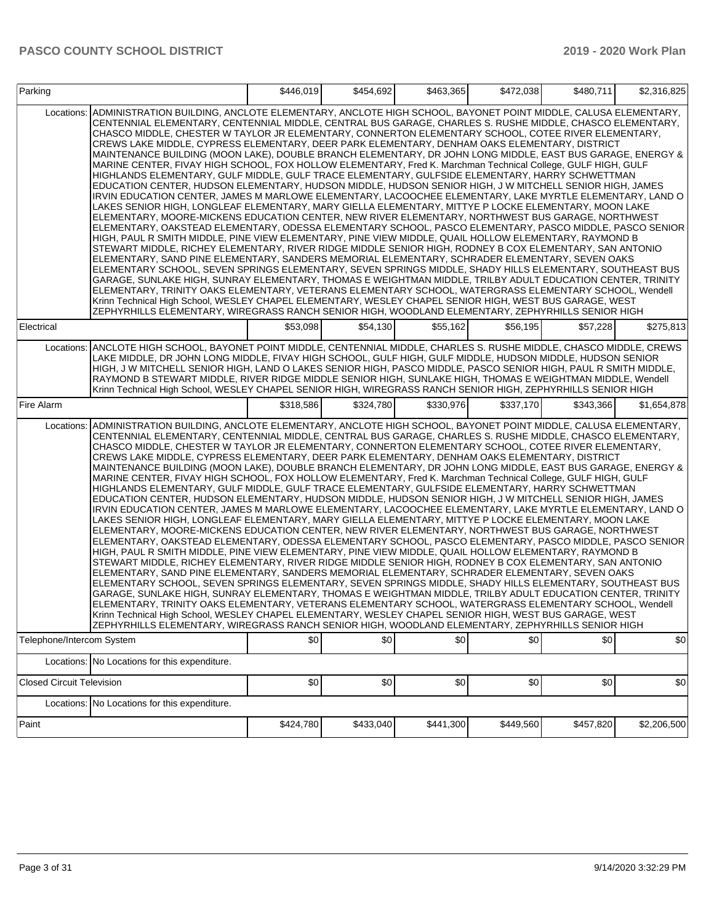| Parking                          |                                                                                                                                                                                                                                                                                                                                                                                                                                                                                                                                                                                                                                                                                                                                                                                                                                                                                                                                                                                                                                                                                                                                                                                                                                                                                                                                                                                                                                                                                                                                                                                                                                                                                                                                                                                                                                                                                                                                                                                                                                                                                                                                                                                           | \$446,019 | \$454,692 | \$463.365 | \$472,038 | \$480,711 | \$2,316,825 |
|----------------------------------|-------------------------------------------------------------------------------------------------------------------------------------------------------------------------------------------------------------------------------------------------------------------------------------------------------------------------------------------------------------------------------------------------------------------------------------------------------------------------------------------------------------------------------------------------------------------------------------------------------------------------------------------------------------------------------------------------------------------------------------------------------------------------------------------------------------------------------------------------------------------------------------------------------------------------------------------------------------------------------------------------------------------------------------------------------------------------------------------------------------------------------------------------------------------------------------------------------------------------------------------------------------------------------------------------------------------------------------------------------------------------------------------------------------------------------------------------------------------------------------------------------------------------------------------------------------------------------------------------------------------------------------------------------------------------------------------------------------------------------------------------------------------------------------------------------------------------------------------------------------------------------------------------------------------------------------------------------------------------------------------------------------------------------------------------------------------------------------------------------------------------------------------------------------------------------------------|-----------|-----------|-----------|-----------|-----------|-------------|
| Locations:                       | ADMINISTRATION BUILDING, ANCLOTE ELEMENTARY, ANCLOTE HIGH SCHOOL, BAYONET POINT MIDDLE, CALUSA ELEMENTARY,<br>CENTENNIAL ELEMENTARY, CENTENNIAL MIDDLE, CENTRAL BUS GARAGE, CHARLES S. RUSHE MIDDLE, CHASCO ELEMENTARY,<br>CHASCO MIDDLE, CHESTER W TAYLOR JR ELEMENTARY, CONNERTON ELEMENTARY SCHOOL, COTEE RIVER ELEMENTARY,<br>CREWS LAKE MIDDLE, CYPRESS ELEMENTARY, DEER PARK ELEMENTARY, DENHAM OAKS ELEMENTARY, DISTRICT<br>MAINTENANCE BUILDING (MOON LAKE), DOUBLE BRANCH ELEMENTARY, DR JOHN LONG MIDDLE, EAST BUS GARAGE, ENERGY &<br>MARINE CENTER, FIVAY HIGH SCHOOL, FOX HOLLOW ELEMENTARY, Fred K. Marchman Technical College, GULF HIGH, GULF<br>HIGHLANDS ELEMENTARY, GULF MIDDLE, GULF TRACE ELEMENTARY, GULFSIDE ELEMENTARY, HARRY SCHWETTMAN<br>EDUCATION CENTER, HUDSON ELEMENTARY, HUDSON MIDDLE, HUDSON SENIOR HIGH, J W MITCHELL SENIOR HIGH, JAMES<br>IRVIN EDUCATION CENTER, JAMES M MARLOWE ELEMENTARY, LACOOCHEE ELEMENTARY, LAKE MYRTLE ELEMENTARY, LAND O<br>LAKES SENIOR HIGH, LONGLEAF ELEMENTARY, MARY GIELLA ELEMENTARY, MITTYE P LOCKE ELEMENTARY, MOON LAKE<br>ELEMENTARY, MOORE-MICKENS EDUCATION CENTER, NEW RIVER ELEMENTARY, NORTHWEST BUS GARAGE, NORTHWEST<br>ELEMENTARY, OAKSTEAD ELEMENTARY, ODESSA ELEMENTARY SCHOOL, PASCO ELEMENTARY, PASCO MIDDLE, PASCO SENIOR<br>HIGH, PAUL R SMITH MIDDLE, PINE VIEW ELEMENTARY, PINE VIEW MIDDLE, QUAIL HOLLOW ELEMENTARY, RAYMOND B<br>STEWART MIDDLE, RICHEY ELEMENTARY, RIVER RIDGE MIDDLE SENIOR HIGH, RODNEY B COX ELEMENTARY, SAN ANTONIO<br>ELEMENTARY, SAND PINE ELEMENTARY, SANDERS MEMORIAL ELEMENTARY, SCHRADER ELEMENTARY, SEVEN OAKS<br>ELEMENTARY SCHOOL, SEVEN SPRINGS ELEMENTARY, SEVEN SPRINGS MIDDLE, SHADY HILLS ELEMENTARY, SOUTHEAST BUS<br>GARAGE, SUNLAKE HIGH, SUNRAY ELEMENTARY, THOMAS E WEIGHTMAN MIDDLE, TRILBY ADULT EDUCATION CENTER, TRINITY<br>ELEMENTARY, TRINITY OAKS ELEMENTARY, VETERANS ELEMENTARY SCHOOL, WATERGRASS ELEMENTARY SCHOOL, Wendell<br>Krinn Technical High School, WESLEY CHAPEL ELEMENTARY, WESLEY CHAPEL SENIOR HIGH, WEST BUS GARAGE, WEST<br>ZEPHYRHILLS ELEMENTARY, WIREGRASS RANCH SENIOR HIGH, WOODLAND ELEMENTARY, ZEPHYRHILLS SENIOR HIGH |           |           |           |           |           |             |
| Electrical                       |                                                                                                                                                                                                                                                                                                                                                                                                                                                                                                                                                                                                                                                                                                                                                                                                                                                                                                                                                                                                                                                                                                                                                                                                                                                                                                                                                                                                                                                                                                                                                                                                                                                                                                                                                                                                                                                                                                                                                                                                                                                                                                                                                                                           | \$53.098  | \$54.130  | \$55.162  | \$56,195  | \$57,228  | \$275,813   |
| Locations:                       | ANCLOTE HIGH SCHOOL, BAYONET POINT MIDDLE, CENTENNIAL MIDDLE, CHARLES S. RUSHE MIDDLE, CHASCO MIDDLE, CREWS<br>LAKE MIDDLE, DR JOHN LONG MIDDLE, FIVAY HIGH SCHOOL, GULF HIGH, GULF MIDDLE, HUDSON MIDDLE, HUDSON SENIOR<br>HIGH, J W MITCHELL SENIOR HIGH, LAND O LAKES SENIOR HIGH, PASCO MIDDLE, PASCO SENIOR HIGH, PAUL R SMITH MIDDLE,<br>RAYMOND B STEWART MIDDLE, RIVER RIDGE MIDDLE SENIOR HIGH, SUNLAKE HIGH, THOMAS E WEIGHTMAN MIDDLE, Wendell<br>Krinn Technical High School, WESLEY CHAPEL SENIOR HIGH, WIREGRASS RANCH SENIOR HIGH, ZEPHYRHILLS SENIOR HIGH                                                                                                                                                                                                                                                                                                                                                                                                                                                                                                                                                                                                                                                                                                                                                                                                                                                                                                                                                                                                                                                                                                                                                                                                                                                                                                                                                                                                                                                                                                                                                                                                                 |           |           |           |           |           |             |
| Fire Alarm                       |                                                                                                                                                                                                                                                                                                                                                                                                                                                                                                                                                                                                                                                                                                                                                                                                                                                                                                                                                                                                                                                                                                                                                                                                                                                                                                                                                                                                                                                                                                                                                                                                                                                                                                                                                                                                                                                                                                                                                                                                                                                                                                                                                                                           | \$318,586 | \$324,780 | \$330,976 | \$337,170 | \$343,366 | \$1,654,878 |
| Locations:                       | ADMINISTRATION BUILDING, ANCLOTE ELEMENTARY, ANCLOTE HIGH SCHOOL, BAYONET POINT MIDDLE, CALUSA ELEMENTARY,<br>CENTENNIAL ELEMENTARY, CENTENNIAL MIDDLE, CENTRAL BUS GARAGE, CHARLES S. RUSHE MIDDLE, CHASCO ELEMENTARY,<br>CHASCO MIDDLE, CHESTER W TAYLOR JR ELEMENTARY, CONNERTON ELEMENTARY SCHOOL, COTEE RIVER ELEMENTARY,<br>CREWS LAKE MIDDLE, CYPRESS ELEMENTARY, DEER PARK ELEMENTARY, DENHAM OAKS ELEMENTARY, DISTRICT<br>MAINTENANCE BUILDING (MOON LAKE), DOUBLE BRANCH ELEMENTARY, DR JOHN LONG MIDDLE, EAST BUS GARAGE, ENERGY &<br>MARINE CENTER, FIVAY HIGH SCHOOL, FOX HOLLOW ELEMENTARY, Fred K. Marchman Technical College, GULF HIGH, GULF<br>HIGHLANDS ELEMENTARY, GULF MIDDLE, GULF TRACE ELEMENTARY, GULFSIDE ELEMENTARY, HARRY SCHWETTMAN<br>EDUCATION CENTER, HUDSON ELEMENTARY, HUDSON MIDDLE, HUDSON SENIOR HIGH, J W MITCHELL SENIOR HIGH, JAMES<br>IRVIN EDUCATION CENTER, JAMES M MARLOWE ELEMENTARY, LACOOCHEE ELEMENTARY, LAKE MYRTLE ELEMENTARY, LAND O<br>LAKES SENIOR HIGH, LONGLEAF ELEMENTARY, MARY GIELLA ELEMENTARY, MITTYE P LOCKE ELEMENTARY, MOON LAKE<br>ELEMENTARY, MOORE-MICKENS EDUCATION CENTER, NEW RIVER ELEMENTARY, NORTHWEST BUS GARAGE, NORTHWEST<br>ELEMENTARY, OAKSTEAD ELEMENTARY, ODESSA ELEMENTARY SCHOOL, PASCO ELEMENTARY, PASCO MIDDLE, PASCO SENIOR<br>HIGH, PAUL R SMITH MIDDLE, PINE VIEW ELEMENTARY, PINE VIEW MIDDLE, QUAIL HOLLOW ELEMENTARY, RAYMOND B<br>STEWART MIDDLE, RICHEY ELEMENTARY, RIVER RIDGE MIDDLE SENIOR HIGH, RODNEY B COX ELEMENTARY, SAN ANTONIO<br>ELEMENTARY, SAND PINE ELEMENTARY, SANDERS MEMORIAL ELEMENTARY, SCHRADER ELEMENTARY, SEVEN OAKS<br>ELEMENTARY SCHOOL, SEVEN SPRINGS ELEMENTARY, SEVEN SPRINGS MIDDLE, SHADY HILLS ELEMENTARY, SOUTHEAST BUS<br>GARAGE, SUNLAKE HIGH, SUNRAY ELEMENTARY, THOMAS E WEIGHTMAN MIDDLE, TRILBY ADULT EDUCATION CENTER, TRINITY<br>ELEMENTARY, TRINITY OAKS ELEMENTARY, VETERANS ELEMENTARY SCHOOL, WATERGRASS ELEMENTARY SCHOOL, Wendell<br>Krinn Technical High School, WESLEY CHAPEL ELEMENTARY, WESLEY CHAPEL SENIOR HIGH, WEST BUS GARAGE, WEST<br>ZEPHYRHILLS ELEMENTARY, WIREGRASS RANCH SENIOR HIGH, WOODLAND ELEMENTARY, ZEPHYRHILLS SENIOR HIGH |           |           |           |           |           |             |
| Telephone/Intercom System        |                                                                                                                                                                                                                                                                                                                                                                                                                                                                                                                                                                                                                                                                                                                                                                                                                                                                                                                                                                                                                                                                                                                                                                                                                                                                                                                                                                                                                                                                                                                                                                                                                                                                                                                                                                                                                                                                                                                                                                                                                                                                                                                                                                                           | \$0       | \$0       | \$0       | \$0       | \$0       | 30          |
|                                  | Locations: No Locations for this expenditure.                                                                                                                                                                                                                                                                                                                                                                                                                                                                                                                                                                                                                                                                                                                                                                                                                                                                                                                                                                                                                                                                                                                                                                                                                                                                                                                                                                                                                                                                                                                                                                                                                                                                                                                                                                                                                                                                                                                                                                                                                                                                                                                                             |           |           |           |           |           |             |
| <b>Closed Circuit Television</b> |                                                                                                                                                                                                                                                                                                                                                                                                                                                                                                                                                                                                                                                                                                                                                                                                                                                                                                                                                                                                                                                                                                                                                                                                                                                                                                                                                                                                                                                                                                                                                                                                                                                                                                                                                                                                                                                                                                                                                                                                                                                                                                                                                                                           | \$0       | \$0       | \$0       | \$0       | \$0       | \$0         |
|                                  | Locations: No Locations for this expenditure.                                                                                                                                                                                                                                                                                                                                                                                                                                                                                                                                                                                                                                                                                                                                                                                                                                                                                                                                                                                                                                                                                                                                                                                                                                                                                                                                                                                                                                                                                                                                                                                                                                                                                                                                                                                                                                                                                                                                                                                                                                                                                                                                             |           |           |           |           |           |             |
| Paint                            |                                                                                                                                                                                                                                                                                                                                                                                                                                                                                                                                                                                                                                                                                                                                                                                                                                                                                                                                                                                                                                                                                                                                                                                                                                                                                                                                                                                                                                                                                                                                                                                                                                                                                                                                                                                                                                                                                                                                                                                                                                                                                                                                                                                           | \$424,780 | \$433,040 | \$441,300 | \$449,560 | \$457,820 | \$2,206,500 |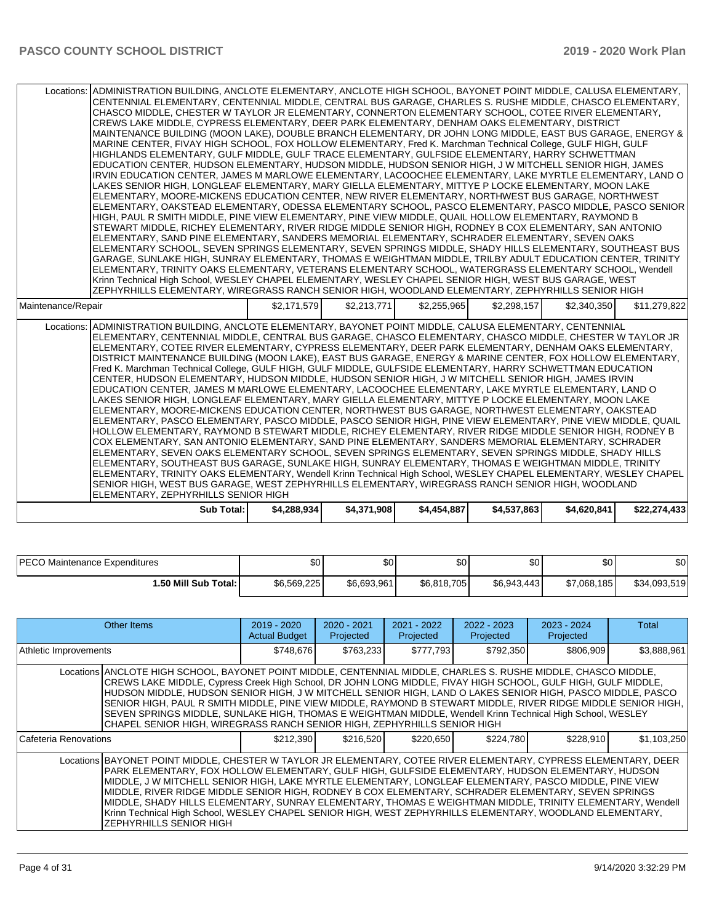| Locations: ADMINISTRATION BUILDING, ANCLOTE ELEMENTARY, ANCLOTE HIGH SCHOOL, BAYONET POINT MIDDLE, CALUSA ELEMENTARY,<br>CENTENNIAL ELEMENTARY, CENTENNIAL MIDDLE, CENTRAL BUS GARAGE, CHARLES S. RUSHE MIDDLE, CHASCO ELEMENTARY,<br>CHASCO MIDDLE, CHESTER W TAYLOR JR ELEMENTARY, CONNERTON ELEMENTARY SCHOOL, COTEE RIVER ELEMENTARY,<br>CREWS LAKE MIDDLE, CYPRESS ELEMENTARY, DEER PARK ELEMENTARY, DENHAM OAKS ELEMENTARY, DISTRICT<br>MAINTENANCE BUILDING (MOON LAKE), DOUBLE BRANCH ELEMENTARY, DR JOHN LONG MIDDLE, EAST BUS GARAGE, ENERGY &<br>MARINE CENTER, FIVAY HIGH SCHOOL, FOX HOLLOW ELEMENTARY, Fred K. Marchman Technical College, GULF HIGH, GULF                                                                                                                                                                                                                                                                                                                                                                                                                                                                                                                                                                                                                                                                                                                                                                                                                                                                                                                                                                                                                                                                                                                                       |             |             |             |             |             |              |
|----------------------------------------------------------------------------------------------------------------------------------------------------------------------------------------------------------------------------------------------------------------------------------------------------------------------------------------------------------------------------------------------------------------------------------------------------------------------------------------------------------------------------------------------------------------------------------------------------------------------------------------------------------------------------------------------------------------------------------------------------------------------------------------------------------------------------------------------------------------------------------------------------------------------------------------------------------------------------------------------------------------------------------------------------------------------------------------------------------------------------------------------------------------------------------------------------------------------------------------------------------------------------------------------------------------------------------------------------------------------------------------------------------------------------------------------------------------------------------------------------------------------------------------------------------------------------------------------------------------------------------------------------------------------------------------------------------------------------------------------------------------------------------------------------------------|-------------|-------------|-------------|-------------|-------------|--------------|
| HIGHLANDS ELEMENTARY, GULF MIDDLE, GULF TRACE ELEMENTARY, GULFSIDE ELEMENTARY, HARRY SCHWETTMAN<br>EDUCATION CENTER, HUDSON ELEMENTARY, HUDSON MIDDLE, HUDSON SENIOR HIGH, J W MITCHELL SENIOR HIGH, JAMES<br>IRVIN EDUCATION CENTER, JAMES M MARLOWE ELEMENTARY, LACOOCHEE ELEMENTARY, LAKE MYRTLE ELEMENTARY, LAND O<br>LAKES SENIOR HIGH, LONGLEAF ELEMENTARY, MARY GIELLA ELEMENTARY, MITTYE P LOCKE ELEMENTARY, MOON LAKE<br>ELEMENTARY, MOORE-MICKENS EDUCATION CENTER, NEW RIVER ELEMENTARY, NORTHWEST BUS GARAGE, NORTHWEST<br>ELEMENTARY, OAKSTEAD ELEMENTARY, ODESSA ELEMENTARY SCHOOL, PASCO ELEMENTARY, PASCO MIDDLE, PASCO SENIOR                                                                                                                                                                                                                                                                                                                                                                                                                                                                                                                                                                                                                                                                                                                                                                                                                                                                                                                                                                                                                                                                                                                                                                 |             |             |             |             |             |              |
| HIGH, PAUL R SMITH MIDDLE, PINE VIEW ELEMENTARY, PINE VIEW MIDDLE, QUAIL HOLLOW ELEMENTARY, RAYMOND B<br>STEWART MIDDLE, RICHEY ELEMENTARY, RIVER RIDGE MIDDLE SENIOR HIGH, RODNEY B COX ELEMENTARY, SAN ANTONIO<br>ELEMENTARY, SAND PINE ELEMENTARY, SANDERS MEMORIAL ELEMENTARY, SCHRADER ELEMENTARY, SEVEN OAKS<br>ELEMENTARY SCHOOL, SEVEN SPRINGS ELEMENTARY, SEVEN SPRINGS MIDDLE, SHADY HILLS ELEMENTARY, SOUTHEAST BUS<br>GARAGE, SUNLAKE HIGH, SUNRAY ELEMENTARY, THOMAS E WEIGHTMAN MIDDLE, TRILBY ADULT EDUCATION CENTER, TRINITY<br>ELEMENTARY, TRINITY OAKS ELEMENTARY, VETERANS ELEMENTARY SCHOOL, WATERGRASS ELEMENTARY SCHOOL, Wendell<br>Krinn Technical High School, WESLEY CHAPEL ELEMENTARY, WESLEY CHAPEL SENIOR HIGH, WEST BUS GARAGE, WEST                                                                                                                                                                                                                                                                                                                                                                                                                                                                                                                                                                                                                                                                                                                                                                                                                                                                                                                                                                                                                                              |             |             |             |             |             |              |
| ZEPHYRHILLS ELEMENTARY, WIREGRASS RANCH SENIOR HIGH, WOODLAND ELEMENTARY, ZEPHYRHILLS SENIOR HIGH<br>Maintenance/Repair                                                                                                                                                                                                                                                                                                                                                                                                                                                                                                                                                                                                                                                                                                                                                                                                                                                                                                                                                                                                                                                                                                                                                                                                                                                                                                                                                                                                                                                                                                                                                                                                                                                                                        | \$2,171,579 | \$2,213,771 | \$2,255,965 | \$2,298,157 | \$2,340,350 | \$11,279,822 |
| ADMINISTRATION BUILDING, ANCLOTE ELEMENTARY, BAYONET POINT MIDDLE, CALUSA ELEMENTARY, CENTENNIAL<br>Locations:<br>ELEMENTARY, CENTENNIAL MIDDLE, CENTRAL BUS GARAGE, CHASCO ELEMENTARY, CHASCO MIDDLE, CHESTER W TAYLOR JR<br>ELEMENTARY, COTEE RIVER ELEMENTARY, CYPRESS ELEMENTARY, DEER PARK ELEMENTARY, DENHAM OAKS ELEMENTARY,<br>DISTRICT MAINTENANCE BUILDING (MOON LAKE), EAST BUS GARAGE, ENERGY & MARINE CENTER, FOX HOLLOW ELEMENTARY,<br>Fred K. Marchman Technical College, GULF HIGH, GULF MIDDLE, GULFSIDE ELEMENTARY, HARRY SCHWETTMAN EDUCATION<br>CENTER, HUDSON ELEMENTARY, HUDSON MIDDLE, HUDSON SENIOR HIGH, J W MITCHELL SENIOR HIGH, JAMES IRVIN<br>EDUCATION CENTER, JAMES M MARLOWE ELEMENTARY, LACOOCHEE ELEMENTARY, LAKE MYRTLE ELEMENTARY, LAND O<br>LAKES SENIOR HIGH, LONGLEAF ELEMENTARY, MARY GIELLA ELEMENTARY, MITTYE P LOCKE ELEMENTARY, MOON LAKE<br>ELEMENTARY, MOORE-MICKENS EDUCATION CENTER, NORTHWEST BUS GARAGE, NORTHWEST ELEMENTARY, OAKSTEAD<br>ELEMENTARY, PASCO ELEMENTARY, PASCO MIDDLE, PASCO SENIOR HIGH, PINE VIEW ELEMENTARY, PINE VIEW MIDDLE, QUAIL<br>HOLLOW ELEMENTARY, RAYMOND B STEWART MIDDLE, RICHEY ELEMENTARY, RIVER RIDGE MIDDLE SENIOR HIGH, RODNEY B<br>COX ELEMENTARY, SAN ANTONIO ELEMENTARY, SAND PINE ELEMENTARY, SANDERS MEMORIAL ELEMENTARY, SCHRADER<br>ELEMENTARY, SEVEN OAKS ELEMENTARY SCHOOL, SEVEN SPRINGS ELEMENTARY, SEVEN SPRINGS MIDDLE, SHADY HILLS<br>ELEMENTARY, SOUTHEAST BUS GARAGE, SUNLAKE HIGH, SUNRAY ELEMENTARY, THOMAS E WEIGHTMAN MIDDLE, TRINITY<br>ELEMENTARY, TRINITY OAKS ELEMENTARY, Wendell Krinn Technical High School, WESLEY CHAPEL ELEMENTARY, WESLEY CHAPEL<br>SENIOR HIGH, WEST BUS GARAGE, WEST ZEPHYRHILLS ELEMENTARY, WIREGRASS RANCH SENIOR HIGH, WOODLAND<br>ELEMENTARY, ZEPHYRHILLS SENIOR HIGH |             |             |             |             |             |              |
| <b>Sub Total:</b>                                                                                                                                                                                                                                                                                                                                                                                                                                                                                                                                                                                                                                                                                                                                                                                                                                                                                                                                                                                                                                                                                                                                                                                                                                                                                                                                                                                                                                                                                                                                                                                                                                                                                                                                                                                              | \$4,288,934 | \$4,371,908 | \$4,454,887 | \$4,537,863 | \$4,620,841 | \$22,274,433 |

| <b>PECO</b><br>) Maintenance Expenditures | ጦጣ<br>৩∪    | \$0         | Φn<br>υU    | \$0          | $\sim$<br>ΦU | \$0          |
|-------------------------------------------|-------------|-------------|-------------|--------------|--------------|--------------|
| l.50 Mill Sub Total: I                    | \$6,569,225 | \$6,693,961 | \$6,818,705 | \$6,943,443] | \$7,068,185  | \$34,093,519 |

| Other Items                                                                                                                                                                                                                                                                                                                                                                                                                                                                                                                                                                                                                                                                                 | $2019 - 2020$<br><b>Actual Budget</b> | $2020 - 2021$<br>Projected | $2021 - 2022$<br>Projected | $2022 - 2023$<br>Projected | $2023 - 2024$<br>Projected | Total       |  |  |
|---------------------------------------------------------------------------------------------------------------------------------------------------------------------------------------------------------------------------------------------------------------------------------------------------------------------------------------------------------------------------------------------------------------------------------------------------------------------------------------------------------------------------------------------------------------------------------------------------------------------------------------------------------------------------------------------|---------------------------------------|----------------------------|----------------------------|----------------------------|----------------------------|-------------|--|--|
| Athletic Improvements                                                                                                                                                                                                                                                                                                                                                                                                                                                                                                                                                                                                                                                                       | \$748.676                             | \$763.233                  | \$777,793                  | \$792,350                  | \$806.909                  | \$3,888,961 |  |  |
| Locations ANCLOTE HIGH SCHOOL, BAYONET POINT MIDDLE, CENTENNIAL MIDDLE, CHARLES S. RUSHE MIDDLE, CHASCO MIDDLE,<br>CREWS LAKE MIDDLE, Cypress Creek High School, DR JOHN LONG MIDDLE, FIVAY HIGH SCHOOL, GULF HIGH, GULF MIDDLE,<br>HUDSON MIDDLE, HUDSON SENIOR HIGH, J W MITCHELL SENIOR HIGH, LAND O LAKES SENIOR HIGH, PASCO MIDDLE, PASCO<br>SENIOR HIGH, PAUL R SMITH MIDDLE, PINE VIEW MIDDLE, RAYMOND B STEWART MIDDLE, RIVER RIDGE MIDDLE SENIOR HIGH,<br>SEVEN SPRINGS MIDDLE, SUNLAKE HIGH, THOMAS E WEIGHTMAN MIDDLE, Wendell Krinn Technical High School, WESLEY<br>CHAPEL SENIOR HIGH, WIREGRASS RANCH SENIOR HIGH, ZEPHYRHILLS SENIOR HIGH                                   |                                       |                            |                            |                            |                            |             |  |  |
| Cafeteria Renovations                                                                                                                                                                                                                                                                                                                                                                                                                                                                                                                                                                                                                                                                       | \$212,390                             | \$216,520                  | \$220,650                  | \$224,780                  | \$228,910                  | \$1,103,250 |  |  |
| Locations BAYONET POINT MIDDLE, CHESTER W TAYLOR JR ELEMENTARY, COTEE RIVER ELEMENTARY, CYPRESS ELEMENTARY, DEER<br>PARK ELEMENTARY, FOX HOLLOW ELEMENTARY, GULF HIGH, GULFSIDE ELEMENTARY, HUDSON ELEMENTARY, HUDSON<br>MIDDLE, J W MITCHELL SENIOR HIGH, LAKE MYRTLE ELEMENTARY, LONGLEAF ELEMENTARY, PASCO MIDDLE, PINE VIEW<br>MIDDLE, RIVER RIDGE MIDDLE SENIOR HIGH, RODNEY B COX ELEMENTARY, SCHRADER ELEMENTARY, SEVEN SPRINGS<br>MIDDLE, SHADY HILLS ELEMENTARY, SUNRAY ELEMENTARY, THOMAS E WEIGHTMAN MIDDLE, TRINITY ELEMENTARY, Wendell<br>Krinn Technical High School, WESLEY CHAPEL SENIOR HIGH, WEST ZEPHYRHILLS ELEMENTARY, WOODLAND ELEMENTARY,<br>ZEPHYRHILLS SENIOR HIGH |                                       |                            |                            |                            |                            |             |  |  |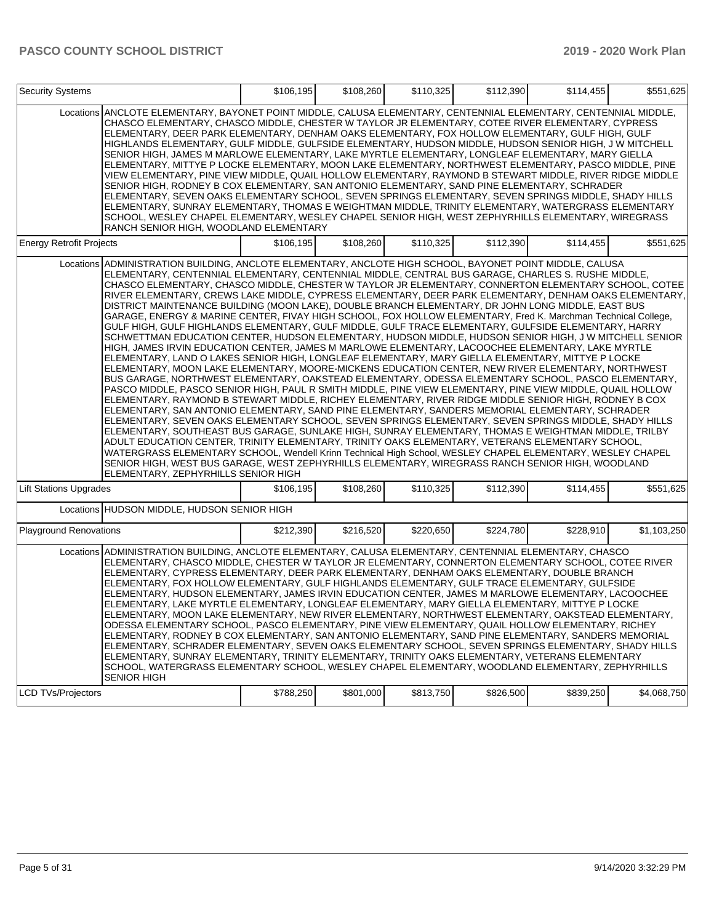| <b>Security Systems</b>         |                                                                                                                                                                                                                                                                                                                                                                                                                                                                                                                                                                                                                                                                                                                                                                                                                                                                                                                                                                                                                                                                                                                                                                                                                                                                                                                                                                                                                                                                                                                                                                                                                                                                                                                                                                                                                                                                                                                                                                                                                                                                                                                                                                                                        | \$106,195 | \$108,260 | \$110,325 | \$112,390 | \$114,455 | \$551,625   |
|---------------------------------|--------------------------------------------------------------------------------------------------------------------------------------------------------------------------------------------------------------------------------------------------------------------------------------------------------------------------------------------------------------------------------------------------------------------------------------------------------------------------------------------------------------------------------------------------------------------------------------------------------------------------------------------------------------------------------------------------------------------------------------------------------------------------------------------------------------------------------------------------------------------------------------------------------------------------------------------------------------------------------------------------------------------------------------------------------------------------------------------------------------------------------------------------------------------------------------------------------------------------------------------------------------------------------------------------------------------------------------------------------------------------------------------------------------------------------------------------------------------------------------------------------------------------------------------------------------------------------------------------------------------------------------------------------------------------------------------------------------------------------------------------------------------------------------------------------------------------------------------------------------------------------------------------------------------------------------------------------------------------------------------------------------------------------------------------------------------------------------------------------------------------------------------------------------------------------------------------------|-----------|-----------|-----------|-----------|-----------|-------------|
|                                 | Locations ANCLOTE ELEMENTARY, BAYONET POINT MIDDLE, CALUSA ELEMENTARY, CENTENNIAL ELEMENTARY, CENTENNIAL MIDDLE,<br>CHASCO ELEMENTARY, CHASCO MIDDLE, CHESTER W TAYLOR JR ELEMENTARY, COTEE RIVER ELEMENTARY, CYPRESS<br>ELEMENTARY, DEER PARK ELEMENTARY, DENHAM OAKS ELEMENTARY, FOX HOLLOW ELEMENTARY, GULF HIGH, GULF<br>HIGHLANDS ELEMENTARY, GULF MIDDLE, GULFSIDE ELEMENTARY, HUDSON MIDDLE, HUDSON SENIOR HIGH, J W MITCHELL <br>SENIOR HIGH, JAMES M MARLOWE ELEMENTARY, LAKE MYRTLE ELEMENTARY, LONGLEAF ELEMENTARY, MARY GIELLA<br>ELEMENTARY, MITTYE P LOCKE ELEMENTARY, MOON LAKE ELEMENTARY, NORTHWEST ELEMENTARY, PASCO MIDDLE, PINE<br>VIEW ELEMENTARY, PINE VIEW MIDDLE, QUAIL HOLLOW ELEMENTARY, RAYMOND B STEWART MIDDLE, RIVER RIDGE MIDDLE<br>SENIOR HIGH, RODNEY B COX ELEMENTARY, SAN ANTONIO ELEMENTARY, SAND PINE ELEMENTARY, SCHRADER<br>ELEMENTARY, SEVEN OAKS ELEMENTARY SCHOOL, SEVEN SPRINGS ELEMENTARY, SEVEN SPRINGS MIDDLE, SHADY HILLS<br>ELEMENTARY, SUNRAY ELEMENTARY, THOMAS E WEIGHTMAN MIDDLE, TRINITY ELEMENTARY, WATERGRASS ELEMENTARY<br>SCHOOL, WESLEY CHAPEL ELEMENTARY, WESLEY CHAPEL SENIOR HIGH, WEST ZEPHYRHILLS ELEMENTARY, WIREGRASS<br>RANCH SENIOR HIGH, WOODLAND ELEMENTARY                                                                                                                                                                                                                                                                                                                                                                                                                                                                                                                                                                                                                                                                                                                                                                                                                                                                                                                                                                       |           |           |           |           |           |             |
| <b>Energy Retrofit Projects</b> |                                                                                                                                                                                                                                                                                                                                                                                                                                                                                                                                                                                                                                                                                                                                                                                                                                                                                                                                                                                                                                                                                                                                                                                                                                                                                                                                                                                                                                                                                                                                                                                                                                                                                                                                                                                                                                                                                                                                                                                                                                                                                                                                                                                                        | \$106,195 | \$108,260 | \$110,325 | \$112,390 | \$114,455 | \$551,625   |
|                                 | Locations ADMINISTRATION BUILDING, ANCLOTE ELEMENTARY, ANCLOTE HIGH SCHOOL, BAYONET POINT MIDDLE, CALUSA<br>ELEMENTARY, CENTENNIAL ELEMENTARY, CENTENNIAL MIDDLE, CENTRAL BUS GARAGE, CHARLES S. RUSHE MIDDLE,<br>CHASCO ELEMENTARY, CHASCO MIDDLE, CHESTER W TAYLOR JR ELEMENTARY, CONNERTON ELEMENTARY SCHOOL, COTEE<br>RIVER ELEMENTARY, CREWS LAKE MIDDLE, CYPRESS ELEMENTARY, DEER PARK ELEMENTARY, DENHAM OAKS ELEMENTARY,<br>DISTRICT MAINTENANCE BUILDING (MOON LAKE), DOUBLE BRANCH ELEMENTARY, DR JOHN LONG MIDDLE, EAST BUS<br>GARAGE, ENERGY & MARINE CENTER, FIVAY HIGH SCHOOL, FOX HOLLOW ELEMENTARY, Fred K. Marchman Technical College,<br>GULF HIGH, GULF HIGHLANDS ELEMENTARY, GULF MIDDLE, GULF TRACE ELEMENTARY, GULFSIDE ELEMENTARY, HARRY<br>SCHWETTMAN EDUCATION CENTER, HUDSON ELEMENTARY, HUDSON MIDDLE, HUDSON SENIOR HIGH, J W MITCHELL SENIOR<br>HIGH, JAMES IRVIN EDUCATION CENTER, JAMES M MARLOWE ELEMENTARY, LACOOCHEE ELEMENTARY, LAKE MYRTLE<br>ELEMENTARY, LAND O LAKES SENIOR HIGH, LONGLEAF ELEMENTARY, MARY GIELLA ELEMENTARY, MITTYE P LOCKE<br>ELEMENTARY, MOON LAKE ELEMENTARY, MOORE-MICKENS EDUCATION CENTER, NEW RIVER ELEMENTARY, NORTHWEST<br>BUS GARAGE, NORTHWEST ELEMENTARY, OAKSTEAD ELEMENTARY, ODESSA ELEMENTARY SCHOOL, PASCO ELEMENTARY,<br>PASCO MIDDLE, PASCO SENIOR HIGH, PAUL R SMITH MIDDLE, PINE VIEW ELEMENTARY, PINE VIEW MIDDLE, QUAIL HOLLOW<br>ELEMENTARY, RAYMOND B STEWART MIDDLE, RICHEY ELEMENTARY, RIVER RIDGE MIDDLE SENIOR HIGH, RODNEY B COX<br>ELEMENTARY, SAN ANTONIO ELEMENTARY, SAND PINE ELEMENTARY, SANDERS MEMORIAL ELEMENTARY, SCHRADER<br>ELEMENTARY, SEVEN OAKS ELEMENTARY SCHOOL, SEVEN SPRINGS ELEMENTARY, SEVEN SPRINGS MIDDLE, SHADY HILLS<br>ELEMENTARY, SOUTHEAST BUS GARAGE, SUNLAKE HIGH, SUNRAY ELEMENTARY, THOMAS E WEIGHTMAN MIDDLE, TRILBY<br>ADULT EDUCATION CENTER, TRINITY ELEMENTARY, TRINITY OAKS ELEMENTARY, VETERANS ELEMENTARY SCHOOL,<br>WATERGRASS ELEMENTARY SCHOOL, Wendell Krinn Technical High School, WESLEY CHAPEL ELEMENTARY, WESLEY CHAPEL<br>SENIOR HIGH, WEST BUS GARAGE, WEST ZEPHYRHILLS ELEMENTARY, WIREGRASS RANCH SENIOR HIGH, WOODLAND<br>ELEMENTARY, ZEPHYRHILLS SENIOR HIGH |           |           |           |           |           |             |
| <b>Lift Stations Upgrades</b>   |                                                                                                                                                                                                                                                                                                                                                                                                                                                                                                                                                                                                                                                                                                                                                                                                                                                                                                                                                                                                                                                                                                                                                                                                                                                                                                                                                                                                                                                                                                                                                                                                                                                                                                                                                                                                                                                                                                                                                                                                                                                                                                                                                                                                        | \$106,195 | \$108,260 | \$110,325 | \$112,390 | \$114,455 | \$551,625   |
|                                 | Locations HUDSON MIDDLE, HUDSON SENIOR HIGH                                                                                                                                                                                                                                                                                                                                                                                                                                                                                                                                                                                                                                                                                                                                                                                                                                                                                                                                                                                                                                                                                                                                                                                                                                                                                                                                                                                                                                                                                                                                                                                                                                                                                                                                                                                                                                                                                                                                                                                                                                                                                                                                                            |           |           |           |           |           |             |
| <b>Playground Renovations</b>   |                                                                                                                                                                                                                                                                                                                                                                                                                                                                                                                                                                                                                                                                                                                                                                                                                                                                                                                                                                                                                                                                                                                                                                                                                                                                                                                                                                                                                                                                                                                                                                                                                                                                                                                                                                                                                                                                                                                                                                                                                                                                                                                                                                                                        | \$212,390 | \$216,520 | \$220,650 | \$224,780 | \$228,910 | \$1,103,250 |
|                                 | Locations ADMINISTRATION BUILDING, ANCLOTE ELEMENTARY, CALUSA ELEMENTARY, CENTENNIAL ELEMENTARY, CHASCO<br>ELEMENTARY, CHASCO MIDDLE, CHESTER W TAYLOR JR ELEMENTARY, CONNERTON ELEMENTARY SCHOOL, COTEE RIVER<br>ELEMENTARY, CYPRESS ELEMENTARY, DEER PARK ELEMENTARY, DENHAM OAKS ELEMENTARY, DOUBLE BRANCH<br>IELEMENTARY. FOX HOLLOW ELEMENTARY. GULF HIGHLANDS ELEMENTARY. GULF TRACE ELEMENTARY. GULFSIDE<br>ELEMENTARY, HUDSON ELEMENTARY, JAMES IRVIN EDUCATION CENTER, JAMES M MARLOWE ELEMENTARY, LACOOCHEE<br>ELEMENTARY, LAKE MYRTLE ELEMENTARY, LONGLEAF ELEMENTARY, MARY GIELLA ELEMENTARY, MITTYE P LOCKE<br>ELEMENTARY, MOON LAKE ELEMENTARY, NEW RIVER ELEMENTARY, NORTHWEST ELEMENTARY, OAKSTEAD ELEMENTARY,<br>ODESSA ELEMENTARY SCHOOL, PASCO ELEMENTARY, PINE VIEW ELEMENTARY, QUAIL HOLLOW ELEMENTARY, RICHEY<br>ELEMENTARY, RODNEY B COX ELEMENTARY, SAN ANTONIO ELEMENTARY, SAND PINE ELEMENTARY, SANDERS MEMORIAL<br>IELEMENTARY. SCHRADER ELEMENTARY. SEVEN OAKS ELEMENTARY SCHOOL. SEVEN SPRINGS ELEMENTARY. SHADY HILLS<br>ELEMENTARY, SUNRAY ELEMENTARY, TRINITY ELEMENTARY, TRINITY OAKS ELEMENTARY, VETERANS ELEMENTARY <br>SCHOOL, WATERGRASS ELEMENTARY SCHOOL, WESLEY CHAPEL ELEMENTARY, WOODLAND ELEMENTARY, ZEPHYRHILLS<br><b>SENIOR HIGH</b>                                                                                                                                                                                                                                                                                                                                                                                                                                                                                                                                                                                                                                                                                                                                                                                                                                                                                                                      |           |           |           |           |           |             |
| <b>LCD TVs/Projectors</b>       |                                                                                                                                                                                                                                                                                                                                                                                                                                                                                                                                                                                                                                                                                                                                                                                                                                                                                                                                                                                                                                                                                                                                                                                                                                                                                                                                                                                                                                                                                                                                                                                                                                                                                                                                                                                                                                                                                                                                                                                                                                                                                                                                                                                                        | \$788,250 | \$801,000 | \$813,750 | \$826,500 | \$839,250 | \$4,068,750 |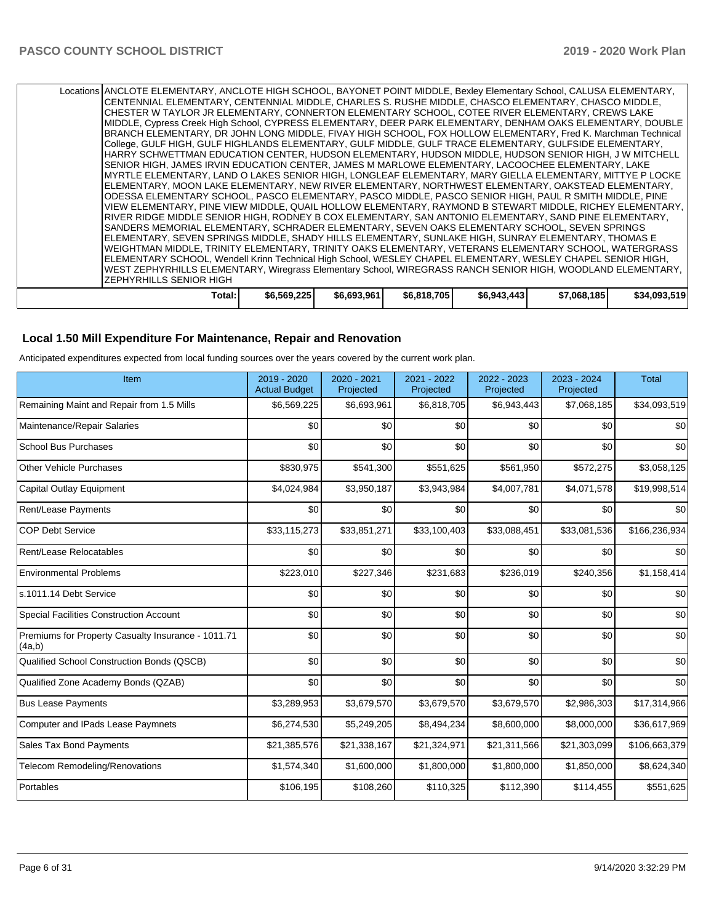| Total:                                                                                                                                                                                                         | \$6,569,225 | \$6,693,961 | \$6,818,705 | \$6,943,443 | \$7,068,185 | \$34,093,519 |
|----------------------------------------------------------------------------------------------------------------------------------------------------------------------------------------------------------------|-------------|-------------|-------------|-------------|-------------|--------------|
| IZEPHYRHILLS SENIOR HIGH                                                                                                                                                                                       |             |             |             |             |             |              |
| <b> WEST ZEPHYRHILLS ELEMENTARY, Wiregrass Elementary School, WIREGRASS RANCH SENIOR HIGH, WOODLAND ELEMENTARY,</b>                                                                                            |             |             |             |             |             |              |
| ELEMENTARY SCHOOL, Wendell Krinn Technical High School, WESLEY CHAPEL ELEMENTARY, WESLEY CHAPEL SENIOR HIGH,                                                                                                   |             |             |             |             |             |              |
| WEIGHTMAN MIDDLE, TRINITY ELEMENTARY, TRINITY OAKS ELEMENTARY, VETERANS ELEMENTARY SCHOOL, WATERGRASS                                                                                                          |             |             |             |             |             |              |
| ELEMENTARY, SEVEN SPRINGS MIDDLE, SHADY HILLS ELEMENTARY, SUNLAKE HIGH, SUNRAY ELEMENTARY, THOMAS E                                                                                                            |             |             |             |             |             |              |
| SANDERS MEMORIAL ELEMENTARY, SCHRADER ELEMENTARY, SEVEN OAKS ELEMENTARY SCHOOL, SEVEN SPRINGS                                                                                                                  |             |             |             |             |             |              |
| RIVER RIDGE MIDDLE SENIOR HIGH, RODNEY B COX ELEMENTARY, SAN ANTONIO ELEMENTARY, SAND PINE ELEMENTARY,                                                                                                         |             |             |             |             |             |              |
| IVIEW ELEMENTARY. PINE VIEW MIDDLE, QUAIL HOLLOW ELEMENTARY, RAYMOND B STEWART MIDDLE, RICHEY ELEMENTARY.                                                                                                      |             |             |             |             |             |              |
| ODESSA ELEMENTARY SCHOOL, PASCO ELEMENTARY, PASCO MIDDLE, PASCO SENIOR HIGH, PAUL R SMITH MIDDLE, PINE                                                                                                         |             |             |             |             |             |              |
| IELEMENTARY, MOON LAKE ELEMENTARY, NEW RIVER ELEMENTARY, NORTHWEST ELEMENTARY, OAKSTEAD ELEMENTARY,                                                                                                            |             |             |             |             |             |              |
| SENIOR HIGH, JAMES IRVIN EDUCATION CENTER, JAMES M MARLOWE ELEMENTARY, LACOOCHEE ELEMENTARY, LAKE<br>IMYRTLE ELEMENTARY, LAND O LAKES SENIOR HIGH, LONGLEAF ELEMENTARY, MARY GIELLA ELEMENTARY, MITTYE P LOCKE |             |             |             |             |             |              |
| HARRY SCHWETTMAN EDUCATION CENTER, HUDSON ELEMENTARY, HUDSON MIDDLE, HUDSON SENIOR HIGH, J W MITCHELL                                                                                                          |             |             |             |             |             |              |
| College, GULF HIGH, GULF HIGHLANDS ELEMENTARY, GULF MIDDLE, GULF TRACE ELEMENTARY, GULFSIDE ELEMENTARY,                                                                                                        |             |             |             |             |             |              |
| BRANCH ELEMENTARY, DR JOHN LONG MIDDLE, FIVAY HIGH SCHOOL, FOX HOLLOW ELEMENTARY, Fred K. Marchman Technical                                                                                                   |             |             |             |             |             |              |
| MIDDLE, Cypress Creek High School, CYPRESS ELEMENTARY, DEER PARK ELEMENTARY, DENHAM OAKS ELEMENTARY, DOUBLE                                                                                                    |             |             |             |             |             |              |
| CHESTER W TAYLOR JR ELEMENTARY, CONNERTON ELEMENTARY SCHOOL, COTEE RIVER ELEMENTARY, CREWS LAKE                                                                                                                |             |             |             |             |             |              |
| CENTENNIAL ELEMENTARY, CENTENNIAL MIDDLE, CHARLES S. RUSHE MIDDLE, CHASCO ELEMENTARY, CHASCO MIDDLE,                                                                                                           |             |             |             |             |             |              |
| Locations ANCLOTE ELEMENTARY, ANCLOTE HIGH SCHOOL, BAYONET POINT MIDDLE, Bexley Elementary School, CALUSA ELEMENTARY,                                                                                          |             |             |             |             |             |              |
|                                                                                                                                                                                                                |             |             |             |             |             |              |

#### **Local 1.50 Mill Expenditure For Maintenance, Repair and Renovation**

Anticipated expenditures expected from local funding sources over the years covered by the current work plan.

| Item                                                         | $2019 - 2020$<br><b>Actual Budget</b> | 2020 - 2021<br>Projected | 2021 - 2022<br>Projected | 2022 - 2023<br>Projected | 2023 - 2024<br>Projected | <b>Total</b>  |
|--------------------------------------------------------------|---------------------------------------|--------------------------|--------------------------|--------------------------|--------------------------|---------------|
| Remaining Maint and Repair from 1.5 Mills                    | \$6,569,225                           | \$6,693,961              | \$6,818,705              | \$6,943,443              | \$7,068,185              | \$34,093,519  |
| Maintenance/Repair Salaries                                  | \$0                                   | \$0                      | \$0                      | \$0                      | \$0                      | \$0           |
| <b>School Bus Purchases</b>                                  | \$0                                   | \$0                      | \$0                      | \$0                      | \$0                      | \$0           |
| Other Vehicle Purchases                                      | \$830,975                             | \$541,300                | \$551,625                | \$561,950                | \$572,275                | \$3,058,125   |
| Capital Outlay Equipment                                     | \$4,024,984                           | \$3,950,187              | \$3,943,984              | \$4,007,781              | \$4,071,578              | \$19,998,514  |
| Rent/Lease Payments                                          | \$0 <sub>1</sub>                      | \$0                      | \$0                      | \$0                      | \$0                      | \$0           |
| <b>COP Debt Service</b>                                      | \$33,115,273                          | \$33,851,271             | \$33,100,403             | \$33,088,451             | \$33,081,536             | \$166,236,934 |
| Rent/Lease Relocatables                                      | \$0                                   | \$0                      | \$0                      | \$0                      | \$0                      | \$0           |
| <b>Environmental Problems</b>                                | \$223,010                             | \$227,346                | \$231,683                | \$236,019                | \$240,356                | \$1,158,414   |
| ls.1011.14 Debt Service                                      | \$0 <sub>1</sub>                      | \$0                      | \$0                      | \$0                      | \$0                      | \$0           |
| <b>Special Facilities Construction Account</b>               | \$0                                   | \$0                      | \$0                      | \$0                      | \$0                      | \$0           |
| Premiums for Property Casualty Insurance - 1011.71<br>(4a,b) | \$0                                   | \$0                      | \$0                      | \$0                      | \$0                      | \$0           |
| Qualified School Construction Bonds (QSCB)                   | \$0                                   | \$0                      | \$0                      | \$0                      | \$0                      | \$0           |
| Qualified Zone Academy Bonds (QZAB)                          | \$0                                   | \$0                      | \$0                      | \$0                      | \$0                      | \$0           |
| <b>Bus Lease Payments</b>                                    | \$3,289,953                           | \$3,679,570              | \$3,679,570              | \$3,679,570              | \$2,986,303              | \$17,314,966  |
| Computer and IPads Lease Paymnets                            | \$6,274,530                           | \$5,249,205              | \$8,494,234              | \$8,600,000              | \$8,000,000              | \$36,617,969  |
| Sales Tax Bond Payments                                      | \$21,385,576                          | \$21,338,167             | \$21,324,971             | \$21,311,566             | \$21,303,099             | \$106,663,379 |
| Telecom Remodeling/Renovations                               | \$1,574,340                           | \$1,600,000              | \$1,800,000              | \$1,800,000              | \$1,850,000              | \$8,624,340   |
| Portables                                                    | \$106,195                             | \$108,260                | \$110,325                | \$112,390                | \$114,455                | \$551,625     |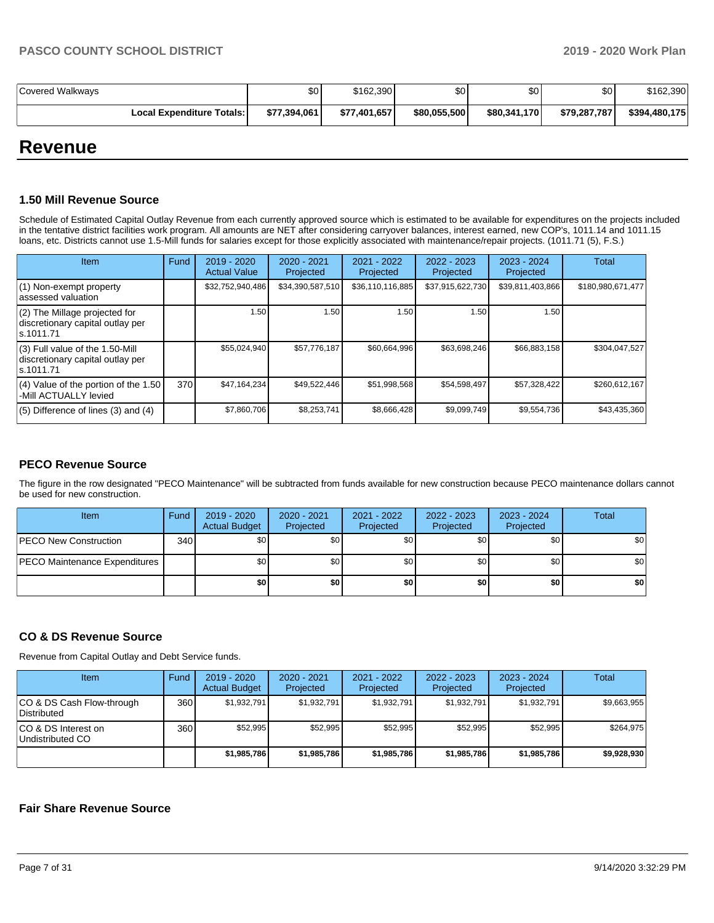| Covered Walkways                   | \$0          | \$162.390    | \$0          | \$0          | \$٥١         | \$162,390     |
|------------------------------------|--------------|--------------|--------------|--------------|--------------|---------------|
| <b>Local Expenditure Totals: I</b> | \$77,394,061 | \$77,401,657 | \$80,055,500 | \$80,341,170 | \$79,287,787 | \$394,480,175 |

# **Revenue**

#### **1.50 Mill Revenue Source**

Schedule of Estimated Capital Outlay Revenue from each currently approved source which is estimated to be available for expenditures on the projects included in the tentative district facilities work program. All amounts are NET after considering carryover balances, interest earned, new COP's, 1011.14 and 1011.15 loans, etc. Districts cannot use 1.5-Mill funds for salaries except for those explicitly associated with maintenance/repair projects. (1011.71 (5), F.S.)

| <b>Item</b>                                                                         | Fund | $2019 - 2020$<br><b>Actual Value</b> | $2020 - 2021$<br>Projected | 2021 - 2022<br>Projected | $2022 - 2023$<br>Projected | $2023 - 2024$<br>Projected | <b>Total</b>      |
|-------------------------------------------------------------------------------------|------|--------------------------------------|----------------------------|--------------------------|----------------------------|----------------------------|-------------------|
| (1) Non-exempt property<br>lassessed valuation                                      |      | \$32,752,940,486                     | \$34,390,587,510           | \$36,110,116,885         | \$37,915,622,730           | \$39,811,403,866           | \$180,980,671,477 |
| $(2)$ The Millage projected for<br>discretionary capital outlay per<br>ls.1011.71   |      | 1.50                                 | 1.50                       | 1.50                     | 1.50                       | 1.50                       |                   |
| $(3)$ Full value of the 1.50-Mill<br>discretionary capital outlay per<br>ls.1011.71 |      | \$55,024,940                         | \$57,776,187               | \$60,664,996             | \$63,698,246               | \$66,883,158               | \$304,047,527     |
| (4) Value of the portion of the 1.50<br>-Mill ACTUALLY levied                       | 370  | \$47,164,234                         | \$49,522,446               | \$51,998,568             | \$54.598.497               | \$57,328,422               | \$260,612,167     |
| $(5)$ Difference of lines $(3)$ and $(4)$                                           |      | \$7,860,706                          | \$8,253,741                | \$8,666,428              | \$9,099,749                | \$9,554,736                | \$43,435,360      |

#### **PECO Revenue Source**

The figure in the row designated "PECO Maintenance" will be subtracted from funds available for new construction because PECO maintenance dollars cannot be used for new construction.

| Item                                 | Fund | 2019 - 2020<br><b>Actual Budget</b> | $2020 - 2021$<br>Projected | 2021 - 2022<br>Projected | 2022 - 2023<br>Projected | 2023 - 2024<br>Projected | <b>Total</b> |
|--------------------------------------|------|-------------------------------------|----------------------------|--------------------------|--------------------------|--------------------------|--------------|
| <b>PECO New Construction</b>         | 340  | \$0                                 | \$0 <sub>1</sub>           | \$0                      | \$0 <sub>1</sub>         | \$0                      | \$0          |
| <b>PECO Maintenance Expenditures</b> |      | \$0                                 | \$0 <sub>1</sub>           | \$0                      | \$0 <sub>1</sub>         | \$0                      | \$0          |
|                                      |      | \$0                                 | \$0                        | \$0                      | \$0                      | \$0                      | \$0          |

#### **CO & DS Revenue Source**

Revenue from Capital Outlay and Debt Service funds.

| Item                                      | Fund | $2019 - 2020$<br><b>Actual Budget</b> | $2020 - 2021$<br>Projected | $2021 - 2022$<br>Projected | $2022 - 2023$<br>Projected | $2023 - 2024$<br>Projected | Total       |
|-------------------------------------------|------|---------------------------------------|----------------------------|----------------------------|----------------------------|----------------------------|-------------|
| ICO & DS Cash Flow-through<br>Distributed | 360  | \$1.932.791                           | \$1,932,791                | \$1.932.791                | \$1.932.791                | \$1.932.791                | \$9,663,955 |
| ICO & DS Interest on<br>Undistributed CO  | 360  | \$52.995                              | \$52.995                   | \$52.995                   | \$52.995                   | \$52.995                   | \$264.975   |
|                                           |      | \$1.985.786                           | \$1,985,786                | \$1.985.786                | \$1.985.786                | \$1.985.786                | \$9.928.930 |

#### **Fair Share Revenue Source**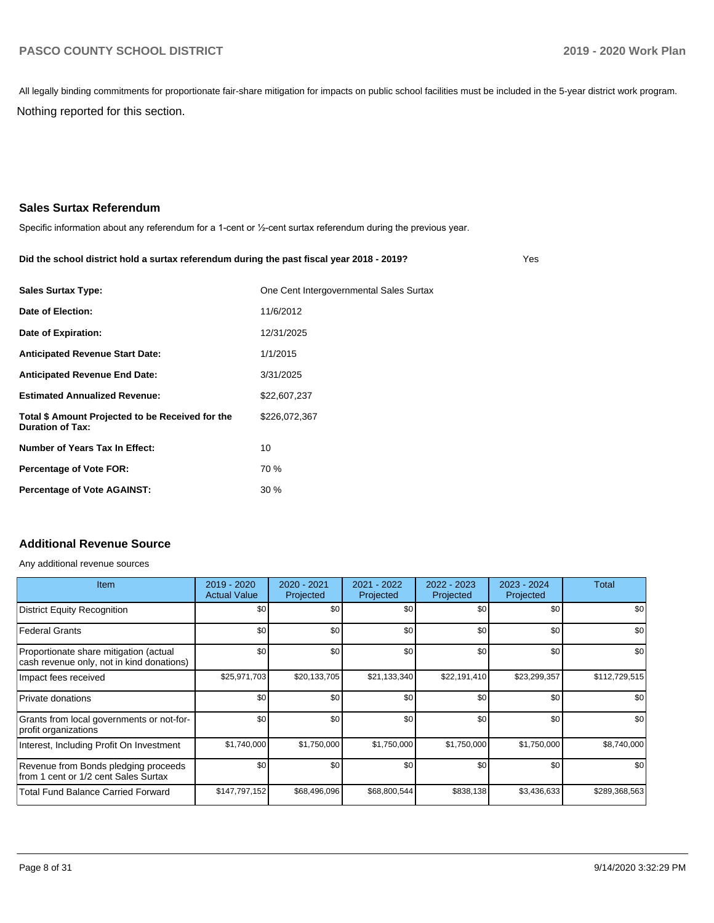Nothing reported for this section. All legally binding commitments for proportionate fair-share mitigation for impacts on public school facilities must be included in the 5-year district work program.

# **Sales Surtax Referendum**

Specific information about any referendum for a 1-cent or ½-cent surtax referendum during the previous year.

#### **Did the school district hold a surtax referendum during the past fiscal year 2018 - 2019?**

Yes

| <b>Sales Surtax Type:</b>                                                   | One Cent Intergovernmental Sales Surtax |
|-----------------------------------------------------------------------------|-----------------------------------------|
| Date of Election:                                                           | 11/6/2012                               |
| Date of Expiration:                                                         | 12/31/2025                              |
| <b>Anticipated Revenue Start Date:</b>                                      | 1/1/2015                                |
| <b>Anticipated Revenue End Date:</b>                                        | 3/31/2025                               |
| <b>Estimated Annualized Revenue:</b>                                        | \$22,607,237                            |
| Total \$ Amount Projected to be Received for the<br><b>Duration of Tax:</b> | \$226,072,367                           |
| Number of Years Tax In Effect:                                              | 10                                      |
| <b>Percentage of Vote FOR:</b>                                              | 70 %                                    |
| <b>Percentage of Vote AGAINST:</b>                                          | 30%                                     |

### **Additional Revenue Source**

Any additional revenue sources

| <b>Item</b>                                                                         | 2019 - 2020<br><b>Actual Value</b> | 2020 - 2021<br>Projected | 2021 - 2022<br>Projected | 2022 - 2023<br>Projected | 2023 - 2024<br>Projected | Total         |
|-------------------------------------------------------------------------------------|------------------------------------|--------------------------|--------------------------|--------------------------|--------------------------|---------------|
| <b>District Equity Recognition</b>                                                  | \$0                                | \$0                      | \$0                      | \$0                      | \$0                      | \$0           |
| <b>Federal Grants</b>                                                               | \$0                                | \$0                      | \$0                      | \$0                      | \$0                      | \$0           |
| Proportionate share mitigation (actual<br>cash revenue only, not in kind donations) | \$0                                | \$0                      | \$0                      | \$0                      | \$0                      | \$0           |
| Impact fees received                                                                | \$25,971,703                       | \$20,133,705             | \$21,133,340             | \$22,191,410             | \$23,299,357             | \$112,729,515 |
| Private donations                                                                   | \$0                                | \$0                      | \$0                      | \$0                      | \$0                      | \$0           |
| Grants from local governments or not-for-<br>profit organizations                   | \$0                                | \$0                      | \$0                      | \$0                      | \$0                      | \$0           |
| Interest, Including Profit On Investment                                            | \$1,740,000                        | \$1,750,000              | \$1,750,000              | \$1,750,000              | \$1,750,000              | \$8,740,000   |
| Revenue from Bonds pledging proceeds<br>from 1 cent or 1/2 cent Sales Surtax        | \$0                                | \$0                      | \$0                      | \$0                      | \$0                      | \$0           |
| <b>Total Fund Balance Carried Forward</b>                                           | \$147,797,152                      | \$68,496,096             | \$68,800,544             | \$838,138                | \$3,436,633              | \$289,368,563 |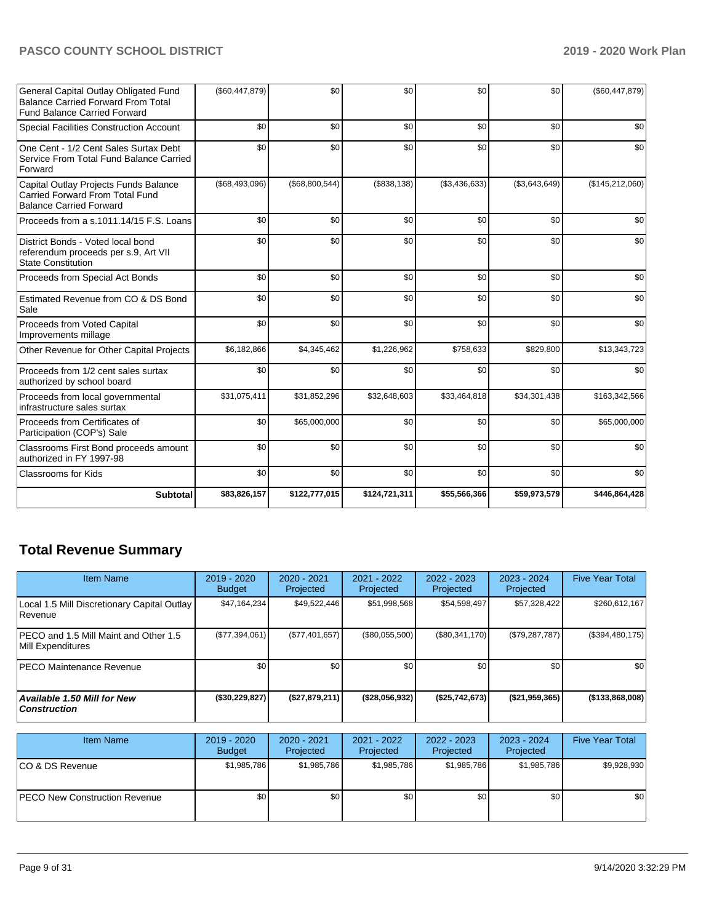| Subtotal                                                                                                                  | \$83,826,157   | \$122,777,015    | \$124,721,311 | \$55,566,366  | \$59,973,579  | \$446,864,428   |
|---------------------------------------------------------------------------------------------------------------------------|----------------|------------------|---------------|---------------|---------------|-----------------|
| <b>Classrooms for Kids</b>                                                                                                | \$0            | \$0              | \$0           | \$0           | \$0           | \$0             |
| Classrooms First Bond proceeds amount<br>authorized in FY 1997-98                                                         | \$0            | \$0              | \$0           | \$0           | \$0           | \$0             |
| Proceeds from Certificates of<br>Participation (COP's) Sale                                                               | \$0            | \$65,000,000     | \$0           | \$0           | \$0           | \$65,000,000    |
| Proceeds from local governmental<br>infrastructure sales surtax                                                           | \$31,075,411   | \$31,852,296     | \$32,648,603  | \$33,464,818  | \$34,301,438  | \$163,342,566   |
| Proceeds from 1/2 cent sales surtax<br>authorized by school board                                                         | \$0            | \$0              | \$0           | \$0           | \$0           | \$0             |
| Other Revenue for Other Capital Projects                                                                                  | \$6,182,866    | \$4,345,462      | \$1,226,962   | \$758,633     | \$829,800     | \$13,343,723    |
| Proceeds from Voted Capital<br>Improvements millage                                                                       | \$0            | \$0              | \$0           | \$0           | \$0           | \$0             |
| Estimated Revenue from CO & DS Bond<br>Sale                                                                               | \$0            | \$0              | \$0           | \$0           | \$0           | \$0             |
| Proceeds from Special Act Bonds                                                                                           | \$0            | \$0              | \$0           | \$0           | \$0           | \$0             |
| District Bonds - Voted local bond<br>referendum proceeds per s.9, Art VII<br><b>State Constitution</b>                    | \$0            | \$0              | \$0           | \$0           | \$0           | \$0             |
| Proceeds from a s.1011.14/15 F.S. Loans                                                                                   | \$0            | \$0              | \$0           | \$0           | \$0           | \$0             |
| Capital Outlay Projects Funds Balance<br>Carried Forward From Total Fund<br><b>Balance Carried Forward</b>                | (\$68,493,096) | (\$68,800,544)   | (\$838, 138)  | (\$3,436,633) | (\$3,643,649) | (\$145,212,060) |
| One Cent - 1/2 Cent Sales Surtax Debt<br>Service From Total Fund Balance Carried<br>Forward                               | \$0            | \$0              | \$0           | \$0           | \$0           | \$0             |
| <b>Special Facilities Construction Account</b>                                                                            | \$0            | \$0              | \$0           | \$0           | \$0           | \$0             |
| General Capital Outlay Obligated Fund<br><b>Balance Carried Forward From Total</b><br><b>Fund Balance Carried Forward</b> | (\$60,447,879) | \$0 <sub>1</sub> | \$0           | \$0           | \$0           | (\$60,447,879)  |

# **Total Revenue Summary**

| <b>Item Name</b>                                              | 2019 - 2020<br><b>Budget</b> | 2020 - 2021<br>Projected | 2021 - 2022<br>Projected | $2022 - 2023$<br>Projected | $2023 - 2024$<br>Projected | <b>Five Year Total</b> |
|---------------------------------------------------------------|------------------------------|--------------------------|--------------------------|----------------------------|----------------------------|------------------------|
| Local 1.5 Mill Discretionary Capital Outlay<br><b>Revenue</b> | \$47,164,234                 | \$49,522,446             | \$51,998,568             | \$54,598,497               | \$57,328,422               | \$260,612,167          |
| PECO and 1.5 Mill Maint and Other 1.5<br>Mill Expenditures    | (S77, 394, 061)              | (\$77,401,657)           | $(\$80,055,500)$         | (S80, 341, 170)            | (\$79,287,787)             | (\$394,480,175)        |
| IPECO Maintenance Revenue                                     | \$0                          | \$0                      | \$0                      | \$0                        | \$0                        | \$0                    |
| <b>Available 1.50 Mill for New</b><br>  Construction          | (\$30,229,827)               | (\$27,879,211)           | (\$28,056,932)           | (\$25,742,673)             | $($ \$21,959,365) $ $      | ( \$133, 868, 008)     |

| <b>Item Name</b>                      | $2019 - 2020$<br><b>Budget</b> | $2020 - 2021$<br>Projected | 2021 - 2022<br>Projected | 2022 - 2023<br>Projected | 2023 - 2024<br>Projected | <b>Five Year Total</b> |
|---------------------------------------|--------------------------------|----------------------------|--------------------------|--------------------------|--------------------------|------------------------|
| ICO & DS Revenue                      | \$1,985,786                    | \$1,985,786                | \$1,985,786              | \$1,985,786              | \$1,985,786              | \$9,928,930            |
| <b>IPECO New Construction Revenue</b> | \$0                            | \$0                        | \$0                      | \$0                      | \$0                      | \$0                    |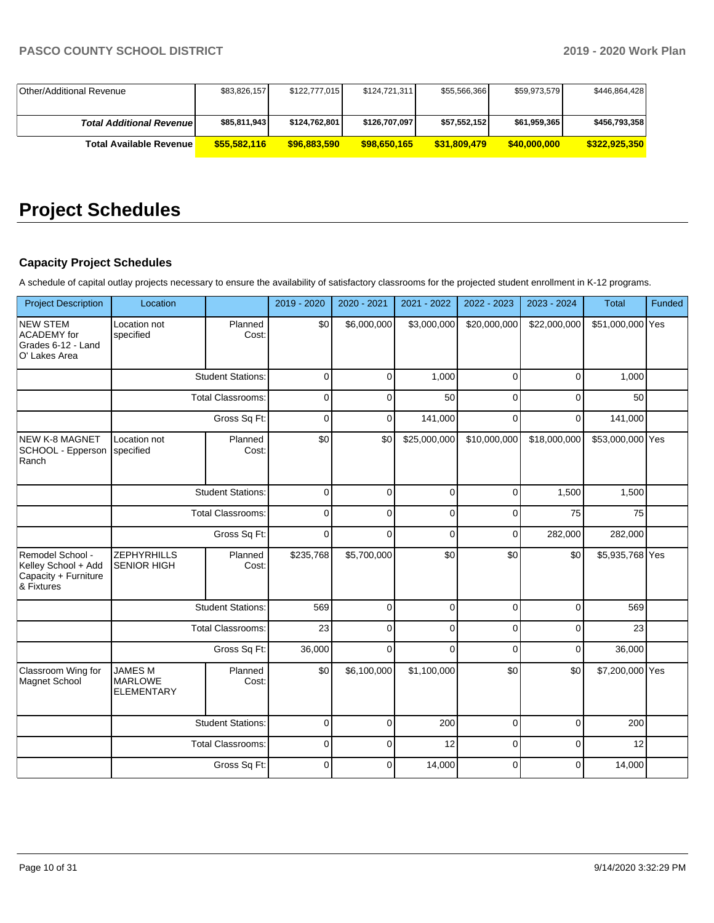| Other/Additional Revenue         | \$83,826,157 | \$122,777,015 | \$124,721,311 | \$55,566,366 | \$59,973,579 | \$446,864,428 |
|----------------------------------|--------------|---------------|---------------|--------------|--------------|---------------|
|                                  |              |               |               |              |              |               |
| <b>Total Additional Revenuel</b> | \$85,811,943 | \$124,762,801 | \$126,707,097 | \$57,552,152 | \$61,959,365 | \$456,793,358 |
| Total Available Revenue          | \$55,582,116 | \$96,883,590  | \$98,650,165  | \$31,809,479 | \$40,000,000 | \$322.925.350 |

# **Project Schedules**

# **Capacity Project Schedules**

A schedule of capital outlay projects necessary to ensure the availability of satisfactory classrooms for the projected student enrollment in K-12 programs.

| <b>Project Description</b>                                                    | Location                                              |                          | 2019 - 2020 | 2020 - 2021 | 2021 - 2022  | 2022 - 2023  | 2023 - 2024  | Total            | Funded |
|-------------------------------------------------------------------------------|-------------------------------------------------------|--------------------------|-------------|-------------|--------------|--------------|--------------|------------------|--------|
| <b>NEW STEM</b><br>ACADEMY for<br>Grades 6-12 - Land<br>O' Lakes Area         | Location not<br>specified                             | Planned<br>Cost:         | \$0         | \$6,000,000 | \$3,000,000  | \$20,000,000 | \$22,000,000 | \$51,000,000 Yes |        |
|                                                                               |                                                       | <b>Student Stations:</b> | $\Omega$    | $\Omega$    | 1,000        | $\Omega$     | $\Omega$     | 1,000            |        |
|                                                                               |                                                       | <b>Total Classrooms:</b> | $\mathbf 0$ | 0           | 50           | 0            | 0            | 50               |        |
|                                                                               |                                                       | Gross Sq Ft:             | $\Omega$    | $\mathbf 0$ | 141,000      | $\Omega$     | $\Omega$     | 141,000          |        |
| NEW K-8 MAGNET<br>SCHOOL - Epperson<br>Ranch                                  | Location not<br>specified                             | Planned<br>Cost:         | \$0         | \$0         | \$25,000,000 | \$10,000,000 | \$18,000,000 | \$53,000,000 Yes |        |
|                                                                               |                                                       | <b>Student Stations:</b> | $\mathbf 0$ | 0           | $\mathbf 0$  | $\mathbf 0$  | 1,500        | 1,500            |        |
|                                                                               | <b>Total Classrooms:</b>                              |                          | $\mathbf 0$ | $\Omega$    | $\mathbf 0$  | $\mathbf 0$  | 75           | 75               |        |
|                                                                               | Gross Sq Ft:                                          |                          | $\mathbf 0$ | $\Omega$    | 0            | $\mathbf 0$  | 282,000      | 282,000          |        |
| Remodel School -<br>Kelley School + Add<br>Capacity + Furniture<br>& Fixtures | <b>ZEPHYRHILLS</b><br><b>SENIOR HIGH</b>              | Planned<br>Cost:         | \$235,768   | \$5,700,000 | \$0          | \$0          | \$0          | \$5,935,768 Yes  |        |
|                                                                               |                                                       | <b>Student Stations:</b> | 569         | $\Omega$    | $\mathbf 0$  | $\Omega$     | $\Omega$     | 569              |        |
|                                                                               |                                                       | <b>Total Classrooms:</b> | 23          | $\Omega$    | $\Omega$     | $\Omega$     | $\Omega$     | 23               |        |
|                                                                               |                                                       | Gross Sq Ft:             | 36,000      | $\Omega$    | $\Omega$     | $\mathbf 0$  | $\mathbf 0$  | 36,000           |        |
| Classroom Wing for<br>Magnet School                                           | <b>JAMES M</b><br><b>MARLOWE</b><br><b>ELEMENTARY</b> | Planned<br>Cost:         | \$0         | \$6,100,000 | \$1,100,000  | \$0          | \$0          | \$7,200,000 Yes  |        |
|                                                                               |                                                       | <b>Student Stations:</b> | $\mathbf 0$ | $\Omega$    | 200          | $\mathbf 0$  | $\mathbf 0$  | 200              |        |
|                                                                               |                                                       | Total Classrooms:        | $\mathbf 0$ | 0           | 12           | $\mathbf 0$  | $\mathbf 0$  | 12               |        |
|                                                                               |                                                       | Gross Sq Ft:             | $\mathbf 0$ | $\Omega$    | 14,000       | $\Omega$     | $\mathbf 0$  | 14,000           |        |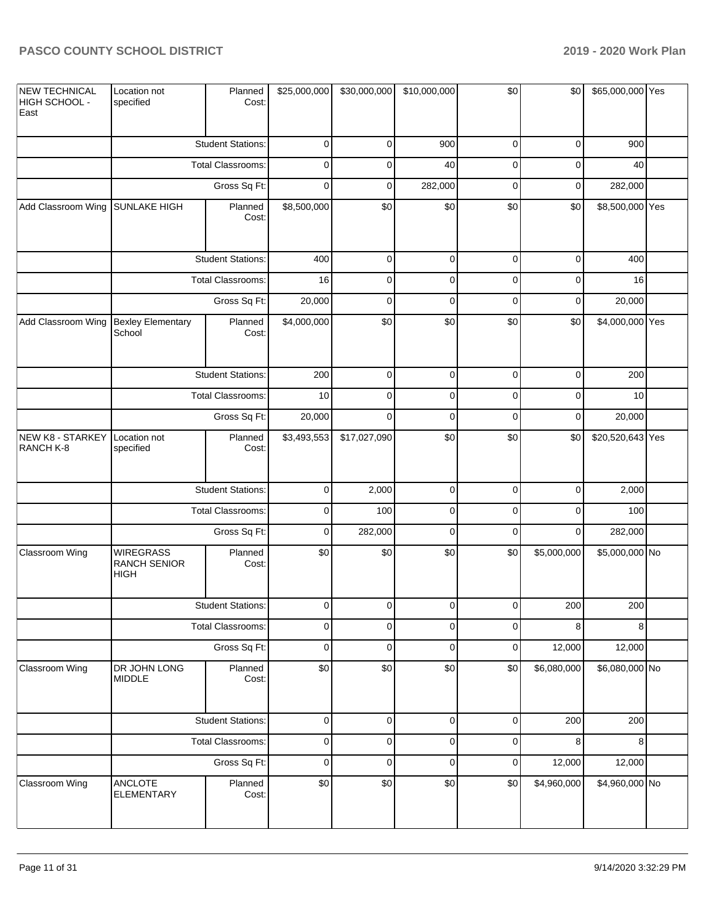| <b>NEW TECHNICAL</b><br>HIGH SCHOOL -<br>East | Location not<br>specified                       | Planned<br>Cost:         | \$25,000,000 | \$30,000,000 | \$10,000,000 | \$0         | \$0         | \$65,000,000 Yes |  |
|-----------------------------------------------|-------------------------------------------------|--------------------------|--------------|--------------|--------------|-------------|-------------|------------------|--|
|                                               |                                                 | <b>Student Stations:</b> | $\mathbf 0$  | $\mathbf 0$  | 900          | $\mathbf 0$ | $\mathbf 0$ | 900              |  |
|                                               |                                                 | <b>Total Classrooms:</b> | $\mathbf 0$  | 0            | 40           | $\mathbf 0$ | $\mathbf 0$ | 40               |  |
|                                               |                                                 | Gross Sq Ft:             | $\mathbf 0$  | $\mathbf 0$  | 282,000      | $\mathbf 0$ | $\pmb{0}$   | 282,000          |  |
| Add Classroom Wing SUNLAKE HIGH               |                                                 | Planned<br>Cost:         | \$8,500,000  | \$0          | \$0          | \$0         | \$0         | \$8,500,000 Yes  |  |
|                                               |                                                 | <b>Student Stations:</b> | 400          | $\mathbf 0$  | $\mathbf 0$  | $\mathbf 0$ | $\mathbf 0$ | 400              |  |
|                                               |                                                 | <b>Total Classrooms:</b> | 16           | $\mathbf 0$  | $\pmb{0}$    | $\mathbf 0$ | $\mathbf 0$ | 16               |  |
|                                               |                                                 | Gross Sq Ft:             | 20,000       | $\mathbf 0$  | $\mathbf 0$  | $\mathbf 0$ | $\mathbf 0$ | 20,000           |  |
| Add Classroom Wing                            | <b>Bexley Elementary</b><br>School              | Planned<br>Cost:         | \$4,000,000  | \$0          | \$0          | \$0         | \$0         | \$4,000,000 Yes  |  |
|                                               |                                                 | <b>Student Stations:</b> | 200          | $\mathbf 0$  | $\pmb{0}$    | $\mathbf 0$ | $\mathbf 0$ | 200              |  |
|                                               |                                                 | Total Classrooms:        | 10           | $\mathbf 0$  | $\pmb{0}$    | $\mathbf 0$ | $\mathbf 0$ | 10               |  |
|                                               | Gross Sq Ft:                                    |                          | 20,000       | $\mathbf 0$  | $\mathbf 0$  | $\mathbf 0$ | $\pmb{0}$   | 20,000           |  |
| NEW K8 - STARKEY<br>RANCH K-8                 | Location not<br>specified                       | Planned<br>Cost:         | \$3,493,553  | \$17,027,090 | \$0          | \$0         | \$0         | \$20,520,643 Yes |  |
|                                               |                                                 | <b>Student Stations:</b> | $\mathbf 0$  | 2,000        | $\mathsf 0$  | $\mathbf 0$ | $\pmb{0}$   | 2,000            |  |
|                                               |                                                 | Total Classrooms:        | $\mathbf 0$  | 100          | $\mathbf 0$  | $\mathbf 0$ | $\mathbf 0$ | 100              |  |
|                                               |                                                 | Gross Sq Ft:             | $\mathbf 0$  | 282,000      | $\mathbf 0$  | $\mathbf 0$ | $\mathbf 0$ | 282,000          |  |
| Classroom Wing                                | <b>WIREGRASS</b><br><b>RANCH SENIOR</b><br>HIGH | Planned<br>Cost:         | \$0          | \$0          | \$0          | \$0         | \$5,000,000 | \$5,000,000 No   |  |
|                                               |                                                 | <b>Student Stations:</b> | $\Omega$     | $\Omega$     | $\Omega$     | $\Omega$    | 200         | 200              |  |
|                                               |                                                 | <b>Total Classrooms:</b> | $\pmb{0}$    | $\mathbf 0$  | $\mathbf 0$  | $\mathbf 0$ | 8           | 8                |  |
|                                               |                                                 | Gross Sq Ft:             | $\pmb{0}$    | $\pmb{0}$    | $\pmb{0}$    | $\pmb{0}$   | 12,000      | 12,000           |  |
| Classroom Wing                                | DR JOHN LONG<br><b>MIDDLE</b>                   | Planned<br>Cost:         | \$0          | \$0          | \$0          | \$0         | \$6,080,000 | \$6,080,000 No   |  |
|                                               |                                                 | <b>Student Stations:</b> | $\pmb{0}$    | $\pmb{0}$    | $\pmb{0}$    | $\pmb{0}$   | 200         | 200              |  |
|                                               |                                                 | Total Classrooms:        | $\pmb{0}$    | $\pmb{0}$    | $\pmb{0}$    | $\mathbf 0$ | 8           | 8                |  |
|                                               |                                                 | Gross Sq Ft:             | $\pmb{0}$    | $\mathbf 0$  | $\pmb{0}$    | $\pmb{0}$   | 12,000      | 12,000           |  |
| Classroom Wing                                | ANCLOTE<br><b>ELEMENTARY</b>                    | Planned<br>Cost:         | \$0          | \$0          | \$0          | \$0         | \$4,960,000 | \$4,960,000 No   |  |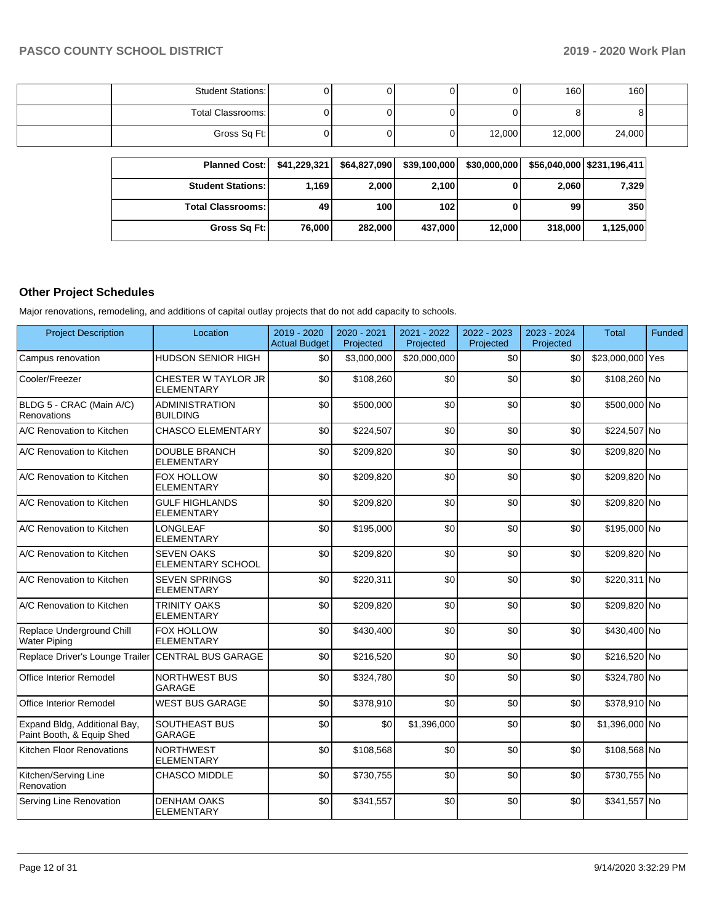| <b>Student Stations:</b> |  |        | 160 <sup>1</sup> | 160    |  |
|--------------------------|--|--------|------------------|--------|--|
| Total Classrooms:        |  |        |                  | o i    |  |
| Gross Sq Ft:             |  | 12,000 | 12,000           | 24,000 |  |

| <b>Planned Cost:</b>       | \$41,229,321 | \$64,827,090 | \$39,100,000     | \$30,000,000 |         | \$56,040,000 \$231,196,411 |
|----------------------------|--------------|--------------|------------------|--------------|---------|----------------------------|
| <b>Student Stations: I</b> | 1.169        | 2,000        | 2,100            |              | 2,060   | 7,329                      |
| <b>Total Classrooms: I</b> | 49           | 100          | 102 <sub>l</sub> |              | 99      | 350                        |
| Gross Sq Ft:               | 76,000       | 282.000      | 437,000          | 12.000       | 318,000 | 1.125.000                  |

# **Other Project Schedules**

Major renovations, remodeling, and additions of capital outlay projects that do not add capacity to schools.

| <b>Project Description</b>                                | Location                                      | 2019 - 2020<br><b>Actual Budget</b> | 2020 - 2021<br>Projected | 2021 - 2022<br>Projected | 2022 - 2023<br>Projected | 2023 - 2024<br>Projected | <b>Total</b>     | Funded |
|-----------------------------------------------------------|-----------------------------------------------|-------------------------------------|--------------------------|--------------------------|--------------------------|--------------------------|------------------|--------|
| Campus renovation                                         | <b>HUDSON SENIOR HIGH</b>                     | \$0                                 | \$3,000,000              | \$20,000,000             | \$0                      | \$0                      | \$23,000,000 Yes |        |
| Cooler/Freezer                                            | CHESTER W TAYLOR JR<br><b>ELEMENTARY</b>      | \$0                                 | \$108,260                | \$0                      | \$0                      | \$0                      | \$108,260 No     |        |
| BLDG 5 - CRAC (Main A/C)<br>Renovations                   | <b>ADMINISTRATION</b><br><b>BUILDING</b>      | \$0                                 | \$500,000                | \$0                      | \$0                      | \$0                      | \$500,000 No     |        |
| A/C Renovation to Kitchen                                 | <b>CHASCO ELEMENTARY</b>                      | \$0                                 | \$224,507                | \$0                      | \$0                      | \$0                      | \$224,507 No     |        |
| A/C Renovation to Kitchen                                 | <b>DOUBLE BRANCH</b><br><b>ELEMENTARY</b>     | \$0                                 | \$209.820                | \$0                      | \$0                      | \$0                      | \$209,820 No     |        |
| A/C Renovation to Kitchen                                 | <b>FOX HOLLOW</b><br><b>ELEMENTARY</b>        | \$0                                 | \$209,820                | \$0                      | \$0                      | \$0                      | \$209,820 No     |        |
| A/C Renovation to Kitchen                                 | <b>GULF HIGHLANDS</b><br><b>ELEMENTARY</b>    | \$0                                 | \$209,820                | \$0                      | \$0                      | \$0                      | \$209,820 No     |        |
| A/C Renovation to Kitchen                                 | <b>LONGLEAF</b><br><b>ELEMENTARY</b>          | \$0                                 | \$195,000                | \$0                      | \$0                      | \$0                      | \$195,000 No     |        |
| A/C Renovation to Kitchen                                 | <b>SEVEN OAKS</b><br><b>ELEMENTARY SCHOOL</b> | \$0                                 | \$209,820                | \$0                      | \$0                      | \$0                      | \$209,820 No     |        |
| A/C Renovation to Kitchen                                 | <b>SEVEN SPRINGS</b><br><b>ELEMENTARY</b>     | \$0                                 | \$220,311                | \$0                      | \$0                      | \$0                      | \$220,311 No     |        |
| A/C Renovation to Kitchen                                 | <b>TRINITY OAKS</b><br><b>ELEMENTARY</b>      | \$0                                 | \$209,820                | \$0                      | \$0                      | \$0                      | \$209,820 No     |        |
| Replace Underground Chill<br><b>Water Piping</b>          | <b>FOX HOLLOW</b><br><b>ELEMENTARY</b>        | \$0                                 | \$430,400                | \$0                      | \$0                      | \$0                      | \$430,400 No     |        |
| Replace Driver's Lounge Trailer                           | <b>CENTRAL BUS GARAGE</b>                     | \$0                                 | \$216,520                | \$0                      | \$0                      | \$0                      | \$216,520 No     |        |
| Office Interior Remodel                                   | <b>NORTHWEST BUS</b><br><b>GARAGE</b>         | \$0                                 | \$324,780                | \$0                      | \$0                      | \$0                      | \$324,780 No     |        |
| Office Interior Remodel                                   | <b>WEST BUS GARAGE</b>                        | \$0                                 | \$378,910                | \$0                      | \$0                      | \$0                      | \$378,910 No     |        |
| Expand Bldg, Additional Bay,<br>Paint Booth, & Equip Shed | SOUTHEAST BUS<br><b>GARAGE</b>                | \$0                                 | \$0                      | \$1,396,000              | \$0                      | \$0                      | \$1,396,000 No   |        |
| Kitchen Floor Renovations                                 | <b>NORTHWEST</b><br><b>ELEMENTARY</b>         | \$0                                 | \$108,568                | \$0                      | \$0                      | \$0                      | \$108,568 No     |        |
| Kitchen/Serving Line<br>Renovation                        | <b>CHASCO MIDDLE</b>                          | \$0                                 | \$730,755                | \$0                      | \$0                      | \$0                      | \$730,755 No     |        |
| Serving Line Renovation                                   | <b>DENHAM OAKS</b><br><b>ELEMENTARY</b>       | \$0                                 | \$341,557                | \$0                      | \$0                      | \$0                      | \$341,557 No     |        |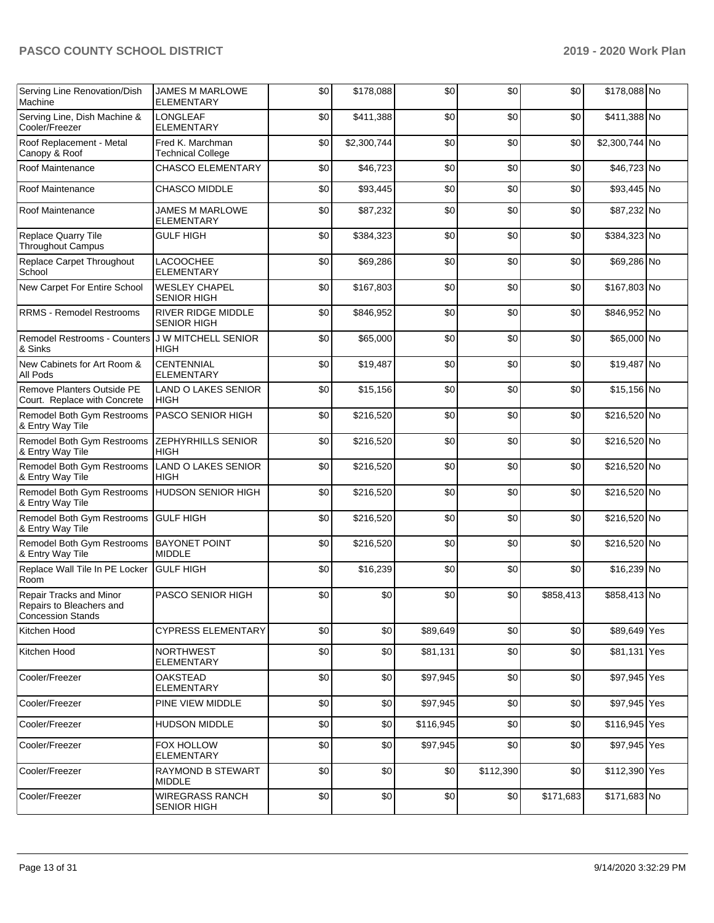| Serving Line Renovation/Dish<br>Machine                                         | JAMES M MARLOWE<br><b>ELEMENTARY</b>            | \$0 | \$178,088   | \$0       | \$0       | \$0       | \$178,088 No   |  |
|---------------------------------------------------------------------------------|-------------------------------------------------|-----|-------------|-----------|-----------|-----------|----------------|--|
| Serving Line, Dish Machine &<br>Cooler/Freezer                                  | <b>LONGLEAF</b><br><b>ELEMENTARY</b>            | \$0 | \$411,388   | \$0       | \$0       | \$0       | \$411,388 No   |  |
| Roof Replacement - Metal<br>Canopy & Roof                                       | Fred K. Marchman<br><b>Technical College</b>    | \$0 | \$2,300,744 | \$0       | \$0       | \$0       | \$2,300,744 No |  |
| Roof Maintenance                                                                | <b>CHASCO ELEMENTARY</b>                        | \$0 | \$46,723    | \$0       | \$0       | \$0       | \$46,723 No    |  |
| Roof Maintenance                                                                | <b>CHASCO MIDDLE</b>                            | \$0 | \$93,445    | \$0       | \$0       | \$0       | \$93,445 No    |  |
| Roof Maintenance                                                                | <b>JAMES M MARLOWE</b><br><b>ELEMENTARY</b>     | \$0 | \$87,232    | \$0       | \$0       | \$0       | \$87,232 No    |  |
| Replace Quarry Tile<br><b>Throughout Campus</b>                                 | <b>GULF HIGH</b>                                | \$0 | \$384,323   | \$0       | \$0       | \$0       | \$384,323 No   |  |
| Replace Carpet Throughout<br>School                                             | <b>LACOOCHEE</b><br><b>ELEMENTARY</b>           | \$0 | \$69,286    | \$0       | \$0       | \$0       | \$69,286 No    |  |
| New Carpet For Entire School                                                    | <b>WESLEY CHAPEL</b><br><b>SENIOR HIGH</b>      | \$0 | \$167,803   | \$0       | \$0       | \$0       | \$167,803 No   |  |
| <b>RRMS - Remodel Restrooms</b>                                                 | <b>RIVER RIDGE MIDDLE</b><br><b>SENIOR HIGH</b> | \$0 | \$846,952   | \$0       | \$0       | \$0       | \$846,952 No   |  |
| <b>Remodel Restrooms - Counters</b><br>& Sinks                                  | <b>J W MITCHELL SENIOR</b><br><b>HIGH</b>       | \$0 | \$65,000    | \$0       | \$0       | \$0       | \$65,000 No    |  |
| New Cabinets for Art Room &<br><b>All Pods</b>                                  | <b>CENTENNIAL</b><br><b>ELEMENTARY</b>          | \$0 | \$19,487    | \$0       | \$0       | \$0       | \$19,487 No    |  |
| Remove Planters Outside PE<br>Court. Replace with Concrete                      | <b>LAND O LAKES SENIOR</b><br><b>HIGH</b>       | \$0 | \$15,156    | \$0       | \$0       | \$0       | \$15,156 No    |  |
| Remodel Both Gym Restrooms<br>& Entry Way Tile                                  | PASCO SENIOR HIGH                               | \$0 | \$216,520   | \$0       | \$0       | \$0       | \$216,520 No   |  |
| Remodel Both Gym Restrooms<br>& Entry Way Tile                                  | <b>ZEPHYRHILLS SENIOR</b><br><b>HIGH</b>        | \$0 | \$216,520   | \$0       | \$0       | \$0       | \$216,520 No   |  |
| Remodel Both Gym Restrooms<br>& Entry Way Tile                                  | <b>LAND O LAKES SENIOR</b><br><b>HIGH</b>       | \$0 | \$216,520   | \$0       | \$0       | \$0       | \$216,520 No   |  |
| Remodel Both Gym Restrooms<br>& Entry Way Tile                                  | <b>HUDSON SENIOR HIGH</b>                       | \$0 | \$216,520   | \$0       | \$0       | \$0       | \$216,520 No   |  |
| Remodel Both Gym Restrooms<br>& Entry Way Tile                                  | <b>GULF HIGH</b>                                | \$0 | \$216,520   | \$0       | \$0       | \$0       | \$216,520 No   |  |
| Remodel Both Gym Restrooms<br>& Entry Way Tile                                  | <b>BAYONET POINT</b><br><b>MIDDLE</b>           | \$0 | \$216,520   | \$0       | \$0       | \$0       | \$216,520 No   |  |
| Replace Wall Tile In PE Locker<br>Room                                          | <b>GULF HIGH</b>                                | \$0 | \$16,239    | \$0       | \$0       | \$0       | \$16,239 No    |  |
| Repair Tracks and Minor<br>Repairs to Bleachers and<br><b>Concession Stands</b> | PASCO SENIOR HIGH                               | \$0 | \$0         | \$0       | \$0       | \$858,413 | \$858,413 No   |  |
| Kitchen Hood                                                                    | <b>CYPRESS ELEMENTARY</b>                       | \$0 | \$0         | \$89,649  | \$0       | \$0       | \$89,649 Yes   |  |
| Kitchen Hood                                                                    | <b>NORTHWEST</b><br><b>ELEMENTARY</b>           | \$0 | \$0         | \$81,131  | \$0       | \$0       | \$81,131 Yes   |  |
| Cooler/Freezer                                                                  | <b>OAKSTEAD</b><br>ELEMENTARY                   | \$0 | \$0         | \$97,945  | \$0       | \$0       | \$97,945 Yes   |  |
| Cooler/Freezer                                                                  | <b>PINE VIEW MIDDLE</b>                         | \$0 | \$0         | \$97,945  | \$0       | \$0       | \$97,945 Yes   |  |
| Cooler/Freezer                                                                  | <b>HUDSON MIDDLE</b>                            | \$0 | \$0         | \$116,945 | \$0       | \$0       | \$116,945 Yes  |  |
| Cooler/Freezer                                                                  | FOX HOLLOW<br>ELEMENTARY                        | \$0 | \$0         | \$97,945  | \$0       | \$0       | \$97,945 Yes   |  |
| Cooler/Freezer                                                                  | <b>RAYMOND B STEWART</b><br><b>MIDDLE</b>       | \$0 | \$0         | \$0       | \$112,390 | \$0       | \$112,390 Yes  |  |
| Cooler/Freezer                                                                  | <b>WIREGRASS RANCH</b><br><b>SENIOR HIGH</b>    | \$0 | \$0         | \$0       | \$0       | \$171,683 | \$171,683 No   |  |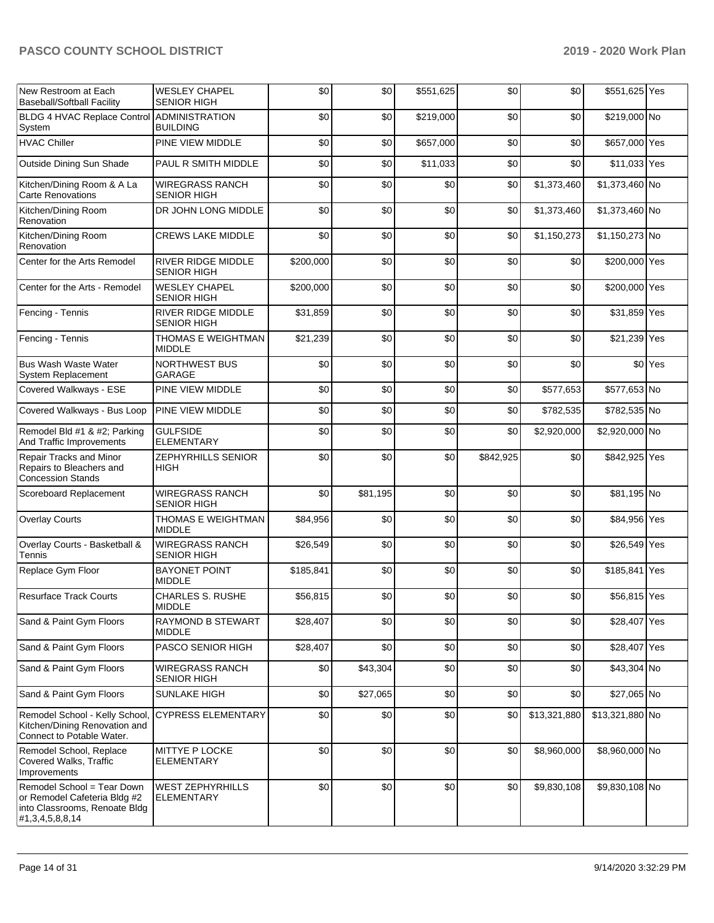| New Restroom at Each<br><b>Baseball/Softball Facility</b>                                                             | <b>WESLEY CHAPEL</b><br><b>SENIOR HIGH</b>      | \$0       | \$0      | \$551,625 | \$0       | \$0          | \$551,625 Yes   |         |
|-----------------------------------------------------------------------------------------------------------------------|-------------------------------------------------|-----------|----------|-----------|-----------|--------------|-----------------|---------|
| BLDG 4 HVAC Replace Control ADMINISTRATION<br>System                                                                  | <b>BUILDING</b>                                 | \$0       | \$0      | \$219,000 | \$0       | \$0          | \$219,000 No    |         |
| <b>HVAC Chiller</b>                                                                                                   | PINE VIEW MIDDLE                                | \$0       | \$0      | \$657,000 | \$0       | \$0          | \$657,000 Yes   |         |
| Outside Dining Sun Shade                                                                                              | PAUL R SMITH MIDDLE                             | \$0       | \$0      | \$11,033  | \$0       | \$0          | \$11,033 Yes    |         |
| Kitchen/Dining Room & A La<br><b>Carte Renovations</b>                                                                | <b>WIREGRASS RANCH</b><br><b>SENIOR HIGH</b>    | \$0       | \$0      | \$0       | \$0       | \$1,373,460  | \$1,373,460 No  |         |
| Kitchen/Dining Room<br>Renovation                                                                                     | DR JOHN LONG MIDDLE                             | \$0       | \$0      | \$0       | \$0       | \$1,373,460  | \$1,373,460 No  |         |
| Kitchen/Dining Room<br>Renovation                                                                                     | <b>CREWS LAKE MIDDLE</b>                        | \$0       | \$0      | \$0       | \$0       | \$1,150,273  | \$1,150,273 No  |         |
| Center for the Arts Remodel                                                                                           | <b>RIVER RIDGE MIDDLE</b><br><b>SENIOR HIGH</b> | \$200,000 | \$0      | \$0       | \$0       | \$0          | \$200,000 Yes   |         |
| Center for the Arts - Remodel                                                                                         | <b>WESLEY CHAPEL</b><br><b>SENIOR HIGH</b>      | \$200,000 | \$0      | \$0       | \$0       | \$0          | \$200,000 Yes   |         |
| Fencing - Tennis                                                                                                      | RIVER RIDGE MIDDLE<br><b>SENIOR HIGH</b>        | \$31,859  | \$0      | \$0       | \$0       | \$0          | \$31,859 Yes    |         |
| Fencing - Tennis                                                                                                      | THOMAS E WEIGHTMAN<br><b>MIDDLE</b>             | \$21,239  | \$0      | \$0       | \$0       | \$0          | \$21,239 Yes    |         |
| <b>Bus Wash Waste Water</b><br>System Replacement                                                                     | NORTHWEST BUS<br>GARAGE                         | \$0       | \$0      | \$0       | \$0       | \$0          |                 | \$0 Yes |
| Covered Walkways - ESE                                                                                                | PINE VIEW MIDDLE                                | \$0       | \$0      | \$0       | \$0       | \$577,653    | \$577,653 No    |         |
| Covered Walkways - Bus Loop                                                                                           | <b>PINE VIEW MIDDLE</b>                         | \$0       | \$0      | \$0       | \$0       | \$782,535    | \$782,535 No    |         |
| Remodel Bld #1 & #2; Parking<br>And Traffic Improvements                                                              | <b>GULFSIDE</b><br><b>ELEMENTARY</b>            | \$0       | \$0      | \$0       | \$0       | \$2,920,000  | \$2,920,000 No  |         |
| Repair Tracks and Minor<br>Repairs to Bleachers and<br><b>Concession Stands</b>                                       | <b>ZEPHYRHILLS SENIOR</b><br>HIGH               | \$0       | \$0      | \$0       | \$842,925 | \$0          | \$842,925 Yes   |         |
| Scoreboard Replacement                                                                                                | <b>WIREGRASS RANCH</b><br><b>SENIOR HIGH</b>    | \$0       | \$81,195 | \$0       | \$0       | \$0          | \$81,195 No     |         |
| <b>Overlay Courts</b>                                                                                                 | THOMAS E WEIGHTMAN<br><b>MIDDLE</b>             | \$84,956  | \$0      | \$0       | \$0       | \$0          | \$84,956 Yes    |         |
| Overlay Courts - Basketball &<br>Tennis                                                                               | <b>WIREGRASS RANCH</b><br><b>SENIOR HIGH</b>    | \$26,549  | \$0      | \$0       | \$0       | \$0          | \$26,549 Yes    |         |
| Replace Gym Floor                                                                                                     | <b>BAYONET POINT</b><br><b>MIDDLE</b>           | \$185,841 | \$0      | \$0       | \$0       | \$0          | \$185,841 Yes   |         |
| <b>Resurface Track Courts</b>                                                                                         | <b>CHARLES S. RUSHE</b><br><b>MIDDLE</b>        | \$56,815  | \$0      | \$0       | \$0       | \$0          | \$56,815 Yes    |         |
| Sand & Paint Gym Floors                                                                                               | <b>RAYMOND B STEWART</b><br><b>MIDDLE</b>       | \$28,407  | \$0      | \$0       | \$0       | \$0          | \$28,407        | Yes     |
| Sand & Paint Gym Floors                                                                                               | PASCO SENIOR HIGH                               | \$28,407  | \$0      | \$0       | \$0       | \$0          | \$28,407 Yes    |         |
| Sand & Paint Gym Floors                                                                                               | <b>WIREGRASS RANCH</b><br><b>SENIOR HIGH</b>    | \$0       | \$43,304 | \$0       | \$0       | \$0          | \$43,304 No     |         |
| Sand & Paint Gym Floors                                                                                               | <b>SUNLAKE HIGH</b>                             | \$0       | \$27,065 | \$0       | \$0       | \$0          | \$27,065 No     |         |
| Remodel School - Kelly School,<br>Kitchen/Dining Renovation and<br>Connect to Potable Water.                          | <b>CYPRESS ELEMENTARY</b>                       | \$0       | \$0      | \$0       | \$0       | \$13,321,880 | \$13,321,880 No |         |
| Remodel School, Replace<br>Covered Walks, Traffic<br>Improvements                                                     | MITTYE P LOCKE<br>ELEMENTARY                    | \$0       | \$0      | \$0       | \$0       | \$8,960,000  | \$8,960,000 No  |         |
| Remodel School = Tear Down<br>or Remodel Cafeteria Bldg #2<br>into Classrooms, Renoate Bldg<br> #1, 3, 4, 5, 8, 8, 14 | <b>WEST ZEPHYRHILLS</b><br>ELEMENTARY           | \$0       | \$0      | \$0       | \$0       | \$9,830,108  | \$9,830,108 No  |         |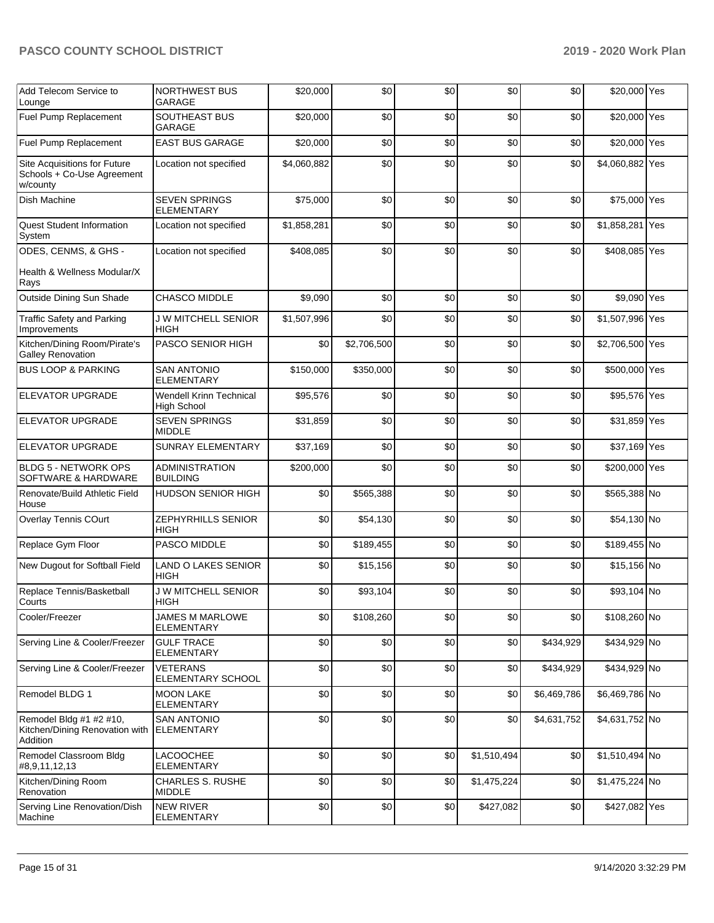| Add Telecom Service to<br>Lounge                                       | <b>NORTHWEST BUS</b><br>GARAGE                       | \$20,000    | \$0         | \$0 | \$0         | \$0         | \$20,000 Yes    |     |
|------------------------------------------------------------------------|------------------------------------------------------|-------------|-------------|-----|-------------|-------------|-----------------|-----|
| Fuel Pump Replacement                                                  | SOUTHEAST BUS<br>GARAGE                              | \$20,000    | \$0         | \$0 | \$0         | \$0         | \$20,000 Yes    |     |
| Fuel Pump Replacement                                                  | <b>EAST BUS GARAGE</b>                               | \$20,000    | \$0         | \$0 | \$0         | \$0         | \$20,000 Yes    |     |
| Site Acquisitions for Future<br>Schools + Co-Use Agreement<br>w/county | Location not specified                               | \$4,060,882 | \$0         | \$0 | \$0         | \$0         | \$4,060,882 Yes |     |
| Dish Machine                                                           | <b>SEVEN SPRINGS</b><br><b>ELEMENTARY</b>            | \$75,000    | \$0         | \$0 | \$0         | \$0         | \$75,000 Yes    |     |
| <b>Quest Student Information</b><br>System                             | Location not specified                               | \$1,858,281 | \$0         | \$0 | \$0         | \$0         | \$1,858,281     | Yes |
| ODES, CENMS, & GHS -                                                   | Location not specified                               | \$408,085   | \$0         | \$0 | \$0         | \$0         | \$408,085 Yes   |     |
| Health & Wellness Modular/X<br>Rays                                    |                                                      |             |             |     |             |             |                 |     |
| Outside Dining Sun Shade                                               | <b>CHASCO MIDDLE</b>                                 | \$9,090     | \$0         | \$0 | \$0         | \$0         | \$9,090 Yes     |     |
| <b>Traffic Safety and Parking</b><br>Improvements                      | <b>J W MITCHELL SENIOR</b><br>HIGH                   | \$1,507,996 | \$0         | \$0 | \$0         | \$0         | \$1,507,996 Yes |     |
| Kitchen/Dining Room/Pirate's<br><b>Galley Renovation</b>               | PASCO SENIOR HIGH                                    | \$0         | \$2,706,500 | \$0 | \$0         | \$0         | \$2,706,500 Yes |     |
| <b>BUS LOOP &amp; PARKING</b>                                          | <b>SAN ANTONIO</b><br><b>ELEMENTARY</b>              | \$150,000   | \$350,000   | \$0 | \$0         | \$0         | \$500,000 Yes   |     |
| <b>ELEVATOR UPGRADE</b>                                                | <b>Wendell Krinn Technical</b><br><b>High School</b> | \$95,576    | \$0         | \$0 | \$0         | \$0         | \$95,576 Yes    |     |
| <b>ELEVATOR UPGRADE</b>                                                | <b>SEVEN SPRINGS</b><br><b>MIDDLE</b>                | \$31,859    | \$0         | \$0 | \$0         | \$0         | \$31,859 Yes    |     |
| ELEVATOR UPGRADE                                                       | <b>SUNRAY ELEMENTARY</b>                             | \$37,169    | \$0         | \$0 | \$0         | \$0         | \$37,169 Yes    |     |
| <b>BLDG 5 - NETWORK OPS</b><br>SOFTWARE & HARDWARE                     | <b>ADMINISTRATION</b><br><b>BUILDING</b>             | \$200,000   | \$0         | \$0 | \$0         | \$0         | \$200,000 Yes   |     |
| Renovate/Build Athletic Field<br>House                                 | <b>HUDSON SENIOR HIGH</b>                            | \$0         | \$565,388   | \$0 | \$0         | \$0         | \$565,388 No    |     |
| Overlay Tennis COurt                                                   | ZEPHYRHILLS SENIOR<br>HIGH                           | \$0         | \$54,130    | \$0 | \$0         | \$0         | \$54,130 No     |     |
| Replace Gym Floor                                                      | PASCO MIDDLE                                         | \$0         | \$189,455   | \$0 | \$0         | \$0         | \$189,455 No    |     |
| New Dugout for Softball Field                                          | <b>LAND O LAKES SENIOR</b><br><b>HIGH</b>            | \$0         | \$15,156    | \$0 | \$0         | \$0         | \$15,156 No     |     |
| Replace Tennis/Basketball<br>Courts                                    | <b>J W MITCHELL SENIOR</b><br>HIGH                   | \$0         | \$93,104    | \$0 | \$0         | \$0         | \$93,104 No     |     |
| Cooler/Freezer                                                         | <b>JAMES M MARLOWE</b><br>ELEMENTARY                 | \$0         | \$108,260   | \$0 | \$0         | \$0         | \$108,260 No    |     |
| Serving Line & Cooler/Freezer                                          | <b>GULF TRACE</b><br><b>ELEMENTARY</b>               | \$0         | \$0         | \$0 | \$0         | \$434,929   | \$434,929 No    |     |
| Serving Line & Cooler/Freezer                                          | <b>VETERANS</b><br>ELEMENTARY SCHOOL                 | \$0         | \$0         | \$0 | \$0         | \$434,929   | \$434,929 No    |     |
| Remodel BLDG 1                                                         | <b>MOON LAKE</b><br>ELEMENTARY                       | \$0         | \$0         | \$0 | \$0         | \$6,469,786 | \$6,469,786 No  |     |
| Remodel Bldg #1 #2 #10,<br>Kitchen/Dining Renovation with<br>Addition  | <b>SAN ANTONIO</b><br><b>ELEMENTARY</b>              | \$0         | \$0         | \$0 | \$0         | \$4,631,752 | \$4,631,752 No  |     |
| Remodel Classroom Bldg<br>#8,9,11,12,13                                | LACOOCHEE<br><b>ELEMENTARY</b>                       | \$0         | \$0         | \$0 | \$1,510,494 | \$0         | \$1,510,494 No  |     |
| Kitchen/Dining Room<br>Renovation                                      | CHARLES S. RUSHE<br><b>MIDDLE</b>                    | \$0         | \$0         | \$0 | \$1,475,224 | \$0         | \$1,475,224 No  |     |
| Serving Line Renovation/Dish<br>Machine                                | NEW RIVER<br>ELEMENTARY                              | \$0         | \$0         | \$0 | \$427,082   | \$0         | \$427,082 Yes   |     |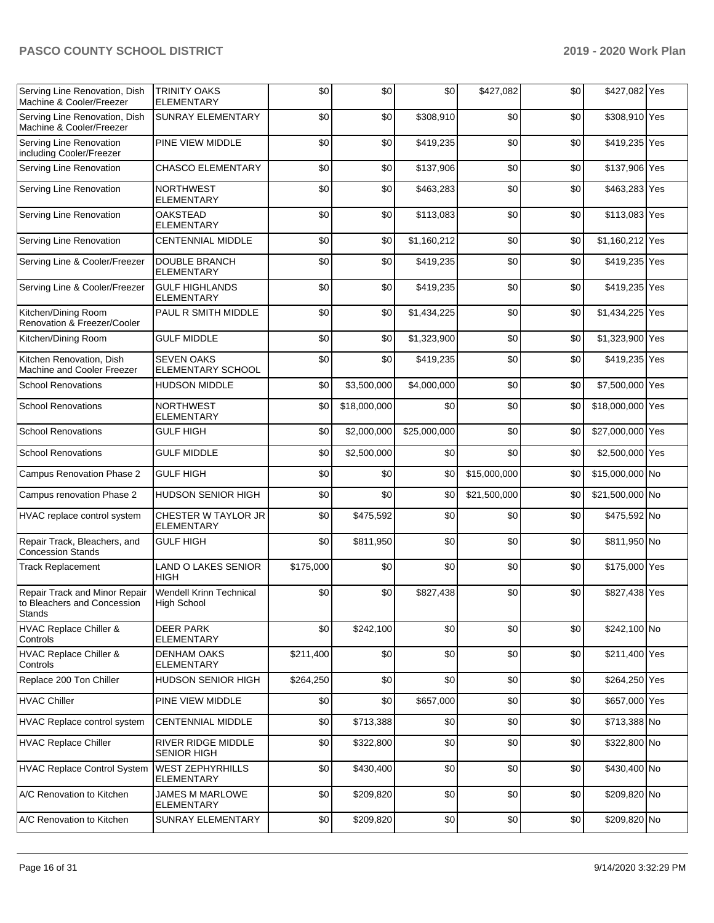| Serving Line Renovation, Dish<br>Machine & Cooler/Freezer                     | <b>TRINITY OAKS</b><br><b>ELEMENTARY</b>             | \$0       | \$0          | \$0          | \$427,082    | \$0 | \$427,082 Yes    |  |
|-------------------------------------------------------------------------------|------------------------------------------------------|-----------|--------------|--------------|--------------|-----|------------------|--|
| Serving Line Renovation, Dish<br>Machine & Cooler/Freezer                     | <b>SUNRAY ELEMENTARY</b>                             | \$0       | \$0          | \$308,910    | \$0          | \$0 | \$308,910 Yes    |  |
| Serving Line Renovation<br>including Cooler/Freezer                           | PINE VIEW MIDDLE                                     | \$0       | \$0          | \$419,235    | \$0          | \$0 | \$419,235 Yes    |  |
| Serving Line Renovation                                                       | <b>CHASCO ELEMENTARY</b>                             | \$0       | \$0          | \$137,906    | \$0          | \$0 | \$137,906 Yes    |  |
| Serving Line Renovation                                                       | <b>NORTHWEST</b><br><b>ELEMENTARY</b>                | \$0       | \$0          | \$463,283    | \$0          | \$0 | \$463,283 Yes    |  |
| Serving Line Renovation                                                       | <b>OAKSTEAD</b><br><b>ELEMENTARY</b>                 | \$0       | \$0          | \$113,083    | \$0          | \$0 | \$113,083 Yes    |  |
| Serving Line Renovation                                                       | <b>CENTENNIAL MIDDLE</b>                             | \$0       | \$0          | \$1,160,212  | \$0          | \$0 | \$1,160,212 Yes  |  |
| Serving Line & Cooler/Freezer                                                 | <b>DOUBLE BRANCH</b><br>ELEMENTARY                   | \$0       | \$0          | \$419,235    | \$0          | \$0 | \$419,235 Yes    |  |
| Serving Line & Cooler/Freezer                                                 | <b>GULF HIGHLANDS</b><br><b>ELEMENTARY</b>           | \$0       | \$0          | \$419,235    | \$0          | \$0 | \$419,235 Yes    |  |
| Kitchen/Dining Room<br>Renovation & Freezer/Cooler                            | PAUL R SMITH MIDDLE                                  | \$0       | \$0          | \$1,434,225  | \$0          | \$0 | \$1,434,225 Yes  |  |
| Kitchen/Dining Room                                                           | <b>GULF MIDDLE</b>                                   | \$0       | \$0          | \$1,323,900  | \$0          | \$0 | \$1,323,900 Yes  |  |
| Kitchen Renovation, Dish<br>Machine and Cooler Freezer                        | <b>SEVEN OAKS</b><br>ELEMENTARY SCHOOL               | \$0       | \$0          | \$419,235    | \$0          | \$0 | \$419,235 Yes    |  |
| <b>School Renovations</b>                                                     | <b>HUDSON MIDDLE</b>                                 | \$0       | \$3,500,000  | \$4,000,000  | \$0          | \$0 | \$7,500,000 Yes  |  |
| <b>School Renovations</b>                                                     | <b>NORTHWEST</b><br><b>ELEMENTARY</b>                | \$0       | \$18,000,000 | \$0          | \$0          | \$0 | \$18,000,000 Yes |  |
| <b>School Renovations</b>                                                     | <b>GULF HIGH</b>                                     | \$0       | \$2,000,000  | \$25,000,000 | \$0          | \$0 | \$27,000,000 Yes |  |
| <b>School Renovations</b>                                                     | <b>GULF MIDDLE</b>                                   | \$0       | \$2,500,000  | \$0          | \$0          | \$0 | \$2,500,000 Yes  |  |
| Campus Renovation Phase 2                                                     | <b>GULF HIGH</b>                                     | \$0       | \$0          | \$0          | \$15,000,000 | \$0 | \$15,000,000 No  |  |
| Campus renovation Phase 2                                                     | <b>HUDSON SENIOR HIGH</b>                            | \$0       | \$0          | \$0          | \$21,500,000 | \$0 | \$21,500,000 No  |  |
| HVAC replace control system                                                   | CHESTER W TAYLOR JR<br><b>ELEMENTARY</b>             | \$0       | \$475,592    | \$0          | \$0          | \$0 | \$475,592 No     |  |
| Repair Track, Bleachers, and<br><b>Concession Stands</b>                      | <b>GULF HIGH</b>                                     | \$0       | \$811,950    | \$0          | \$0          | \$0 | \$811,950 No     |  |
| <b>Track Replacement</b>                                                      | <b>LAND O LAKES SENIOR</b><br><b>HIGH</b>            | \$175,000 | \$0          | \$0          | \$0          | \$0 | \$175,000 Yes    |  |
| Repair Track and Minor Repair<br>to Bleachers and Concession<br><b>Stands</b> | <b>Wendell Krinn Technical</b><br><b>High School</b> | \$0       | \$0          | \$827,438    | \$0          | \$0 | \$827,438 Yes    |  |
| HVAC Replace Chiller &<br>Controls                                            | <b>DEER PARK</b><br>ELEMENTARY                       | \$0       | \$242,100    | \$0          | \$0          | \$0 | \$242,100 No     |  |
| HVAC Replace Chiller &<br>Controls                                            | <b>DENHAM OAKS</b><br>ELEMENTARY                     | \$211,400 | \$0          | \$0          | \$0          | \$0 | \$211,400 Yes    |  |
| Replace 200 Ton Chiller                                                       | HUDSON SENIOR HIGH                                   | \$264,250 | \$0          | \$0          | \$0          | \$0 | \$264,250 Yes    |  |
| <b>HVAC Chiller</b>                                                           | PINE VIEW MIDDLE                                     | \$0       | \$0          | \$657,000    | \$0          | \$0 | \$657,000 Yes    |  |
| HVAC Replace control system                                                   | <b>CENTENNIAL MIDDLE</b>                             | \$0       | \$713,388    | \$0          | \$0          | \$0 | \$713,388 No     |  |
| <b>HVAC Replace Chiller</b>                                                   | RIVER RIDGE MIDDLE<br><b>SENIOR HIGH</b>             | \$0       | \$322,800    | \$0          | \$0          | \$0 | \$322,800 No     |  |
| <b>HVAC Replace Control System</b>                                            | <b>WEST ZEPHYRHILLS</b><br>ELEMENTARY                | \$0       | \$430,400    | \$0          | \$0          | \$0 | \$430,400 No     |  |
| A/C Renovation to Kitchen                                                     | <b>JAMES M MARLOWE</b><br><b>ELEMENTARY</b>          | \$0       | \$209,820    | \$0          | \$0          | \$0 | \$209,820 No     |  |
| A/C Renovation to Kitchen                                                     | SUNRAY ELEMENTARY                                    | \$0       | \$209,820    | \$0          | \$0          | \$0 | \$209,820 No     |  |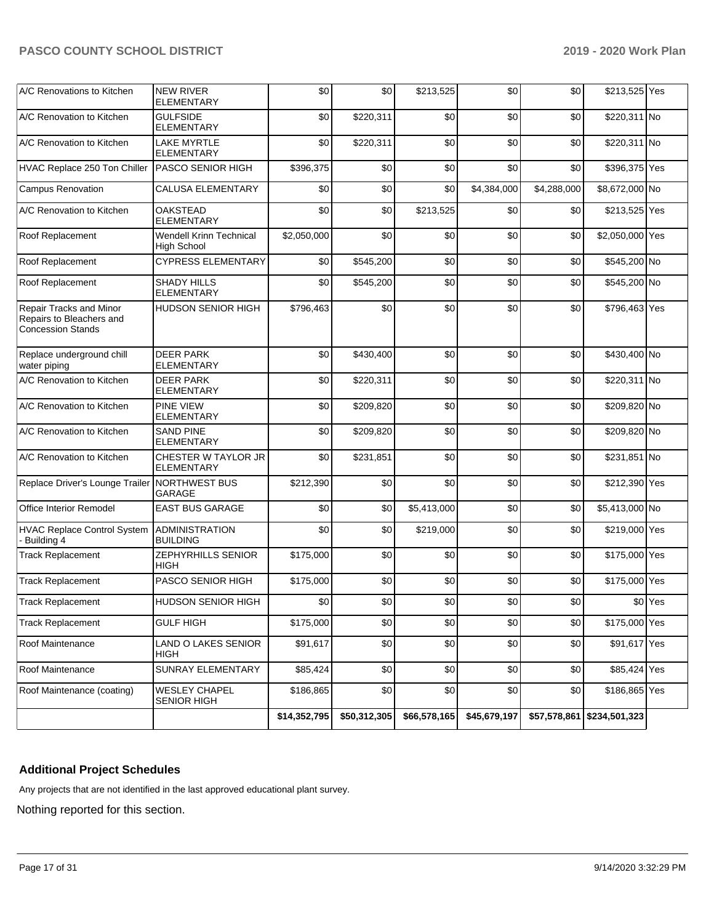| A/C Renovations to Kitchen                                                      | <b>NEW RIVER</b><br>ELEMENTARY                | \$0          | \$0          | \$213,525    | \$0          | \$0          | \$213,525 Yes   |                    |
|---------------------------------------------------------------------------------|-----------------------------------------------|--------------|--------------|--------------|--------------|--------------|-----------------|--------------------|
| A/C Renovation to Kitchen                                                       | <b>GULFSIDE</b><br><b>ELEMENTARY</b>          | \$0          | \$220.311    | \$0          | \$0          | \$0          | \$220,311 No    |                    |
| A/C Renovation to Kitchen                                                       | <b>LAKE MYRTLE</b><br><b>ELEMENTARY</b>       | \$0          | \$220,311    | \$0          | \$0          | \$0          | \$220,311 No    |                    |
| HVAC Replace 250 Ton Chiller                                                    | PASCO SENIOR HIGH                             | \$396,375    | \$0          | \$0          | \$0          | \$0          | \$396,375 Yes   |                    |
| <b>Campus Renovation</b>                                                        | <b>CALUSA ELEMENTARY</b>                      | \$0          | \$0          | \$0          | \$4,384,000  | \$4,288,000  | \$8,672,000 No  |                    |
| A/C Renovation to Kitchen                                                       | <b>OAKSTEAD</b><br><b>ELEMENTARY</b>          | \$0          | \$0          | \$213,525    | \$0          | \$0          | \$213,525 Yes   |                    |
| Roof Replacement                                                                | <b>Wendell Krinn Technical</b><br>High School | \$2,050,000  | \$0          | \$0          | \$0          | \$0          | \$2,050,000 Yes |                    |
| Roof Replacement                                                                | <b>CYPRESS ELEMENTARY</b>                     | \$0          | \$545,200    | \$0          | \$0          | \$0          | \$545,200 No    |                    |
| Roof Replacement                                                                | <b>SHADY HILLS</b><br><b>ELEMENTARY</b>       | \$0          | \$545,200    | \$0          | \$0          | \$0          | \$545,200 No    |                    |
| Repair Tracks and Minor<br>Repairs to Bleachers and<br><b>Concession Stands</b> | <b>HUDSON SENIOR HIGH</b>                     | \$796,463    | \$0          | \$0          | \$0          | \$0          | \$796,463 Yes   |                    |
| Replace underground chill<br>water piping                                       | <b>DEER PARK</b><br>ELEMENTARY                | \$0          | \$430.400    | \$0          | \$0          | \$0          | \$430,400 No    |                    |
| A/C Renovation to Kitchen                                                       | <b>DEER PARK</b><br><b>ELEMENTARY</b>         | \$0          | \$220,311    | \$0          | \$0          | \$0          | \$220,311 No    |                    |
| A/C Renovation to Kitchen                                                       | <b>PINE VIEW</b><br>ELEMENTARY                | \$0          | \$209,820    | \$0          | \$0          | \$0          | \$209,820 No    |                    |
| A/C Renovation to Kitchen                                                       | <b>SAND PINE</b><br>ELEMENTARY                | \$0          | \$209,820    | \$0          | \$0          | \$0          | \$209,820 No    |                    |
| A/C Renovation to Kitchen                                                       | CHESTER W TAYLOR JR<br><b>ELEMENTARY</b>      | \$0          | \$231,851    | \$0          | \$0          | \$0          | \$231,851 No    |                    |
| Replace Driver's Lounge Trailer NORTHWEST BUS                                   | GARAGE                                        | \$212,390    | \$0          | \$0          | \$0          | \$0          | \$212,390 Yes   |                    |
| <b>Office Interior Remodel</b>                                                  | <b>EAST BUS GARAGE</b>                        | \$0          | \$0          | \$5,413,000  | \$0          | \$0          | \$5,413,000 No  |                    |
| <b>HVAC Replace Control System</b><br>- Building 4                              | <b>ADMINISTRATION</b><br><b>BUILDING</b>      | \$0          | \$0          | \$219,000    | \$0          | \$0          | \$219,000 Yes   |                    |
| <b>Track Replacement</b>                                                        | ZEPHYRHILLS SENIOR<br>HIGH                    | \$175,000    | \$0          | \$0          | \$0          | \$0          | \$175,000 Yes   |                    |
| <b>Track Replacement</b>                                                        | PASCO SENIOR HIGH                             | \$175,000    | \$0          | \$0          | \$0          | \$0          | \$175,000 Yes   |                    |
| <b>Track Replacement</b>                                                        | HUDSON SENIOR HIGH                            | \$0          | \$0          | \$0          | \$0          | \$0          |                 | \$0 <sup>Yes</sup> |
| <b>Track Replacement</b>                                                        | <b>GULF HIGH</b>                              | \$175,000    | \$0          | \$0          | \$0          | \$0          | \$175,000 Yes   |                    |
| Roof Maintenance                                                                | LAND O LAKES SENIOR<br>HIGH                   | \$91,617     | \$0          | \$0          | \$0          | \$0          | \$91,617 Yes    |                    |
| Roof Maintenance                                                                | SUNRAY ELEMENTARY                             | \$85,424     | \$0          | \$0          | \$0          | \$0          | \$85,424 Yes    |                    |
| Roof Maintenance (coating)                                                      | <b>WESLEY CHAPEL</b><br><b>SENIOR HIGH</b>    | \$186,865    | \$0          | \$0          | \$0          | \$0          | \$186,865 Yes   |                    |
|                                                                                 |                                               | \$14,352,795 | \$50,312,305 | \$66,578,165 | \$45,679,197 | \$57,578,861 | \$234,501,323   |                    |

# **Additional Project Schedules**

Any projects that are not identified in the last approved educational plant survey.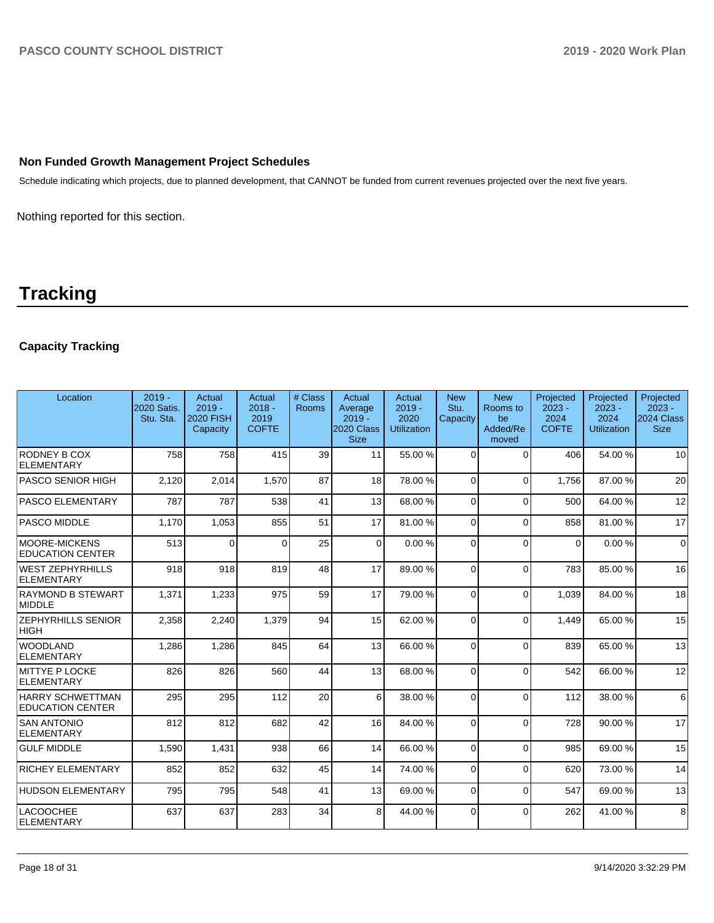### **Non Funded Growth Management Project Schedules**

Schedule indicating which projects, due to planned development, that CANNOT be funded from current revenues projected over the next five years.

Nothing reported for this section.

# **Tracking**

# **Capacity Tracking**

| Location                                        | $2019 -$<br>2020 Satis.<br>Stu. Sta. | Actual<br>$2019 -$<br><b>2020 FISH</b><br>Capacity | Actual<br>$2018 -$<br>2019<br><b>COFTE</b> | # Class<br>Rooms | Actual<br>Average<br>$2019 -$<br>2020 Class<br><b>Size</b> | Actual<br>$2019 -$<br>2020<br><b>Utilization</b> | <b>New</b><br>Stu.<br>Capacity | <b>New</b><br>Rooms to<br>be<br>Added/Re<br>moved | Projected<br>$2023 -$<br>2024<br><b>COFTE</b> | Projected<br>$2023 -$<br>2024<br><b>Utilization</b> | Projected<br>$2023 -$<br><b>2024 Class</b><br><b>Size</b> |
|-------------------------------------------------|--------------------------------------|----------------------------------------------------|--------------------------------------------|------------------|------------------------------------------------------------|--------------------------------------------------|--------------------------------|---------------------------------------------------|-----------------------------------------------|-----------------------------------------------------|-----------------------------------------------------------|
| RODNEY B COX<br>ELEMENTARY                      | 758                                  | 758                                                | 415                                        | 39               | 11                                                         | 55.00 %                                          | $\Omega$                       | $\Omega$                                          | 406                                           | 54.00 %                                             | 10 <sup>1</sup>                                           |
| <b>PASCO SENIOR HIGH</b>                        | 2,120                                | 2,014                                              | 1.570                                      | 87               | 18 <sup>1</sup>                                            | 78.00 %                                          | $\Omega$                       | $\Omega$                                          | 1.756                                         | 87.00 %                                             | 20                                                        |
| <b>PASCO ELEMENTARY</b>                         | 787                                  | 787                                                | 538                                        | 41               | 13 <sup>1</sup>                                            | 68.00 %                                          | $\Omega$                       | $\Omega$                                          | 500                                           | 64.00%                                              | 12                                                        |
| <b>PASCO MIDDLE</b>                             | 1,170                                | 1,053                                              | 855                                        | 51               | 17                                                         | 81.00%                                           | $\Omega$                       | $\Omega$                                          | 858                                           | 81.00%                                              | 17                                                        |
| <b>MOORE-MICKENS</b><br><b>EDUCATION CENTER</b> | 513                                  | $\Omega$                                           | $\Omega$                                   | 25               | $\Omega$                                                   | 0.00%                                            | $\Omega$                       | $\Omega$                                          | $\Omega$                                      | 0.00%                                               | $\Omega$                                                  |
| <b>WEST ZEPHYRHILLS</b><br><b>ELEMENTARY</b>    | 918                                  | 918                                                | 819                                        | 48               | 17                                                         | 89.00 %                                          | $\Omega$                       | $\Omega$                                          | 783                                           | 85.00 %                                             | 16                                                        |
| <b>RAYMOND B STEWART</b><br>MIDDLE              | 1,371                                | 1,233                                              | 975                                        | 59               | 17                                                         | 79.00 %                                          | $\Omega$                       | $\Omega$                                          | 1,039                                         | 84.00 %                                             | 18                                                        |
| <b>ZEPHYRHILLS SENIOR</b><br> HIGH              | 2,358                                | 2,240                                              | 1,379                                      | 94               | 15                                                         | 62.00%                                           | $\Omega$                       | $\Omega$                                          | 1.449                                         | 65.00 %                                             | 15                                                        |
| <b>WOODLAND</b><br>ELEMENTARY                   | 1,286                                | 1,286                                              | 845                                        | 64               | 13                                                         | 66.00 %                                          | $\Omega$                       | $\Omega$                                          | 839                                           | 65.00 %                                             | 13                                                        |
| MITTYE P LOCKE<br>ELEMENTARY                    | 826                                  | 826                                                | 560                                        | 44               | 13 <sup>1</sup>                                            | 68.00 %                                          | $\Omega$                       | $\mathbf{0}$                                      | 542                                           | 66.00 %                                             | 12                                                        |
| HARRY SCHWETTMAN<br><b>EDUCATION CENTER</b>     | 295                                  | 295                                                | 112                                        | 20               | 6                                                          | 38.00 %                                          | $\Omega$                       | $\Omega$                                          | 112                                           | 38.00 %                                             | $6 \overline{6}$                                          |
| <b>SAN ANTONIO</b><br>ELEMENTARY                | 812                                  | 812                                                | 682                                        | 42               | 16 <sup>1</sup>                                            | 84.00 %                                          | $\Omega$                       | $\Omega$                                          | 728                                           | 90.00 %                                             | 17                                                        |
| <b>GULF MIDDLE</b>                              | 1,590                                | 1,431                                              | 938                                        | 66               | 14                                                         | 66.00 %                                          | $\Omega$                       | $\mathbf{0}$                                      | 985                                           | 69.00%                                              | 15                                                        |
| <b>RICHEY ELEMENTARY</b>                        | 852                                  | 852                                                | 632                                        | 45               | 14                                                         | 74.00 %                                          | $\Omega$                       | $\Omega$                                          | 620                                           | 73.00 %                                             | 14                                                        |
| <b>HUDSON ELEMENTARY</b>                        | 795                                  | 795                                                | 548                                        | 41               | 13                                                         | 69.00 %                                          | $\Omega$                       | $\Omega$                                          | 547                                           | 69.00%                                              | 13                                                        |
| <b>LACOOCHEE</b><br>ELEMENTARY                  | 637                                  | 637                                                | 283                                        | 34               | 8                                                          | 44.00 %                                          | $\Omega$                       | $\Omega$                                          | 262                                           | 41.00 %                                             | 8                                                         |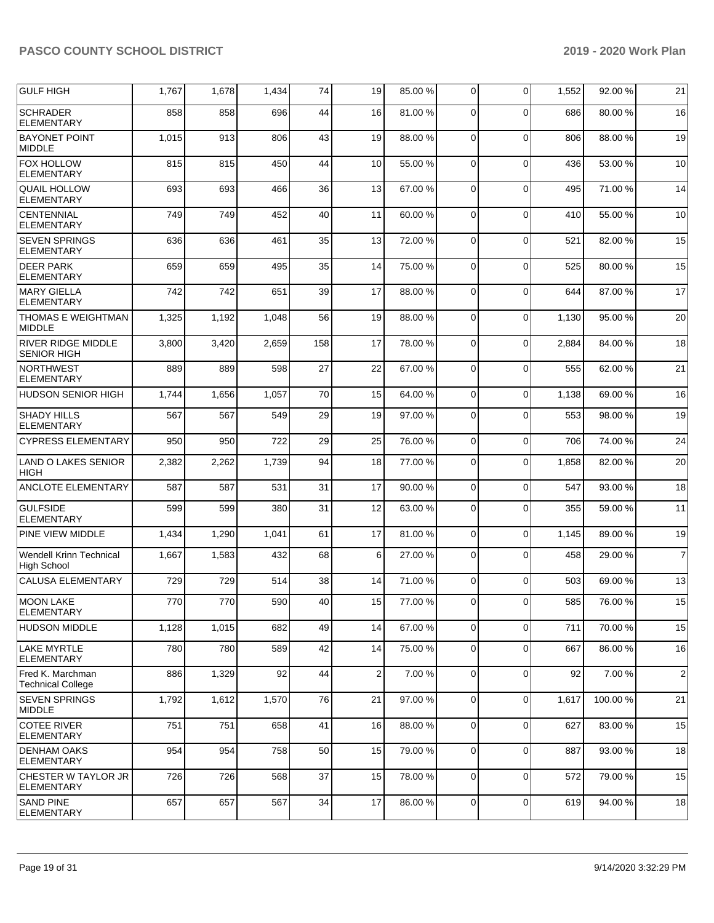| GULF HIGH                                       | 1,767 | 1,678 | 1,434 | 74  | 19              | 85.00 % | 0           | $\Omega$    | 1,552 | 92.00 % | 21             |
|-------------------------------------------------|-------|-------|-------|-----|-----------------|---------|-------------|-------------|-------|---------|----------------|
| <b>SCHRADER</b><br><b>ELEMENTARY</b>            | 858   | 858   | 696   | 44  | 16              | 81.00 % | $\Omega$    | $\Omega$    | 686   | 80.00 % | 16             |
| <b>BAYONET POINT</b><br><b>MIDDLE</b>           | 1,015 | 913   | 806   | 43  | 19              | 88.00 % | $\mathbf 0$ | $\mathbf 0$ | 806   | 88.00 % | 19             |
| <b>FOX HOLLOW</b><br><b>ELEMENTARY</b>          | 815   | 815   | 450   | 44  | 10              | 55.00 % | 0           | $\mathbf 0$ | 436   | 53.00 % | 10             |
| <b>QUAIL HOLLOW</b><br><b>ELEMENTARY</b>        | 693   | 693   | 466   | 36  | 13              | 67.00 % | $\Omega$    | $\mathbf 0$ | 495   | 71.00 % | 14             |
| CENTENNIAL<br><b>ELEMENTARY</b>                 | 749   | 749   | 452   | 40  | 11              | 60.00%  | $\mathbf 0$ | $\mathbf 0$ | 410   | 55.00 % | 10             |
| <b>SEVEN SPRINGS</b><br><b>ELEMENTARY</b>       | 636   | 636   | 461   | 35  | 13              | 72.00 % | 0           | $\mathbf 0$ | 521   | 82.00 % | 15             |
| <b>DEER PARK</b><br><b>ELEMENTARY</b>           | 659   | 659   | 495   | 35  | 14              | 75.00 % | $\Omega$    | $\mathbf 0$ | 525   | 80.00%  | 15             |
| <b>MARY GIELLA</b><br><b>ELEMENTARY</b>         | 742   | 742   | 651   | 39  | 17              | 88.00 % | $\mathbf 0$ | $\mathbf 0$ | 644   | 87.00 % | 17             |
| <b>THOMAS E WEIGHTMAN</b><br><b>MIDDLE</b>      | 1,325 | 1,192 | 1,048 | 56  | 19              | 88.00%  | 0           | $\mathbf 0$ | 1,130 | 95.00 % | 20             |
| <b>RIVER RIDGE MIDDLE</b><br><b>SENIOR HIGH</b> | 3,800 | 3,420 | 2,659 | 158 | 17              | 78.00 % | $\Omega$    | $\mathbf 0$ | 2,884 | 84.00 % | 18             |
| <b>NORTHWEST</b><br><b>ELEMENTARY</b>           | 889   | 889   | 598   | 27  | 22              | 67.00%  | $\mathbf 0$ | $\mathbf 0$ | 555   | 62.00 % | 21             |
| <b>HUDSON SENIOR HIGH</b>                       | 1,744 | 1,656 | 1,057 | 70  | 15              | 64.00%  | 0           | $\mathbf 0$ | 1,138 | 69.00 % | 16             |
| <b>SHADY HILLS</b><br><b>ELEMENTARY</b>         | 567   | 567   | 549   | 29  | 19              | 97.00 % | 0           | $\mathbf 0$ | 553   | 98.00 % | 19             |
| <b>CYPRESS ELEMENTARY</b>                       | 950   | 950   | 722   | 29  | 25              | 76.00 % | $\mathbf 0$ | $\mathbf 0$ | 706   | 74.00 % | 24             |
| <b>LAND O LAKES SENIOR</b><br><b>HIGH</b>       | 2,382 | 2,262 | 1,739 | 94  | 18              | 77.00 % | $\Omega$    | $\mathbf 0$ | 1,858 | 82.00 % | 20             |
| <b>ANCLOTE ELEMENTARY</b>                       | 587   | 587   | 531   | 31  | 17              | 90.00 % | $\mathbf 0$ | $\mathbf 0$ | 547   | 93.00 % | 18             |
| <b>GULFSIDE</b><br>ELEMENTARY                   | 599   | 599   | 380   | 31  | 12              | 63.00 % | 0           | $\mathbf 0$ | 355   | 59.00 % | 11             |
| <b>PINE VIEW MIDDLE</b>                         | 1,434 | 1,290 | 1,041 | 61  | 17              | 81.00%  | 0           | $\mathbf 0$ | 1,145 | 89.00 % | 19             |
| Wendell Krinn Technical<br><b>High School</b>   | 1,667 | 1,583 | 432   | 68  | 6               | 27.00 % | 0           | $\mathbf 0$ | 458   | 29.00 % | $\overline{7}$ |
| <b>CALUSA ELEMENTARY</b>                        | 729   | 729   | 514   | 38  | 14              | 71.00 % | $\Omega$    | $\Omega$    | 503   | 69.00 % | 13             |
| <b>MOON LAKE</b><br>ELEMENTARY                  | 770   | 770   | 590   | 40  | 15 <sup>1</sup> | 77.00 % | $\Omega$    | $\Omega$    | 585   | 76.00 % | 15             |
| <b>HUDSON MIDDLE</b>                            | 1,128 | 1,015 | 682   | 49  | 14              | 67.00 % | $\mathbf 0$ | $\mathbf 0$ | 711   | 70.00 % | 15             |
| <b>LAKE MYRTLE</b><br><b>ELEMENTARY</b>         | 780   | 780   | 589   | 42  | 14              | 75.00 % | $\mathbf 0$ | $\mathbf 0$ | 667   | 86.00 % | 16             |
| Fred K. Marchman<br><b>Technical College</b>    | 886   | 1,329 | 92    | 44  | 2               | 7.00 %  | 0           | $\mathbf 0$ | 92    | 7.00 %  | $\overline{c}$ |
| <b>SEVEN SPRINGS</b><br>MIDDLE                  | 1,792 | 1,612 | 1,570 | 76  | 21              | 97.00 % | 0           | $\mathbf 0$ | 1,617 | 100.00% | 21             |
| COTEE RIVER<br><b>ELEMENTARY</b>                | 751   | 751   | 658   | 41  | 16              | 88.00 % | 0           | $\mathbf 0$ | 627   | 83.00 % | 15             |
| <b>DENHAM OAKS</b><br><b>ELEMENTARY</b>         | 954   | 954   | 758   | 50  | 15              | 79.00 % | 0           | $\mathbf 0$ | 887   | 93.00 % | 18             |
| CHESTER W TAYLOR JR<br><b>ELEMENTARY</b>        | 726   | 726   | 568   | 37  | 15              | 78.00 % | $\Omega$    | $\mathbf 0$ | 572   | 79.00 % | 15             |
| <b>SAND PINE</b><br><b>ELEMENTARY</b>           | 657   | 657   | 567   | 34  | 17              | 86.00 % | 0           | $\mathbf 0$ | 619   | 94.00 % | 18             |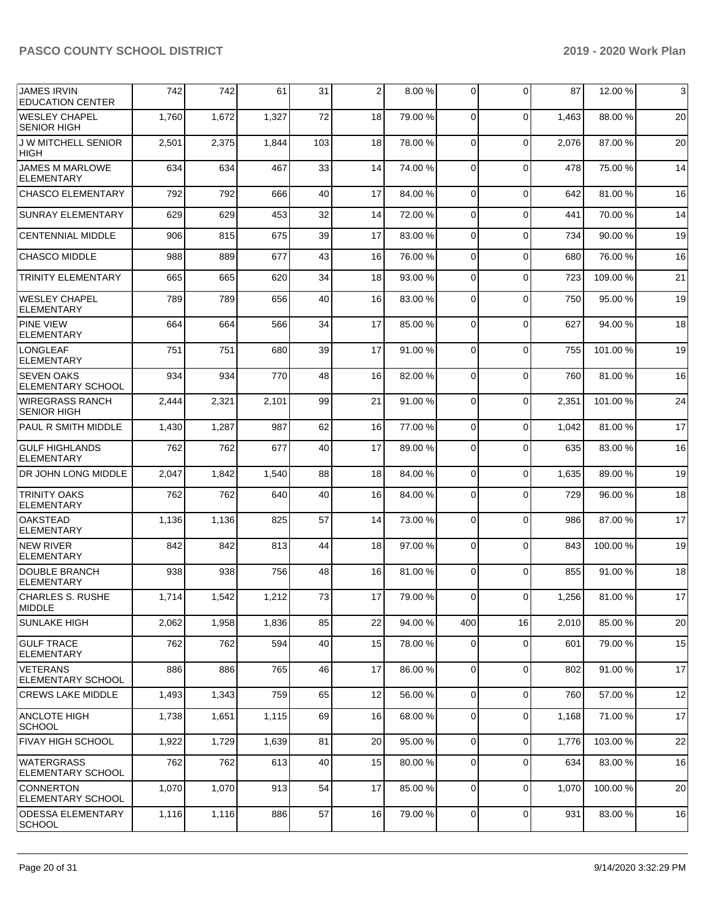| <b>JAMES IRVIN</b><br><b>EDUCATION CENTER</b> | 742   | 742   | 61    | 31  | 2  | 8.00 %  | 0              | $\Omega$    | 87    | 12.00 %  | $\mathbf{3}$ |
|-----------------------------------------------|-------|-------|-------|-----|----|---------|----------------|-------------|-------|----------|--------------|
| <b>WESLEY CHAPEL</b><br><b>SENIOR HIGH</b>    | 1,760 | 1,672 | 1,327 | 72  | 18 | 79.00 % | $\mathbf 0$    | $\Omega$    | 1,463 | 88.00 %  | 20           |
| <b>J W MITCHELL SENIOR</b><br><b>HIGH</b>     | 2,501 | 2,375 | 1,844 | 103 | 18 | 78.00 % | $\mathbf 0$    | $\Omega$    | 2,076 | 87.00 %  | 20           |
| <b>JAMES M MARLOWE</b><br><b>ELEMENTARY</b>   | 634   | 634   | 467   | 33  | 14 | 74.00%  | 0              | $\Omega$    | 478   | 75.00 %  | 14           |
| <b>CHASCO ELEMENTARY</b>                      | 792   | 792   | 666   | 40  | 17 | 84.00 % | $\mathbf 0$    | $\mathbf 0$ | 642   | 81.00%   | 16           |
| <b>SUNRAY ELEMENTARY</b>                      | 629   | 629   | 453   | 32  | 14 | 72.00 % | 0              | $\Omega$    | 441   | 70.00%   | 14           |
| <b>CENTENNIAL MIDDLE</b>                      | 906   | 815   | 675   | 39  | 17 | 83.00 % | 0              | $\mathbf 0$ | 734   | 90.00 %  | 19           |
| <b>CHASCO MIDDLE</b>                          | 988   | 889   | 677   | 43  | 16 | 76.00 % | 0              | $\mathbf 0$ | 680   | 76.00 %  | 16           |
| <b>TRINITY ELEMENTARY</b>                     | 665   | 665   | 620   | 34  | 18 | 93.00 % | 0              | $\mathbf 0$ | 723   | 109.00%  | 21           |
| <b>WESLEY CHAPEL</b><br><b>ELEMENTARY</b>     | 789   | 789   | 656   | 40  | 16 | 83.00 % | 0              | $\Omega$    | 750   | 95.00 %  | 19           |
| <b>PINE VIEW</b><br><b>ELEMENTARY</b>         | 664   | 664   | 566   | 34  | 17 | 85.00 % | $\mathbf 0$    | $\Omega$    | 627   | 94.00 %  | 18           |
| <b>LONGLEAF</b><br><b>ELEMENTARY</b>          | 751   | 751   | 680   | 39  | 17 | 91.00 % | 0              | $\Omega$    | 755   | 101.00 % | 19           |
| <b>SEVEN OAKS</b><br><b>ELEMENTARY SCHOOL</b> | 934   | 934   | 770   | 48  | 16 | 82.00 % | $\mathbf 0$    | $\Omega$    | 760   | 81.00%   | 16           |
| <b>WIREGRASS RANCH</b><br><b>SENIOR HIGH</b>  | 2,444 | 2,321 | 2,101 | 99  | 21 | 91.00%  | $\mathbf 0$    | $\Omega$    | 2,351 | 101.00%  | 24           |
| PAUL R SMITH MIDDLE                           | 1,430 | 1,287 | 987   | 62  | 16 | 77.00 % | 0              | $\Omega$    | 1,042 | 81.00 %  | 17           |
| <b>GULF HIGHLANDS</b><br><b>ELEMENTARY</b>    | 762   | 762   | 677   | 40  | 17 | 89.00 % | 0              | $\Omega$    | 635   | 83.00 %  | 16           |
| DR JOHN LONG MIDDLE                           | 2,047 | 1,842 | 1,540 | 88  | 18 | 84.00 % | $\mathbf 0$    | $\mathbf 0$ | 1,635 | 89.00 %  | 19           |
| <b>TRINITY OAKS</b><br><b>ELEMENTARY</b>      | 762   | 762   | 640   | 40  | 16 | 84.00 % | 0              | $\Omega$    | 729   | 96.00 %  | 18           |
| <b>OAKSTEAD</b><br><b>ELEMENTARY</b>          | 1,136 | 1,136 | 825   | 57  | 14 | 73.00 % | $\mathbf 0$    | $\Omega$    | 986   | 87.00 %  | 17           |
| <b>NEW RIVER</b><br><b>ELEMENTARY</b>         | 842   | 842   | 813   | 44  | 18 | 97.00 % | 0              | $\Omega$    | 843   | 100.00 % | 19           |
| DOUBLE BRANCH<br><b>ELEMENTARY</b>            | 938   | 938   | 756   | 48  | 16 | 81.00%  | 0              | $\Omega$    | 855   | 91.00 %  | 18           |
| <b>CHARLES S. RUSHE</b><br><b>MIDDLE</b>      | 1,714 | 1,542 | 1,212 | 73  | 17 | 79.00 % | 0              | $\Omega$    | 1,256 | 81.00%   | 17           |
| <b>SUNLAKE HIGH</b>                           | 2,062 | 1,958 | 1,836 | 85  | 22 | 94.00 % | 400            | 16          | 2,010 | 85.00 %  | 20           |
| <b>GULF TRACE</b><br>ELEMENTARY               | 762   | 762   | 594   | 40  | 15 | 78.00 % | 0              | 0           | 601   | 79.00 %  | 15           |
| VETERANS<br><b>ELEMENTARY SCHOOL</b>          | 886   | 886   | 765   | 46  | 17 | 86.00 % | 0              | $\mathbf 0$ | 802   | 91.00%   | 17           |
| <b>CREWS LAKE MIDDLE</b>                      | 1,493 | 1,343 | 759   | 65  | 12 | 56.00 % | $\overline{0}$ | $\Omega$    | 760   | 57.00 %  | 12           |
| <b>ANCLOTE HIGH</b><br><b>SCHOOL</b>          | 1,738 | 1,651 | 1,115 | 69  | 16 | 68.00 % | $\mathbf 0$    | $\Omega$    | 1,168 | 71.00 %  | 17           |
| <b>FIVAY HIGH SCHOOL</b>                      | 1,922 | 1,729 | 1,639 | 81  | 20 | 95.00 % | 0              | 0           | 1,776 | 103.00 % | 22           |
| <b>WATERGRASS</b><br>ELEMENTARY SCHOOL        | 762   | 762   | 613   | 40  | 15 | 80.00 % | 0              | 0           | 634   | 83.00 %  | 16           |
| <b>CONNERTON</b><br><b>ELEMENTARY SCHOOL</b>  | 1,070 | 1,070 | 913   | 54  | 17 | 85.00 % | 0              | $\mathbf 0$ | 1,070 | 100.00%  | 20           |
| <b>ODESSA ELEMENTARY</b><br><b>SCHOOL</b>     | 1,116 | 1,116 | 886   | 57  | 16 | 79.00 % | $\mathbf 0$    | $\mathbf 0$ | 931   | 83.00 %  | 16           |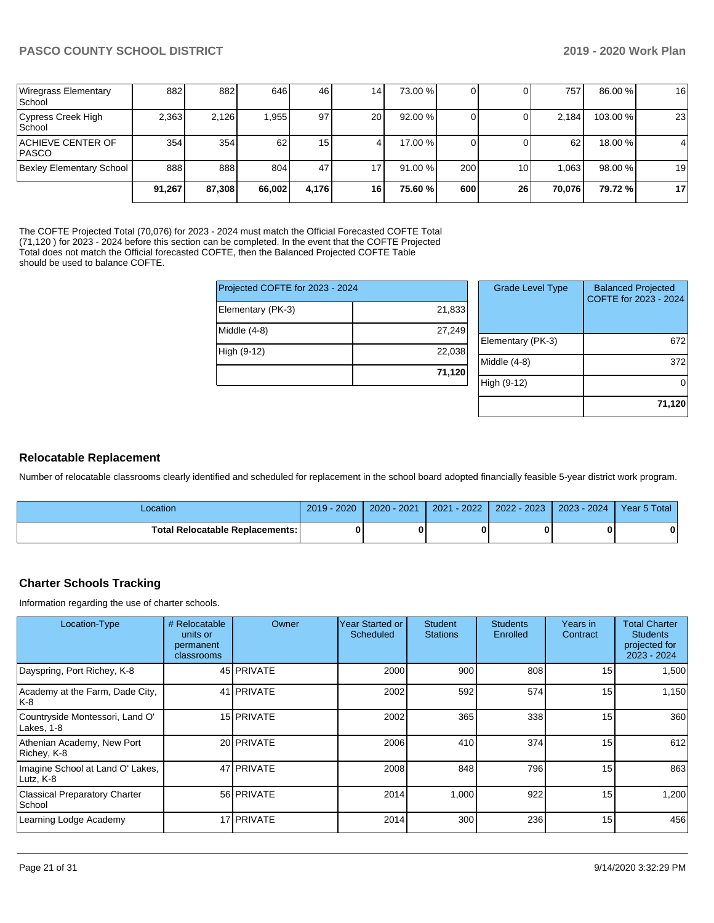| <b>Wiregrass Elementary</b><br><b>School</b> | 8821   | 882    | 646    | 46    | 141       | 73.00 % |     |    | 757             | 86.00 %  | 16             |
|----------------------------------------------|--------|--------|--------|-------|-----------|---------|-----|----|-----------------|----------|----------------|
| Cypress Creek High<br><b>School</b>          | 2,363  | 2,126  | 1,955  | 97    | <b>20</b> | 92.00 % |     |    | 2.184           | 103.00 % | 23             |
| ACHIEVE CENTER OF<br><b>IPASCO</b>           | 354    | 354    | 62     | 15    |           | 17.00 % |     |    | 62 <sub>1</sub> | 18.00 %  | $\overline{4}$ |
| <b>Bexley Elementary School</b>              | 888    | 888    | 804    | 47    | 7۱،       | 91.00 % | 200 | 10 | .063            | 98.00 %  | 19             |
|                                              | 91.267 | 87,308 | 66,002 | 4.176 | 16        | 75.60 % | 600 | 26 | 70.076          | 79.72 %  | 17             |

The COFTE Projected Total (70,076) for 2023 - 2024 must match the Official Forecasted COFTE Total (71,120 ) for 2023 - 2024 before this section can be completed. In the event that the COFTE Projected Total does not match the Official forecasted COFTE, then the Balanced Projected COFTE Table should be used to balance COFTE.

| Projected COFTE for 2023 - 2024 |        |
|---------------------------------|--------|
| Elementary (PK-3)               | 21,833 |
| Middle (4-8)                    | 27,249 |
| High (9-12)                     | 22,038 |
|                                 | 71,120 |

| <b>Grade Level Type</b> | <b>Balanced Projected</b><br>COFTE for 2023 - 2024 |
|-------------------------|----------------------------------------------------|
| Elementary (PK-3)       | 672                                                |
| Middle (4-8)            | 372                                                |
| High (9-12)             |                                                    |
|                         | 71,120                                             |

# **Relocatable Replacement**

Number of relocatable classrooms clearly identified and scheduled for replacement in the school board adopted financially feasible 5-year district work program.

| Location                               | 2019 - 2020 | 2020 - 2021 | $-2022$<br>2021 | 2022 - 2023 | 2023 - 2024 | Year 5 Total |
|----------------------------------------|-------------|-------------|-----------------|-------------|-------------|--------------|
| <b>Total Relocatable Replacements:</b> |             |             |                 |             |             |              |

# **Charter Schools Tracking**

Information regarding the use of charter schools.

| Location-Type                                  | # Relocatable<br>units or<br>permanent<br>classrooms | Owner             | Year Started or<br>Scheduled | <b>Student</b><br><b>Stations</b> | <b>Students</b><br>Enrolled | Years in<br>Contract | <b>Total Charter</b><br><b>Students</b><br>projected for<br>2023 - 2024 |
|------------------------------------------------|------------------------------------------------------|-------------------|------------------------------|-----------------------------------|-----------------------------|----------------------|-------------------------------------------------------------------------|
| Dayspring, Port Richey, K-8                    |                                                      | 45 PRIVATE        | 2000                         | 900                               | 808                         | 15                   | 1,500                                                                   |
| Academy at the Farm, Dade City,<br> K-8        |                                                      | 41 PRIVATE        | 2002                         | 592                               | 574                         | 15                   | 1,150                                                                   |
| Countryside Montessori, Land O'<br>Lakes, 1-8  |                                                      | 15 PRIVATE        | 2002                         | 365                               | 338                         | 15                   | 360                                                                     |
| Athenian Academy, New Port<br>Richey, K-8      |                                                      | 20 <b>PRIVATE</b> | 2006                         | 410                               | 374                         | 15                   | 612                                                                     |
| Imagine School at Land O' Lakes,<br>Lutz, K-8  |                                                      | 47 PRIVATE        | 2008                         | 848                               | 796                         | 15                   | 863                                                                     |
| <b>Classical Preparatory Charter</b><br>School |                                                      | 56 PRIVATE        | 2014                         | 1,000                             | 922                         | 15                   | 1,200                                                                   |
| Learning Lodge Academy                         |                                                      | 17 PRIVATE        | 2014                         | 300                               | 236                         | 15                   | 456                                                                     |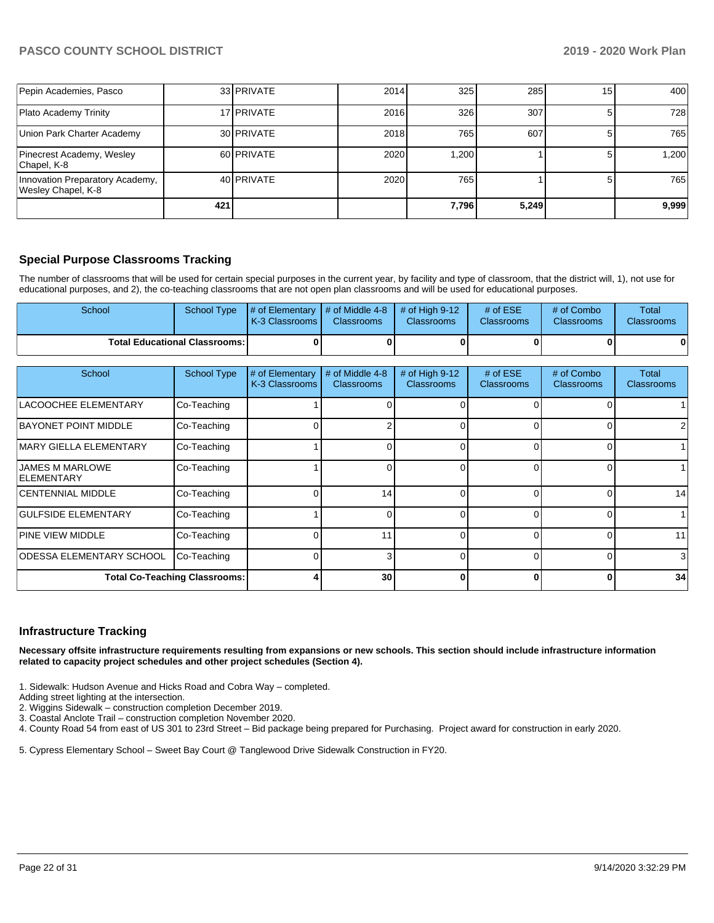| Pepin Academies, Pasco                                |     | 33 PRIVATE | 2014 | 325   | 285   | 15 | 400   |
|-------------------------------------------------------|-----|------------|------|-------|-------|----|-------|
| Plato Academy Trinity                                 |     | 17 PRIVATE | 2016 | 326   | 307   |    | 728   |
| Union Park Charter Academy                            |     | 30 PRIVATE | 2018 | 765   | 607   |    | 765   |
| Pinecrest Academy, Wesley<br>Chapel, K-8              |     | 60 PRIVATE | 2020 | 1.200 |       |    | 1.200 |
| Innovation Preparatory Academy,<br>Wesley Chapel, K-8 |     | 40 PRIVATE | 2020 | 765   |       |    | 765   |
|                                                       | 421 |            |      | 7,796 | 5,249 |    | 9,999 |

# **Special Purpose Classrooms Tracking**

The number of classrooms that will be used for certain special purposes in the current year, by facility and type of classroom, that the district will, 1), not use for educational purposes, and 2), the co-teaching classrooms that are not open plan classrooms and will be used for educational purposes.

| School                                 | School Type | $\parallel$ # of Elementary $\parallel$ # of Middle 4-8 $\parallel$ # of High 9-12<br><b>K-3 Classrooms L</b> | <b>Classrooms</b> | <b>Classrooms</b> | # of $ESE$<br>Classrooms | # of Combo<br><b>Classrooms</b> | Total<br><b>Classrooms</b> |
|----------------------------------------|-------------|---------------------------------------------------------------------------------------------------------------|-------------------|-------------------|--------------------------|---------------------------------|----------------------------|
| <b>Total Educational Classrooms: I</b> |             |                                                                                                               |                   | OΙ                |                          | 01                              | 01                         |

| School                                       | <b>School Type</b> | # of Elementary<br>K-3 Classrooms | # of Middle 4-8<br><b>Classrooms</b> | # of High 9-12<br><b>Classrooms</b> | # of $ESE$<br>Classrooms | # of Combo<br><b>Classrooms</b> | Total<br><b>Classrooms</b> |
|----------------------------------------------|--------------------|-----------------------------------|--------------------------------------|-------------------------------------|--------------------------|---------------------------------|----------------------------|
| LACOOCHEE ELEMENTARY                         | Co-Teaching        |                                   |                                      |                                     |                          |                                 |                            |
| <b>BAYONET POINT MIDDLE</b>                  | Co-Teaching        |                                   |                                      | 0                                   |                          |                                 | 2                          |
| <b>IMARY GIELLA ELEMENTARY</b>               | Co-Teaching        |                                   |                                      | 0                                   |                          |                                 |                            |
| <b>JAMES M MARLOWE</b><br><b>IELEMENTARY</b> | Co-Teaching        |                                   |                                      | 0                                   |                          | 0                               |                            |
| <b>CENTENNIAL MIDDLE</b>                     | Co-Teaching        |                                   | 14                                   | 0                                   |                          |                                 | 14                         |
| <b>GULFSIDE ELEMENTARY</b>                   | Co-Teaching        |                                   |                                      | 0                                   |                          | 0                               |                            |
| <b>PINE VIEW MIDDLE</b>                      | Co-Teaching        |                                   | 11                                   | 0                                   | ∩                        | 0                               | 11                         |
| <b>ODESSA ELEMENTARY SCHOOL</b>              | Co-Teaching        |                                   |                                      | 0                                   |                          | 0                               | 3                          |
| <b>Total Co-Teaching Classrooms:</b>         |                    |                                   | 30                                   | 0                                   | 0                        | 0                               | 34                         |

#### **Infrastructure Tracking**

**Necessary offsite infrastructure requirements resulting from expansions or new schools. This section should include infrastructure information related to capacity project schedules and other project schedules (Section 4).** 

1. Sidewalk: Hudson Avenue and Hicks Road and Cobra Way – completed.

Adding street lighting at the intersection.

2. Wiggins Sidewalk – construction completion December 2019.

3. Coastal Anclote Trail – construction completion November 2020.

4. County Road 54 from east of US 301 to 23rd Street – Bid package being prepared for Purchasing. Project award for construction in early 2020.

5. Cypress Elementary School – Sweet Bay Court @ Tanglewood Drive Sidewalk Construction in FY20.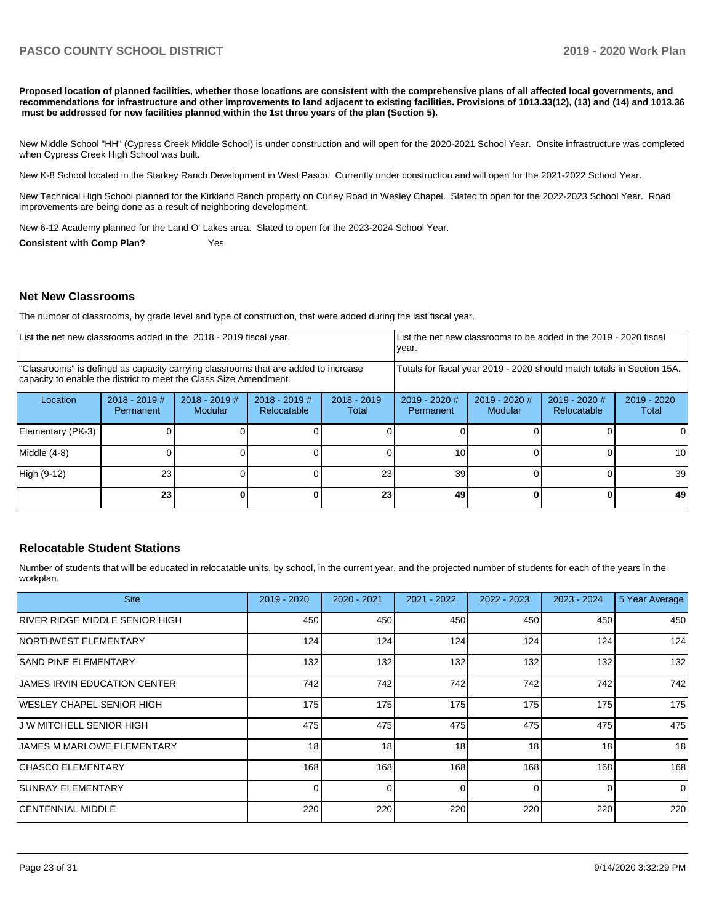**Proposed location of planned facilities, whether those locations are consistent with the comprehensive plans of all affected local governments, and recommendations for infrastructure and other improvements to land adjacent to existing facilities. Provisions of 1013.33(12), (13) and (14) and 1013.36** must be addressed for new facilities planned within the 1st three years of the plan (Section 5).

New Middle School "HH" (Cypress Creek Middle School) is under construction and will open for the 2020-2021 School Year. Onsite infrastructure was completed when Cypress Creek High School was built.

New K-8 School located in the Starkey Ranch Development in West Pasco. Currently under construction and will open for the 2021-2022 School Year.

New Technical High School planned for the Kirkland Ranch property on Curley Road in Wesley Chapel. Slated to open for the 2022-2023 School Year. Road improvements are being done as a result of neighboring development.

New 6-12 Academy planned for the Land O' Lakes area. Slated to open for the 2023-2024 School Year.

**Consistent with Comp Plan?** Yes

#### **Net New Classrooms**

The number of classrooms, by grade level and type of construction, that were added during the last fiscal year.

| List the net new classrooms added in the 2018 - 2019 fiscal year.                                                                                       |                              |                                   |                                |                                                                        | Llist the net new classrooms to be added in the 2019 - 2020 fiscal<br>year. |                            |                                |                        |
|---------------------------------------------------------------------------------------------------------------------------------------------------------|------------------------------|-----------------------------------|--------------------------------|------------------------------------------------------------------------|-----------------------------------------------------------------------------|----------------------------|--------------------------------|------------------------|
| "Classrooms" is defined as capacity carrying classrooms that are added to increase<br>capacity to enable the district to meet the Class Size Amendment. |                              |                                   |                                | Totals for fiscal year 2019 - 2020 should match totals in Section 15A. |                                                                             |                            |                                |                        |
| Location                                                                                                                                                | $2018 - 2019$ #<br>Permanent | $2018 - 2019$ #<br><b>Modular</b> | $2018 - 2019$ #<br>Relocatable | $2018 - 2019$<br>Total                                                 | $2019 - 2020$ #<br>Permanent                                                | $2019 - 2020$ #<br>Modular | $2019 - 2020$ #<br>Relocatable | $2019 - 2020$<br>Total |
| Elementary (PK-3)                                                                                                                                       |                              |                                   |                                |                                                                        |                                                                             |                            |                                |                        |
| Middle (4-8)                                                                                                                                            |                              |                                   |                                |                                                                        | 10                                                                          |                            |                                | 10                     |
| High (9-12)                                                                                                                                             | 23                           |                                   |                                | 23 <sub>1</sub>                                                        | 39                                                                          |                            |                                | 39                     |
|                                                                                                                                                         | 23 <sub>l</sub>              |                                   |                                | 23                                                                     | 49                                                                          |                            |                                | 49                     |

#### **Relocatable Student Stations**

Number of students that will be educated in relocatable units, by school, in the current year, and the projected number of students for each of the years in the workplan.

| <b>Site</b>                         | $2019 - 2020$ | $2020 - 2021$ | 2021 - 2022 | $2022 - 2023$ | $2023 - 2024$ | 5 Year Average |
|-------------------------------------|---------------|---------------|-------------|---------------|---------------|----------------|
| RIVER RIDGE MIDDLE SENIOR HIGH      | 450           | 450           | 450         | 450           | 450           | 450            |
| <b>NORTHWEST ELEMENTARY</b>         | 124           | 124           | 124         | 124           | 124           | 124            |
| ISAND PINE ELEMENTARY               | 132           | 132           | 132         | 132           | 132           | 132            |
| <b>JAMES IRVIN EDUCATION CENTER</b> | 742           | 742           | 742         | 742           | 742           | 742            |
| IWESLEY CHAPEL SENIOR HIGH          | 175           | 175           | 175         | 175           | 175           | 175            |
| IJ W MITCHELL SENIOR HIGH           | 475           | 475           | 475         | 475           | 475           | 475            |
| JAMES M MARLOWE ELEMENTARY          | 18            | 18            | 18          | 18            | 18            | 18             |
| CHASCO ELEMENTARY                   | 168           | 168           | 168         | 168           | 168           | 168            |
| <b>SUNRAY ELEMENTARY</b>            | $\Omega$      |               | $\Omega$    | $\Omega$      | 0             | $\Omega$       |
| ICENTENNIAL MIDDLE                  | 220           | 220           | 220         | 220           | 220           | 220            |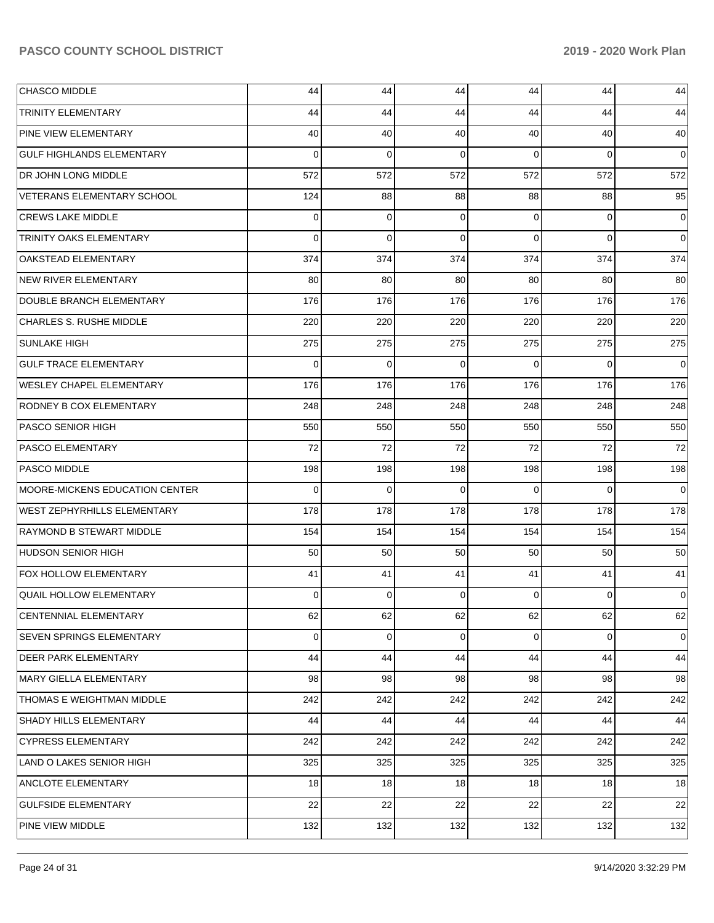| <b>CHASCO MIDDLE</b>               | 44       | 44  | 44       | 44       | 44             | 44             |
|------------------------------------|----------|-----|----------|----------|----------------|----------------|
| <b>TRINITY ELEMENTARY</b>          | 44       | 44  | 44       | 44       | 44             | 44             |
| <b>PINE VIEW ELEMENTARY</b>        | 40       | 40  | 40       | 40       | 40             | 40             |
| <b>GULF HIGHLANDS ELEMENTARY</b>   | 0        | 0   | $\Omega$ | $\Omega$ | $\overline{0}$ | $\overline{0}$ |
| DR JOHN LONG MIDDLE                | 572      | 572 | 572      | 572      | 572            | 572            |
| VETERANS ELEMENTARY SCHOOL         | 124      | 88  | 88       | 88       | 88             | 95             |
| <b>CREWS LAKE MIDDLE</b>           | 0        | 0   | $\Omega$ | 0        | $\overline{0}$ | $\overline{0}$ |
| TRINITY OAKS ELEMENTARY            | $\Omega$ | 0   | $\Omega$ | $\Omega$ | $\overline{0}$ | $\overline{0}$ |
| <b>OAKSTEAD ELEMENTARY</b>         | 374      | 374 | 374      | 374      | 374            | 374            |
| <b>NEW RIVER ELEMENTARY</b>        | 80       | 80  | 80       | 80       | 80             | 80             |
| DOUBLE BRANCH ELEMENTARY           | 176      | 176 | 176      | 176      | 176            | 176            |
| CHARLES S. RUSHE MIDDLE            | 220      | 220 | 220      | 220      | 220            | 220            |
| <b>SUNLAKE HIGH</b>                | 275      | 275 | 275      | 275      | 275            | 275            |
| <b>GULF TRACE ELEMENTARY</b>       | 0        | 0   | $\Omega$ | $\Omega$ | $\overline{0}$ | $\overline{0}$ |
| <b>WESLEY CHAPEL ELEMENTARY</b>    | 176      | 176 | 176      | 176      | 176            | 176            |
| <b>RODNEY B COX ELEMENTARY</b>     | 248      | 248 | 248      | 248      | 248            | 248            |
| <b>PASCO SENIOR HIGH</b>           | 550      | 550 | 550      | 550      | 550            | 550            |
| <b>PASCO ELEMENTARY</b>            | 72       | 72  | 72       | 72       | 72             | 72             |
| <b>PASCO MIDDLE</b>                | 198      | 198 | 198      | 198      | 198            | 198            |
| MOORE-MICKENS EDUCATION CENTER     | 0        | 0   | $\Omega$ | $\Omega$ | $\overline{0}$ | $\overline{0}$ |
| <b>WEST ZEPHYRHILLS ELEMENTARY</b> | 178      | 178 | 178      | 178      | 178            | 178            |
| <b>RAYMOND B STEWART MIDDLE</b>    | 154      | 154 | 154      | 154      | 154            | 154            |
| <b>HUDSON SENIOR HIGH</b>          | 50       | 50  | 50       | 50       | 50             | 50             |
| FOX HOLLOW ELEMENTARY              | 41       | 41  | 41       | 41       | 41             | 41             |
| <b>QUAIL HOLLOW ELEMENTARY</b>     | 0        | 0   | $\Omega$ | 0        | $\overline{0}$ | $\overline{0}$ |
| CENTENNIAL ELEMENTARY              | 62       | 62  | 62       | 62       | 62             | 62             |
| SEVEN SPRINGS ELEMENTARY           | 0        | 0   | 0        | 0        | $\overline{0}$ | $\overline{0}$ |
| <b>DEER PARK ELEMENTARY</b>        | 44       | 44  | 44       | 44       | 44             | 44             |
| MARY GIELLA ELEMENTARY             | 98       | 98  | 98       | 98       | 98             | 98             |
| THOMAS E WEIGHTMAN MIDDLE          | 242      | 242 | 242      | 242      | 242            | 242            |
| SHADY HILLS ELEMENTARY             | 44       | 44  | 44       | 44       | 44             | 44             |
| <b>CYPRESS ELEMENTARY</b>          | 242      | 242 | 242      | 242      | 242            | 242            |
| LAND O LAKES SENIOR HIGH           | 325      | 325 | 325      | 325      | 325            | 325            |
| ANCLOTE ELEMENTARY                 | 18       | 18  | 18       | 18       | 18             | 18             |
| <b>GULFSIDE ELEMENTARY</b>         | 22       | 22  | 22       | 22       | 22             | 22             |
| PINE VIEW MIDDLE                   | 132      | 132 | 132      | 132      | 132            | 132            |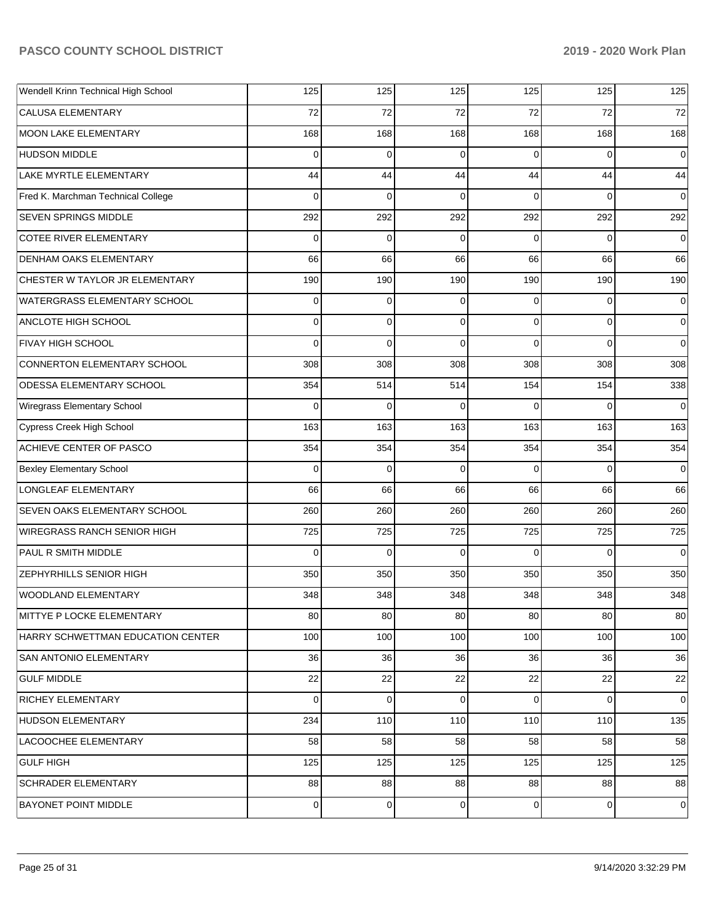| Wendell Krinn Technical High School | 125         | 125            | 125      | 125            | 125         | 125         |
|-------------------------------------|-------------|----------------|----------|----------------|-------------|-------------|
| <b>CALUSA ELEMENTARY</b>            | 72          | 72             | 72       | 72             | 72          | 72          |
| <b>MOON LAKE ELEMENTARY</b>         | 168         | 168            | 168      | 168            | 168         | 168         |
| <b>HUDSON MIDDLE</b>                | 0           | $\mathbf 0$    | 0        | $\Omega$       | $\Omega$    | $\mathbf 0$ |
| LAKE MYRTLE ELEMENTARY              | 44          | 44             | 44       | 44             | 44          | 44          |
| Fred K. Marchman Technical College  | $\Omega$    | $\mathbf 0$    | $\Omega$ | 0              | $\Omega$    | $\mathbf 0$ |
| <b>SEVEN SPRINGS MIDDLE</b>         | 292         | 292            | 292      | 292            | 292         | 292         |
| <b>COTEE RIVER ELEMENTARY</b>       | $\Omega$    | $\mathbf 0$    | 0        | $\Omega$       | $\Omega$    | $\mathbf 0$ |
| DENHAM OAKS ELEMENTARY              | 66          | 66             | 66       | 66             | 66          | 66          |
| CHESTER W TAYLOR JR ELEMENTARY      | 190         | 190            | 190      | 190            | 190         | 190         |
| WATERGRASS ELEMENTARY SCHOOL        | 0           | $\mathbf 0$    | 0        | 0              | $\Omega$    | $\mathbf 0$ |
| ANCLOTE HIGH SCHOOL                 | 0           | $\mathbf 0$    | 0        | 0              | $\mathbf 0$ | 0           |
| <b>FIVAY HIGH SCHOOL</b>            | $\Omega$    | $\Omega$       | $\Omega$ | $\Omega$       | $\Omega$    | $\mathbf 0$ |
| CONNERTON ELEMENTARY SCHOOL         | 308         | 308            | 308      | 308            | 308         | 308         |
| ODESSA ELEMENTARY SCHOOL            | 354         | 514            | 514      | 154            | 154         | 338         |
| Wiregrass Elementary School         | $\Omega$    | $\mathbf 0$    | $\Omega$ | $\Omega$       | $\Omega$    | $\mathbf 0$ |
| Cypress Creek High School           | 163         | 163            | 163      | 163            | 163         | 163         |
| ACHIEVE CENTER OF PASCO             | 354         | 354            | 354      | 354            | 354         | 354         |
| <b>Bexley Elementary School</b>     | $\Omega$    | $\mathbf 0$    | 0        | $\Omega$       | $\Omega$    | $\Omega$    |
| LONGLEAF ELEMENTARY                 | 66          | 66             | 66       | 66             | 66          | 66          |
| SEVEN OAKS ELEMENTARY SCHOOL        | 260         | 260            | 260      | 260            | 260         | 260         |
| WIREGRASS RANCH SENIOR HIGH         | 725         | 725            | 725      | 725            | 725         | 725         |
| PAUL R SMITH MIDDLE                 | $\Omega$    | $\mathbf 0$    | $\Omega$ | $\Omega$       | $\Omega$    | $\Omega$    |
| ZEPHYRHILLS SENIOR HIGH             | 350         | 350            | 350      | 350            | 350         | 350         |
| <b>WOODLAND ELEMENTARY</b>          | 348         | 348            | 348      | 348            | 348         | 348         |
| MITTYE P LOCKE ELEMENTARY           | 80          | 80             | 80       | 80             | 80          | 80          |
| HARRY SCHWETTMAN EDUCATION CENTER   | 100         | 100            | 100      | 100            | 100         | 100         |
| <b>SAN ANTONIO ELEMENTARY</b>       | 36          | 36             | 36       | 36             | 36          | 36          |
| <b>GULF MIDDLE</b>                  | 22          | 22             | 22       | 22             | 22          | 22          |
| <b>RICHEY ELEMENTARY</b>            | $\mathbf 0$ | $\mathbf 0$    | 0        | $\overline{0}$ | $\mathbf 0$ | $\mathbf 0$ |
| <b>HUDSON ELEMENTARY</b>            | 234         | 110            | 110      | 110            | 110         | 135         |
| LACOOCHEE ELEMENTARY                | 58          | 58             | 58       | 58             | 58          | 58          |
| <b>GULF HIGH</b>                    | 125         | 125            | 125      | 125            | 125         | 125         |
| <b>SCHRADER ELEMENTARY</b>          | 88          | 88             | 88       | 88             | 88          | 88          |
| <b>BAYONET POINT MIDDLE</b>         | 0           | $\overline{0}$ | 0        | $\overline{0}$ | $\mathbf 0$ | 0           |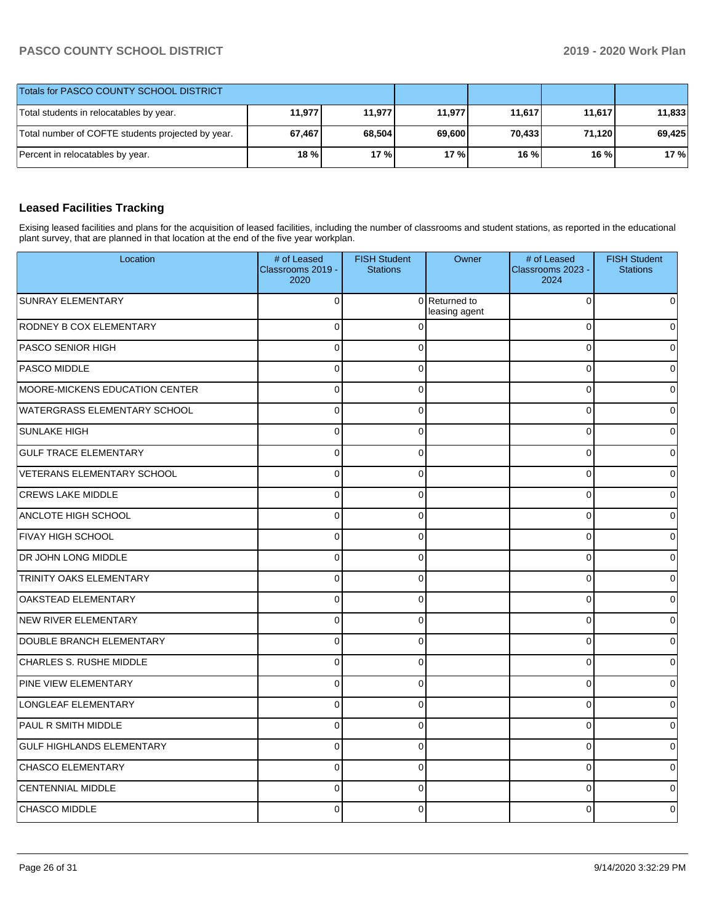| Totals for PASCO COUNTY SCHOOL DISTRICT           |        |        |        |        |        |        |
|---------------------------------------------------|--------|--------|--------|--------|--------|--------|
| Total students in relocatables by year.           | 11,977 | 11.977 | 11.977 | 11,617 | 11.617 | 11,833 |
| Total number of COFTE students projected by year. | 67,467 | 68,504 | 69.600 | 70.433 | 71,120 | 69,425 |
| Percent in relocatables by year.                  | $18\%$ | 17%    | 17%    | 16 %   | 16 %   | 17%    |

# **Leased Facilities Tracking**

Exising leased facilities and plans for the acquisition of leased facilities, including the number of classrooms and student stations, as reported in the educational plant survey, that are planned in that location at the end of the five year workplan.

| Location                              | # of Leased<br>Classrooms 2019 -<br>2020 | <b>FISH Student</b><br><b>Stations</b> | Owner                          | # of Leased<br>Classrooms 2023 -<br>2024 | <b>FISH Student</b><br><b>Stations</b> |
|---------------------------------------|------------------------------------------|----------------------------------------|--------------------------------|------------------------------------------|----------------------------------------|
| SUNRAY ELEMENTARY                     | $\Omega$                                 |                                        | 0 Returned to<br>leasing agent | $\mathbf 0$                              | <sup>0</sup>                           |
| RODNEY B COX ELEMENTARY               | 0                                        | $\Omega$                               |                                | $\mathbf 0$                              | 0                                      |
| <b>PASCO SENIOR HIGH</b>              | $\mathbf 0$                              | $\Omega$                               |                                | $\mathbf 0$                              |                                        |
| PASCO MIDDLE                          | 0                                        | $\Omega$                               |                                | $\mathbf 0$                              |                                        |
| <b>MOORE-MICKENS EDUCATION CENTER</b> | $\Omega$                                 | $\Omega$                               |                                | $\mathbf 0$                              | ∩                                      |
| <b>WATERGRASS ELEMENTARY SCHOOL</b>   | $\mathbf 0$                              | $\Omega$                               |                                | $\mathbf 0$                              |                                        |
| <b>SUNLAKE HIGH</b>                   | $\Omega$                                 | $\Omega$                               |                                | $\mathbf 0$                              |                                        |
| <b>GULF TRACE ELEMENTARY</b>          | 0                                        | $\Omega$                               |                                | $\mathbf 0$                              |                                        |
| VETERANS ELEMENTARY SCHOOL            | $\Omega$                                 | $\Omega$                               |                                | $\mathbf 0$                              |                                        |
| <b>CREWS LAKE MIDDLE</b>              | 0                                        | $\mathbf 0$                            |                                | $\mathbf 0$                              |                                        |
| ANCLOTE HIGH SCHOOL                   | $\overline{0}$                           | $\Omega$                               |                                | $\mathbf 0$                              |                                        |
| <b>FIVAY HIGH SCHOOL</b>              | $\mathbf{0}$                             | $\Omega$                               |                                | $\mathbf 0$                              |                                        |
| DR JOHN LONG MIDDLE                   | $\Omega$                                 | $\Omega$                               |                                | $\mathbf 0$                              | U                                      |
| <b>TRINITY OAKS ELEMENTARY</b>        | $\mathbf 0$                              | $\Omega$                               |                                | $\mathbf 0$                              |                                        |
| OAKSTEAD ELEMENTARY                   | $\Omega$                                 | $\Omega$                               |                                | $\mathbf 0$                              |                                        |
| NEW RIVER ELEMENTARY                  | $\mathbf 0$                              | $\Omega$                               |                                | $\mathbf 0$                              |                                        |
| DOUBLE BRANCH ELEMENTARY              | $\Omega$                                 | $\Omega$                               |                                | $\mathbf 0$                              |                                        |
| CHARLES S. RUSHE MIDDLE               | $\mathsf 0$                              | $\Omega$                               |                                | $\pmb{0}$                                | $\Omega$                               |
| PINE VIEW ELEMENTARY                  | $\overline{0}$                           | $\Omega$                               |                                | $\pmb{0}$                                |                                        |
| LONGLEAF ELEMENTARY                   | $\mathbf 0$                              | $\Omega$                               |                                | $\mathbf 0$                              |                                        |
| PAUL R SMITH MIDDLE                   | 0                                        | $\Omega$                               |                                | $\mathbf 0$                              | n                                      |
| <b>GULF HIGHLANDS ELEMENTARY</b>      | $\mathbf 0$                              | $\Omega$                               |                                | $\mathbf 0$                              |                                        |
| CHASCO ELEMENTARY                     | $\mathbf 0$                              | $\Omega$                               |                                | $\pmb{0}$                                |                                        |
| <b>CENTENNIAL MIDDLE</b>              | $\mathbf 0$                              | $\Omega$                               |                                | $\pmb{0}$                                |                                        |
| CHASCO MIDDLE                         | $\Omega$                                 | $\Omega$                               |                                | 0                                        |                                        |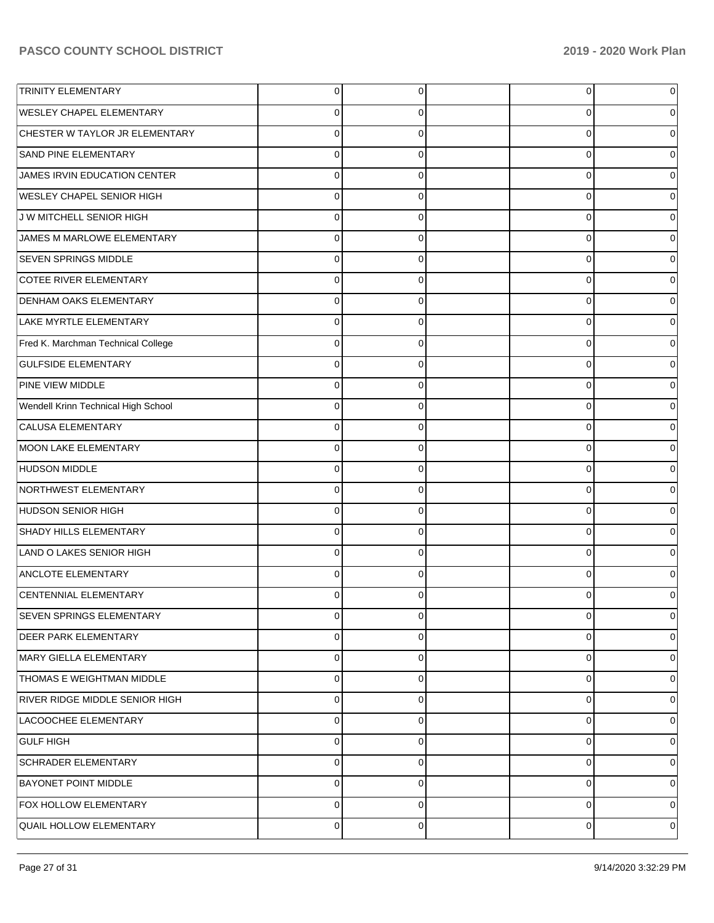| <b>TRINITY ELEMENTARY</b>             | $\Omega$ | 0 | $\overline{0}$ | 0 |
|---------------------------------------|----------|---|----------------|---|
| <b>WESLEY CHAPEL ELEMENTARY</b>       | 0        | 0 | 0              |   |
| CHESTER W TAYLOR JR ELEMENTARY        | $\Omega$ | 0 | 0              |   |
| SAND PINE ELEMENTARY                  | 0        | 0 | 0              |   |
| JAMES IRVIN EDUCATION CENTER          | 0        | 0 | 0              |   |
| <b>WESLEY CHAPEL SENIOR HIGH</b>      | 0        | 0 | 0              |   |
| J W MITCHELL SENIOR HIGH              | $\Omega$ | 0 | 0              |   |
| JAMES M MARLOWE ELEMENTARY            | 0        | 0 | 0              |   |
| <b>SEVEN SPRINGS MIDDLE</b>           | 0        | 0 | 0              |   |
| COTEE RIVER ELEMENTARY                | $\Omega$ | 0 | 0              |   |
| <b>DENHAM OAKS ELEMENTARY</b>         | 0        | 0 | 0              |   |
| LAKE MYRTLE ELEMENTARY                | $\Omega$ | 0 | 0              |   |
| Fred K. Marchman Technical College    | 0        | 0 | 0              |   |
| <b>GULFSIDE ELEMENTARY</b>            | 0        | 0 | 0              |   |
| PINE VIEW MIDDLE                      | 0        | 0 | 0              |   |
| Wendell Krinn Technical High School   | 0        | 0 | 0              |   |
| CALUSA ELEMENTARY                     | 0        | 0 | 0              |   |
| <b>MOON LAKE ELEMENTARY</b>           | $\Omega$ | 0 | 0              |   |
| <b>HUDSON MIDDLE</b>                  | 0        | 0 | 0              |   |
| NORTHWEST ELEMENTARY                  | $\Omega$ | 0 | 0              |   |
| <b>HUDSON SENIOR HIGH</b>             | 0        | 0 | 0              |   |
| SHADY HILLS ELEMENTARY                | $\Omega$ | 0 | 0              |   |
| LAND O LAKES SENIOR HIGH              | 0        | 0 | 0              |   |
| <b>ANCLOTE ELEMENTARY</b>             | $\Omega$ | 0 | 0              |   |
| CENTENNIAL ELEMENTARY                 | O        | O | 0              |   |
| SEVEN SPRINGS ELEMENTARY              | $\Omega$ | 0 | 0              |   |
| <b>DEER PARK ELEMENTARY</b>           | 0        | 0 | 0              | 0 |
| MARY GIELLA ELEMENTARY                | 0        | 0 | 0              | 0 |
| <b>THOMAS E WEIGHTMAN MIDDLE</b>      | 0        | 0 | 0              | 0 |
| <b>RIVER RIDGE MIDDLE SENIOR HIGH</b> | 0        | 0 | 0              |   |
| LACOOCHEE ELEMENTARY                  | 0        | 0 | 0              | 0 |
| <b>GULF HIGH</b>                      | 0        | 0 | 0              | 0 |
| <b>SCHRADER ELEMENTARY</b>            | 0        | 0 | 0              | 0 |
| <b>BAYONET POINT MIDDLE</b>           | 0        | 0 | 0              | 0 |
| <b>FOX HOLLOW ELEMENTARY</b>          | 0        | 0 | 0              | 0 |
| <b>QUAIL HOLLOW ELEMENTARY</b>        | 0        | 0 | 0              | 0 |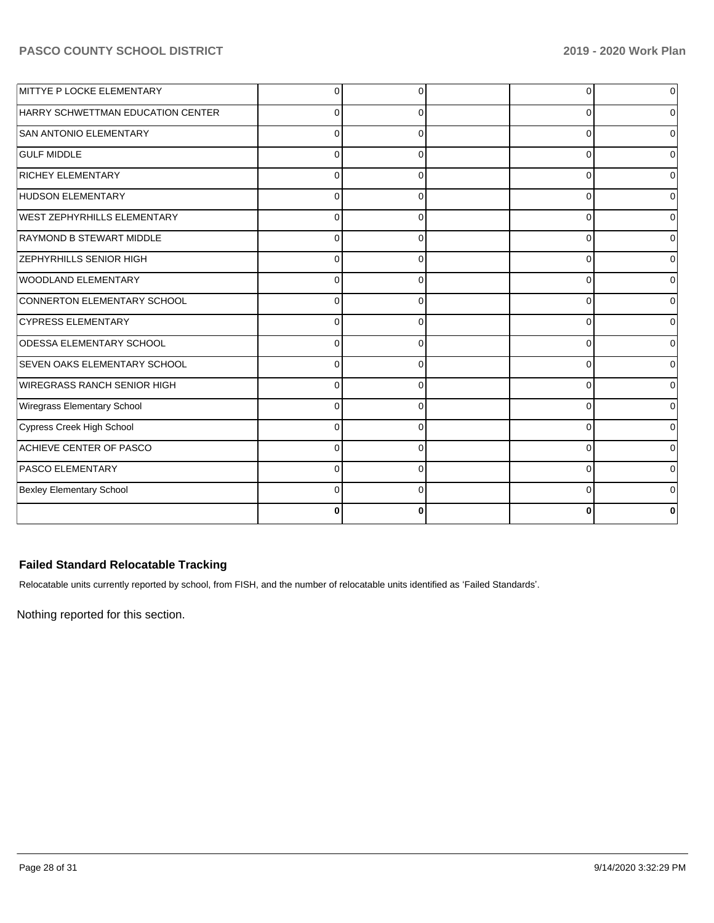| MITTYE P LOCKE ELEMENTARY           | $\Omega$    | $\Omega$ |          | 0              |
|-------------------------------------|-------------|----------|----------|----------------|
| HARRY SCHWETTMAN EDUCATION CENTER   | $\Omega$    | $\Omega$ | 0        | 0              |
| <b>SAN ANTONIO ELEMENTARY</b>       | $\Omega$    | $\Omega$ | C        | $\overline{0}$ |
| <b>GULF MIDDLE</b>                  | $\Omega$    | $\Omega$ | $\Omega$ | $\overline{0}$ |
| <b>RICHEY ELEMENTARY</b>            | $\Omega$    | $\Omega$ | ∩        | 0              |
| <b>HUDSON ELEMENTARY</b>            | 0           | $\Omega$ | C        | $\overline{0}$ |
| WEST ZEPHYRHILLS ELEMENTARY         | $\Omega$    | $\Omega$ | 0        | 0              |
| RAYMOND B STEWART MIDDLE            | $\mathbf 0$ | $\Omega$ | C        | 0              |
| <b>ZEPHYRHILLS SENIOR HIGH</b>      | $\Omega$    | $\Omega$ | $\Omega$ | 0              |
| WOODLAND ELEMENTARY                 | $\Omega$    | 0        | C        | $\overline{0}$ |
| CONNERTON ELEMENTARY SCHOOL         | $\Omega$    | $\Omega$ | $\Omega$ | $\Omega$       |
| <b>CYPRESS ELEMENTARY</b>           | $\Omega$    | $\Omega$ | ∩        | $\Omega$       |
| <b>ODESSA ELEMENTARY SCHOOL</b>     | $\Omega$    | $\Omega$ | C        | 0              |
| <b>SEVEN OAKS ELEMENTARY SCHOOL</b> | $\Omega$    | $\Omega$ | 0        | 0              |
| <b>WIREGRASS RANCH SENIOR HIGH</b>  | $\Omega$    | $\Omega$ | C        | $\overline{0}$ |
| Wiregrass Elementary School         | $\Omega$    | $\Omega$ | $\Omega$ | 0              |
| Cypress Creek High School           | $\Omega$    | $\Omega$ | C        | $\Omega$       |
| ACHIEVE CENTER OF PASCO             | $\Omega$    | $\Omega$ | $\Omega$ | $\overline{0}$ |
| <b>PASCO ELEMENTARY</b>             | $\Omega$    | $\Omega$ | ∩        | $\overline{0}$ |
| <b>Bexley Elementary School</b>     | 0           | ∩        |          | 0              |
|                                     | 0           | O        |          | 0              |

# **Failed Standard Relocatable Tracking**

Relocatable units currently reported by school, from FISH, and the number of relocatable units identified as 'Failed Standards'.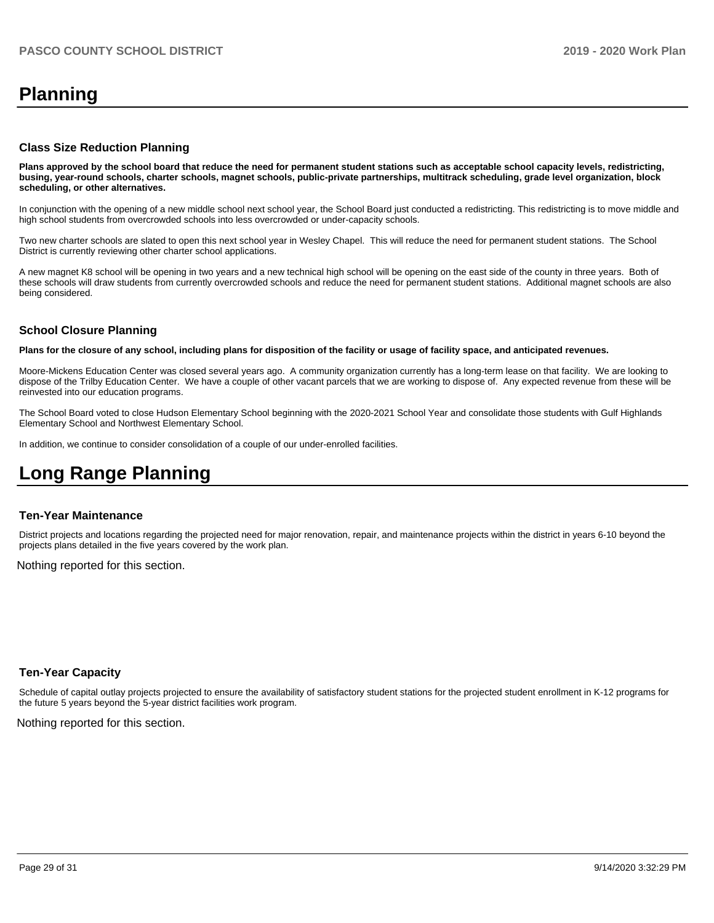# **Planning**

#### **Class Size Reduction Planning**

**Plans approved by the school board that reduce the need for permanent student stations such as acceptable school capacity levels, redistricting, busing, year-round schools, charter schools, magnet schools, public-private partnerships, multitrack scheduling, grade level organization, block scheduling, or other alternatives.**

In conjunction with the opening of a new middle school next school year, the School Board just conducted a redistricting. This redistricting is to move middle and high school students from overcrowded schools into less overcrowded or under-capacity schools.

Two new charter schools are slated to open this next school year in Wesley Chapel. This will reduce the need for permanent student stations. The School District is currently reviewing other charter school applications.

A new magnet K8 school will be opening in two years and a new technical high school will be opening on the east side of the county in three years. Both of these schools will draw students from currently overcrowded schools and reduce the need for permanent student stations. Additional magnet schools are also being considered.

# **School Closure Planning**

**Plans for the closure of any school, including plans for disposition of the facility or usage of facility space, and anticipated revenues.** 

Moore-Mickens Education Center was closed several years ago. A community organization currently has a long-term lease on that facility. We are looking to dispose of the Trilby Education Center. We have a couple of other vacant parcels that we are working to dispose of. Any expected revenue from these will be reinvested into our education programs.

The School Board voted to close Hudson Elementary School beginning with the 2020-2021 School Year and consolidate those students with Gulf Highlands Elementary School and Northwest Elementary School.

In addition, we continue to consider consolidation of a couple of our under-enrolled facilities.

# **Long Range Planning**

#### **Ten-Year Maintenance**

District projects and locations regarding the projected need for major renovation, repair, and maintenance projects within the district in years 6-10 beyond the projects plans detailed in the five years covered by the work plan.

Nothing reported for this section.

#### **Ten-Year Capacity**

Schedule of capital outlay projects projected to ensure the availability of satisfactory student stations for the projected student enrollment in K-12 programs for the future 5 years beyond the 5-year district facilities work program.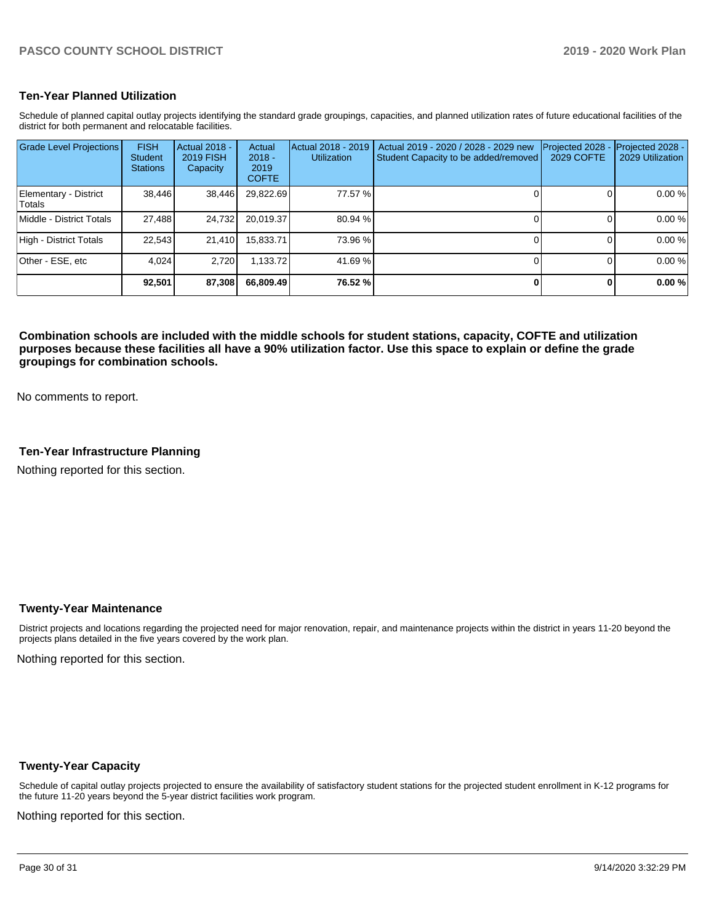#### **Ten-Year Planned Utilization**

Schedule of planned capital outlay projects identifying the standard grade groupings, capacities, and planned utilization rates of future educational facilities of the district for both permanent and relocatable facilities.

| <b>Grade Level Projections</b>   | <b>FISH</b><br><b>Student</b><br><b>Stations</b> | Actual 2018 -<br><b>2019 FISH</b><br>Capacity | Actual<br>$2018 -$<br>2019<br><b>COFTE</b> | Actual 2018 - 2019<br><b>Utilization</b> | Actual 2019 - 2020 / 2028 - 2029 new<br>Student Capacity to be added/removed | Projected 2028<br>2029 COFTE | Projected 2028 -<br>2029 Utilization |
|----------------------------------|--------------------------------------------------|-----------------------------------------------|--------------------------------------------|------------------------------------------|------------------------------------------------------------------------------|------------------------------|--------------------------------------|
| Elementary - District<br>lTotals | 38,446                                           | 38,446                                        | 29,822.69                                  | 77.57 %                                  |                                                                              |                              | 0.00 %                               |
| Middle - District Totals         | 27.488                                           | 24.732                                        | 20,019.37                                  | 80.94 %                                  |                                                                              |                              | 0.00 %                               |
| High - District Totals           | 22.543                                           | 21.410                                        | 15,833.71                                  | 73.96 %                                  |                                                                              |                              | 0.00 %                               |
| Other - ESE, etc                 | 4.024                                            | 2.720                                         | 1.133.72                                   | 41.69%                                   |                                                                              |                              | 0.00 %                               |
|                                  | 92.501                                           | 87,308                                        | 66,809,49                                  | 76.52 %                                  |                                                                              |                              | 0.00%                                |

**Combination schools are included with the middle schools for student stations, capacity, COFTE and utilization purposes because these facilities all have a 90% utilization factor. Use this space to explain or define the grade groupings for combination schools.** 

No comments to report.

### **Ten-Year Infrastructure Planning**

Nothing reported for this section.

#### **Twenty-Year Maintenance**

District projects and locations regarding the projected need for major renovation, repair, and maintenance projects within the district in years 11-20 beyond the projects plans detailed in the five years covered by the work plan.

Nothing reported for this section.

#### **Twenty-Year Capacity**

Schedule of capital outlay projects projected to ensure the availability of satisfactory student stations for the projected student enrollment in K-12 programs for the future 11-20 years beyond the 5-year district facilities work program.